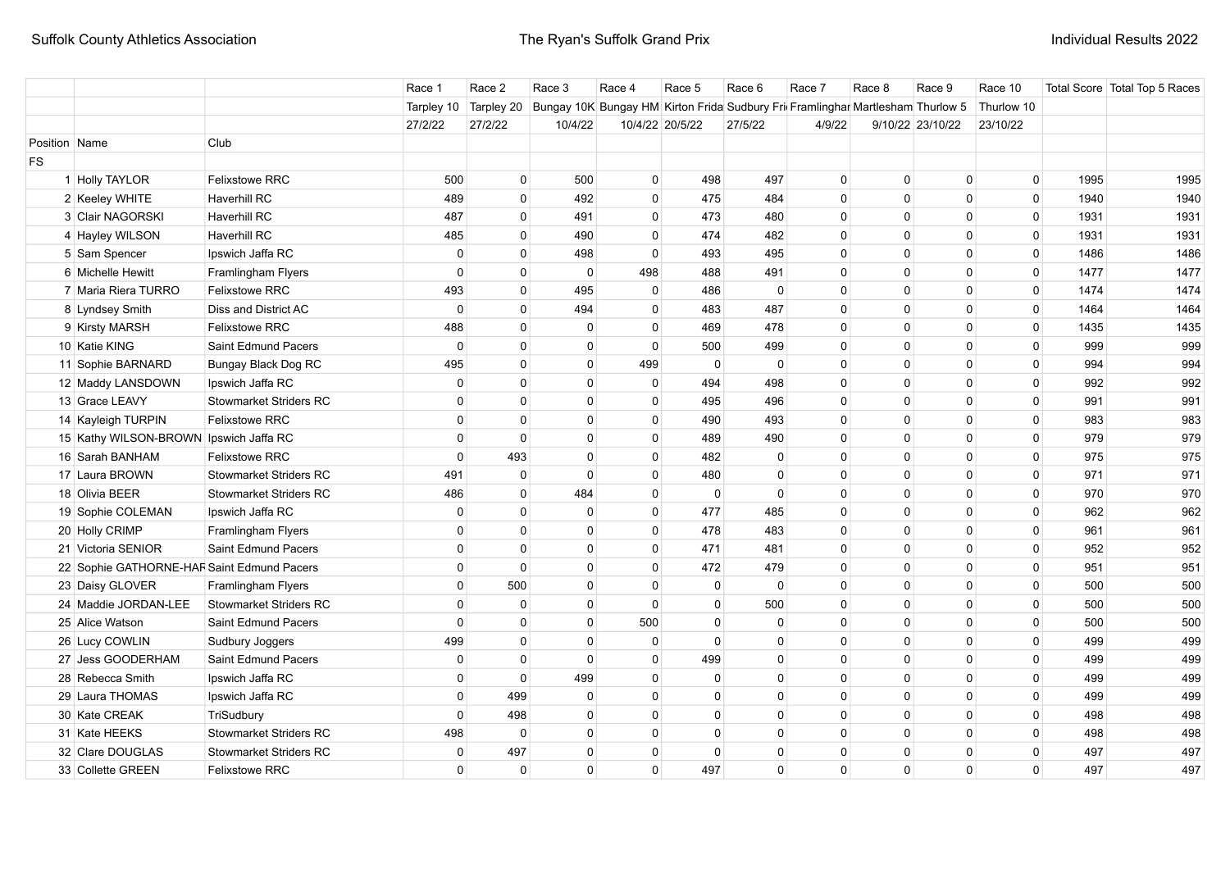|               |                                            |                               | Race 1      | Race 2       | Race 3                                                                         | Race 4         | Race 5          | Race 6   | Race 7       | Race 8       | Race 9           | Race 10     |      | Total Score Total Top 5 Races |
|---------------|--------------------------------------------|-------------------------------|-------------|--------------|--------------------------------------------------------------------------------|----------------|-----------------|----------|--------------|--------------|------------------|-------------|------|-------------------------------|
|               |                                            |                               | Tarpley 10  | Tarpley 20   | Bungay 10K Bungay HM Kirton Frida Sudbury Fri Framlinghar Martlesham Thurlow 5 |                |                 |          |              |              |                  | Thurlow 10  |      |                               |
|               |                                            |                               | 27/2/22     | 27/2/22      | 10/4/22                                                                        |                | 10/4/22 20/5/22 | 27/5/22  | 4/9/22       |              | 9/10/22 23/10/22 | 23/10/22    |      |                               |
| Position Name |                                            | Club                          |             |              |                                                                                |                |                 |          |              |              |                  |             |      |                               |
| <b>FS</b>     |                                            |                               |             |              |                                                                                |                |                 |          |              |              |                  |             |      |                               |
|               | 1 Holly TAYLOR                             | <b>Felixstowe RRC</b>         | 500         | $\mathbf 0$  | 500                                                                            | $\mathbf 0$    | 498             | 497      | $\mathbf 0$  | $\mathbf 0$  | $\mathbf{0}$     | $\mathbf 0$ | 1995 | 1995                          |
|               | 2 Keeley WHITE                             | <b>Haverhill RC</b>           | 489         | $\mathbf 0$  | 492                                                                            | $\mathbf 0$    | 475             | 484      | $\mathbf{0}$ | $\mathbf{0}$ | $\Omega$         | $\mathbf 0$ | 1940 | 1940                          |
|               | 3 Clair NAGORSKI                           | <b>Haverhill RC</b>           | 487         | $\mathbf 0$  | 491                                                                            | $\mathbf 0$    | 473             | 480      | $\mathbf 0$  | $\mathbf 0$  | $\Omega$         | $\mathbf 0$ | 1931 | 1931                          |
|               | 4 Hayley WILSON                            | <b>Haverhill RC</b>           | 485         | $\mathbf 0$  | 490                                                                            | $\mathbf 0$    | 474             | 482      | $\mathbf 0$  | $\mathbf 0$  | $\Omega$         | $\mathsf 0$ | 1931 | 1931                          |
|               | 5 Sam Spencer                              | Ipswich Jaffa RC              | 0           | $\mathbf 0$  | 498                                                                            | $\mathbf 0$    | 493             | 495      | $\mathbf 0$  | $\mathbf 0$  | $\mathbf{0}$     | 0           | 1486 | 1486                          |
|               | 6 Michelle Hewitt                          | Framlingham Flyers            | $\mathbf 0$ | $\mathbf{0}$ | $\mathbf 0$                                                                    | 498            | 488             | 491      | $\mathbf 0$  | $\mathbf 0$  | $\mathbf{0}$     | 0           | 1477 | 1477                          |
|               | 7 Maria Riera TURRO                        | <b>Felixstowe RRC</b>         | 493         | $\Omega$     | 495                                                                            | $\mathbf 0$    | 486             | $\Omega$ | $\mathbf 0$  | $\mathbf 0$  | $\mathbf{0}$     | $\mathbf 0$ | 1474 | 1474                          |
|               | 8 Lyndsey Smith                            | Diss and District AC          | $\mathbf 0$ | $\Omega$     | 494                                                                            | $\mathbf{0}$   | 483             | 487      | $\mathbf 0$  | $\mathbf 0$  | $\mathbf{0}$     | $\mathbf 0$ | 1464 | 1464                          |
|               | 9 Kirsty MARSH                             | <b>Felixstowe RRC</b>         | 488         | $\Omega$     | $\Omega$                                                                       | $\Omega$       | 469             | 478      | $\mathbf{0}$ | $\mathbf{0}$ | $\Omega$         | 0           | 1435 | 1435                          |
|               | 10 Katie KING                              | Saint Edmund Pacers           | $\mathbf 0$ | $\mathbf 0$  | 0                                                                              | $\overline{0}$ | 500             | 499      | 0            | 0            | $\mathbf{0}$     | 0           | 999  | 999                           |
|               | 11 Sophie BARNARD                          | Bungay Black Dog RC           | 495         | $\mathbf 0$  | $\Omega$                                                                       | 499            | $\Omega$        | $\Omega$ | $\mathbf 0$  | $\mathbf 0$  | $\mathbf{0}$     | $\mathbf 0$ | 994  | 994                           |
|               | 12 Maddy LANSDOWN                          | Ipswich Jaffa RC              | $\mathbf 0$ | $\Omega$     | $\Omega$                                                                       | $\mathbf{0}$   | 494             | 498      | $\mathbf{0}$ | $\mathbf{0}$ | $\Omega$         | $\mathbf 0$ | 992  | 992                           |
|               | 13 Grace LEAVY                             | <b>Stowmarket Striders RC</b> | $\Omega$    | $\Omega$     | $\Omega$                                                                       | $\mathbf{0}$   | 495             | 496      | $\mathbf{0}$ | $\mathbf{0}$ | $\Omega$         | $\Omega$    | 991  | 991                           |
|               | 14 Kayleigh TURPIN                         | <b>Felixstowe RRC</b>         | $\Omega$    | $\Omega$     | $\Omega$                                                                       | $\mathbf{0}$   | 490             | 493      | $\Omega$     | $\Omega$     | $\Omega$         | $\Omega$    | 983  | 983                           |
|               | 15 Kathy WILSON-BROWN Ipswich Jaffa RC     |                               | $\mathbf 0$ | $\mathbf 0$  | $\mathbf 0$                                                                    | $\mathbf 0$    | 489             | 490      | $\Omega$     | $\Omega$     | $\Omega$         | $\mathbf 0$ | 979  | 979                           |
|               | 16 Sarah BANHAM                            | Felixstowe RRC                | $\mathbf 0$ | 493          | $\Omega$                                                                       | $\mathbf 0$    | 482             | $\Omega$ | $\Omega$     | $\Omega$     | $\Omega$         | $\mathbf 0$ | 975  | 975                           |
|               | 17 Laura BROWN                             | <b>Stowmarket Striders RC</b> | 491         | $\mathbf 0$  | $\Omega$                                                                       | $\mathbf 0$    | 480             | $\Omega$ | $\Omega$     | $\mathbf{0}$ | $\Omega$         | $\mathbf 0$ | 971  | 971                           |
|               | 18 Olivia BEER                             | <b>Stowmarket Striders RC</b> | 486         | $\mathbf 0$  | 484                                                                            | $\mathbf{0}$   | $\Omega$        | $\Omega$ | $\mathbf{0}$ | $\mathbf{0}$ | $\Omega$         | $\mathbf 0$ | 970  | 970                           |
|               | 19 Sophie COLEMAN                          | Ipswich Jaffa RC              | $\mathbf 0$ | $\mathbf 0$  | $\Omega$                                                                       | $\mathbf 0$    | 477             | 485      | $\mathbf{0}$ | $\mathbf{0}$ | $\Omega$         | $\mathbf 0$ | 962  | 962                           |
|               | 20 Holly CRIMP                             | Framlingham Flyers            | $\mathbf 0$ | $\Omega$     | $\Omega$                                                                       | $\mathbf{0}$   | 478             | 483      | $\mathbf{0}$ | $\mathbf{0}$ | $\Omega$         | $\mathbf 0$ | 961  | 961                           |
|               | 21 Victoria SENIOR                         | Saint Edmund Pacers           | $\mathbf 0$ | $\mathbf 0$  | 0                                                                              | $\mathbf{0}$   | 471             | 481      | $\mathbf 0$  | $\mathbf 0$  | $\mathbf{0}$     | $\mathbf 0$ | 952  | 952                           |
|               | 22 Sophie GATHORNE-HAF Saint Edmund Pacers |                               | $\mathbf 0$ | $\Omega$     | $\mathbf 0$                                                                    | $\mathbf{0}$   | 472             | 479      | $\mathbf 0$  | $\mathbf 0$  | $\mathbf{0}$     | $\mathbf 0$ | 951  | 951                           |
|               | 23 Daisy GLOVER                            | Framlingham Flyers            | $\mathbf 0$ | 500          | $\mathbf 0$                                                                    | $\mathbf{0}$   | 0               | $\Omega$ | $\mathbf 0$  | $\mathbf 0$  | $\mathbf{0}$     | $\mathbf 0$ | 500  | 500                           |
|               | 24 Maddie JORDAN-LEE                       | <b>Stowmarket Striders RC</b> | $\mathbf 0$ | $\mathbf 0$  | $\Omega$                                                                       | $\mathbf{0}$   | $\mathbf{0}$    | 500      | $\mathbf 0$  | $\mathbf 0$  | $\mathbf{0}$     | $\mathbf 0$ | 500  | 500                           |
|               | 25 Alice Watson                            | Saint Edmund Pacers           | $\Omega$    | $\mathbf 0$  | $\Omega$                                                                       | 500            | $\Omega$        | $\Omega$ | $\Omega$     | $\mathbf{0}$ | $\mathbf{0}$     | $\Omega$    | 500  | 500                           |
|               | 26 Lucy COWLIN                             | Sudbury Joggers               | 499         | $\Omega$     | $\Omega$                                                                       | $\mathbf{0}$   | $\Omega$        | $\Omega$ | $\Omega$     | $\mathbf{0}$ | $\mathbf{0}$     | $\Omega$    | 499  | 499                           |
|               | 27 Jess GOODERHAM                          | Saint Edmund Pacers           | 0           | $\mathbf 0$  | $\Omega$                                                                       | 0              | 499             | 0        | 0            | 0            | $\mathbf{0}$     | 0           | 499  | 499                           |
|               | 28 Rebecca Smith                           | Ipswich Jaffa RC              | $\mathbf 0$ | $\mathbf 0$  | 499                                                                            | $\mathbf{0}$   | $\Omega$        | $\Omega$ | $\mathbf{0}$ | $\mathbf 0$  | $\mathbf{0}$     | $\mathbf 0$ | 499  | 499                           |
|               | 29 Laura THOMAS                            | Ipswich Jaffa RC              | $\mathbf 0$ | 499          | $\Omega$                                                                       | $\mathbf{0}$   | $\Omega$        | $\Omega$ | $\Omega$     | $\Omega$     | $\mathbf{0}$     | $\mathbf 0$ | 499  | 499                           |
|               | 30 Kate CREAK                              | TriSudbury                    | $\Omega$    | 498          | $\Omega$                                                                       | $\mathbf{0}$   | $\Omega$        | $\Omega$ | $\Omega$     | $\Omega$     | $\mathbf{0}$     | $\mathbf 0$ | 498  | 498                           |
|               | 31 Kate HEEKS                              | <b>Stowmarket Striders RC</b> | 498         | $\Omega$     | $\Omega$                                                                       | $\Omega$       | $\Omega$        | $\Omega$ | $\Omega$     | $\Omega$     | $\mathbf{0}$     | $\Omega$    | 498  | 498                           |
|               | 32 Clare DOUGLAS                           | <b>Stowmarket Striders RC</b> | 0           | 497          | $\Omega$                                                                       | $\mathbf 0$    | $\Omega$        | $\Omega$ | $\Omega$     | $\Omega$     | $\Omega$         | $\Omega$    | 497  | 497                           |
|               | 33 Collette GREEN                          | <b>Felixstowe RRC</b>         | $\mathbf 0$ | $\mathbf 0$  | $\Omega$                                                                       | $\mathbf{0}$   | 497             | $\Omega$ | $\Omega$     | $\Omega$     | $\mathbf{0}$     | $\mathbf 0$ | 497  | 497                           |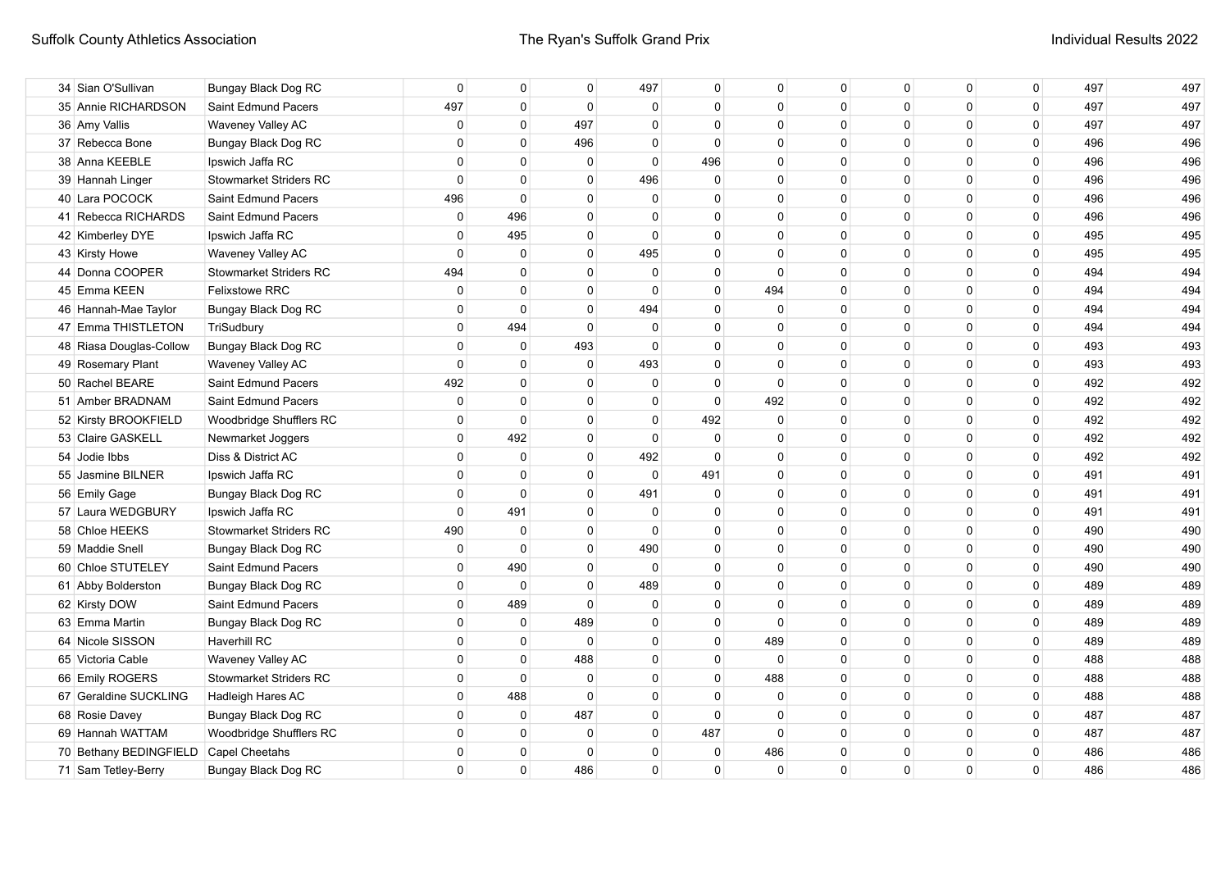| 34 Sian O'Sullivan                    | <b>Bungay Black Dog RC</b>    | $\Omega$     | $\Omega$     | $\Omega$     | 497          | 0           | $\Omega$     | $\mathbf{0}$ | $\mathbf{0}$ | $\Omega$     | 0        | 497 | 497 |
|---------------------------------------|-------------------------------|--------------|--------------|--------------|--------------|-------------|--------------|--------------|--------------|--------------|----------|-----|-----|
| 35 Annie RICHARDSON                   | Saint Edmund Pacers           | 497          | $\Omega$     | $\Omega$     | 0            | $\mathbf 0$ | $\mathbf{0}$ | $\Omega$     | $\mathbf{0}$ | $\mathbf{0}$ | 0        | 497 | 497 |
| 36 Amy Vallis                         | Waveney Valley AC             | $\Omega$     | $\Omega$     | 497          | $\Omega$     | $\Omega$    | $\Omega$     | $\Omega$     | $\Omega$     | $\Omega$     | $\Omega$ | 497 | 497 |
| 37 Rebecca Bone                       | Bungay Black Dog RC           | $\Omega$     | $\Omega$     | 496          | $\Omega$     | $\Omega$    | $\Omega$     | $\Omega$     | $\Omega$     | $\Omega$     | 0        | 496 | 496 |
| 38 Anna KEEBLE                        | Ipswich Jaffa RC              | $\Omega$     | $\Omega$     | $\Omega$     | $\mathbf{0}$ | 496         | $\Omega$     | $\Omega$     | $\Omega$     | $\Omega$     | 0        | 496 | 496 |
| 39 Hannah Linger                      | <b>Stowmarket Striders RC</b> | $\Omega$     | $\Omega$     | $\Omega$     | 496          | $\Omega$    | $\Omega$     | $\Omega$     | $\mathbf 0$  | $\Omega$     | 0        | 496 | 496 |
| 40 Lara POCOCK                        | Saint Edmund Pacers           | 496          | $\Omega$     | $\Omega$     | 0            | $\mathbf 0$ | $\Omega$     | $\mathbf 0$  | $\mathbf 0$  | $\mathbf{0}$ | 0        | 496 | 496 |
| 41 Rebecca RICHARDS                   | Saint Edmund Pacers           | $\mathbf 0$  | 496          | $\Omega$     | $\Omega$     | $\mathbf 0$ | $\mathbf{0}$ | $\mathbf 0$  | $\mathbf 0$  | $\mathbf 0$  | 0        | 496 | 496 |
| 42 Kimberley DYE                      | Ipswich Jaffa RC              | $\Omega$     | 495          | $\Omega$     | $\Omega$     | $\mathbf 0$ | $\Omega$     | $\mathbf 0$  | $\mathbf 0$  | 0            | 0        | 495 | 495 |
| 43 Kirsty Howe                        | Waveney Valley AC             | $\Omega$     | $\Omega$     | $\Omega$     | 495          | $\mathbf 0$ | $\Omega$     | $\Omega$     | $\mathbf{0}$ | $\mathbf{0}$ | 0        | 495 | 495 |
| 44 Donna COOPER                       | <b>Stowmarket Striders RC</b> | 494          | $\Omega$     | $\Omega$     | $\mathbf 0$  | $\Omega$    | 0            | $\Omega$     | 0            | $\Omega$     | 0        | 494 | 494 |
| 45 Emma KEEN                          | <b>Felixstowe RRC</b>         | $\Omega$     | $\Omega$     | $\mathbf{0}$ | $\Omega$     | 0           | 494          | $\Omega$     | 0            | $\Omega$     | 0        | 494 | 494 |
| 46 Hannah-Mae Taylor                  | Bungay Black Dog RC           | $\Omega$     | $\Omega$     | $\mathbf{0}$ | 494          | 0           | 0            | 0            | 0            | $\Omega$     | 0        | 494 | 494 |
| 47 Emma THISTLETON                    | TriSudbury                    | $\Omega$     | 494          | $\Omega$     | 0            | 0           | $\Omega$     | $\Omega$     | $\mathbf{0}$ | $\Omega$     | 0        | 494 | 494 |
| 48 Riasa Douglas-Collow               | Bungay Black Dog RC           | $\Omega$     | $\Omega$     | 493          | $\Omega$     | $\Omega$    | $\Omega$     | $\Omega$     | $\mathbf{0}$ | $\Omega$     | 0        | 493 | 493 |
| 49 Rosemary Plant                     | Waveney Valley AC             | $\Omega$     | $\Omega$     | $\Omega$     | 493          | $\Omega$    | $\Omega$     | $\Omega$     | $\mathbf{0}$ | $\Omega$     | 0        | 493 | 493 |
| 50 Rachel BEARE                       | Saint Edmund Pacers           | 492          | $\Omega$     | $\Omega$     | $\mathbf 0$  | $\Omega$    | $\Omega$     | $\mathbf 0$  | $\Omega$     | $\Omega$     | 0        | 492 | 492 |
| 51 Amber BRADNAM                      | Saint Edmund Pacers           | $\mathbf 0$  | $\Omega$     | $\Omega$     | $\Omega$     | $\mathbf 0$ | 492          | $\Omega$     | $\mathbf{0}$ | $\Omega$     | 0        | 492 | 492 |
| 52 Kirsty BROOKFIELD                  | Woodbridge Shufflers RC       | $\Omega$     | $\Omega$     | $\Omega$     | $\Omega$     | 492         | 0            | $\Omega$     | $\Omega$     | $\Omega$     | 0        | 492 | 492 |
| 53 Claire GASKELL                     | Newmarket Joggers             | $\mathbf{0}$ | 492          | $\Omega$     | $\Omega$     | $\mathbf 0$ | $\Omega$     | $\Omega$     | $\Omega$     | $\Omega$     | 0        | 492 | 492 |
| 54 Jodie Ibbs                         | Diss & District AC            | $\Omega$     | $\Omega$     | $\Omega$     | 492          | $\Omega$    | $\Omega$     | $\Omega$     | $\Omega$     | $\Omega$     | 0        | 492 | 492 |
| 55 Jasmine BILNER                     | Ipswich Jaffa RC              | $\mathbf{0}$ | $\Omega$     | $\mathbf 0$  | $\mathbf{0}$ | 491         | $\Omega$     | $\Omega$     | $\mathbf{0}$ | $\Omega$     | 0        | 491 | 491 |
| 56 Emily Gage                         | Bungay Black Dog RC           | $\Omega$     | $\Omega$     | $\Omega$     | 491          | $\mathbf 0$ | $\Omega$     | $\Omega$     | $\mathbf{0}$ | $\Omega$     | 0        | 491 | 491 |
| 57 Laura WEDGBURY                     | Ipswich Jaffa RC              | $\Omega$     | 491          | 0            | 0            | 0           | 0            | $\Omega$     | 0            | 0            | 0        | 491 | 491 |
| 58 Chloe HEEKS                        | <b>Stowmarket Striders RC</b> | 490          | $\mathbf{0}$ | $\mathbf 0$  | $\mathbf{0}$ | 0           | $\Omega$     | 0            | $\mathbf 0$  | $\Omega$     | 0        | 490 | 490 |
| 59 Maddie Snell                       | Bungay Black Dog RC           | 0            | $\mathbf{0}$ | $\mathbf 0$  | 490          | 0           | $\Omega$     | $\Omega$     | $\mathbf 0$  | $\Omega$     | 0        | 490 | 490 |
| 60 Chloe STUTELEY                     | Saint Edmund Pacers           | $\mathbf 0$  | 490          | $\mathbf 0$  | $\mathbf{0}$ | $\mathbf 0$ | $\Omega$     | $\mathbf 0$  | $\mathbf{0}$ | $\mathbf{0}$ | 0        | 490 | 490 |
| 61 Abby Bolderston                    | Bungay Black Dog RC           | $\mathbf 0$  | $\Omega$     | $\Omega$     | 489          | $\mathbf 0$ | 0            | 0            | $\mathbf{0}$ | $\Omega$     | 0        | 489 | 489 |
| 62 Kirsty DOW                         | Saint Edmund Pacers           | $\mathbf 0$  | 489          | $\Omega$     | $\Omega$     | $\mathbf 0$ | 0            | $\mathbf{0}$ | $\mathbf{0}$ | $\Omega$     | 0        | 489 | 489 |
| 63 Emma Martin                        | Bungay Black Dog RC           | 0            | 0            | 489          | $\Omega$     | 0           | 0            | 0            | 0            | $\Omega$     | 0        | 489 | 489 |
| 64 Nicole SISSON                      | Haverhill RC                  | 0            | 0            | $\Omega$     | 0            | 0           | 489          | 0            | 0            | $\Omega$     | 0        | 489 | 489 |
| 65 Victoria Cable                     | Waveney Valley AC             | $\Omega$     | 0            | 488          | 0            | 0           | $\mathbf 0$  | 0            | 0            | $\Omega$     | 0        | 488 | 488 |
| 66 Emily ROGERS                       | <b>Stowmarket Striders RC</b> | $\Omega$     | $\Omega$     | $\Omega$     | $\Omega$     | $\mathbf 0$ | 488          | $\Omega$     | 0            | $\Omega$     | 0        | 488 | 488 |
| 67 Geraldine SUCKLING                 | Hadleigh Hares AC             | $\Omega$     | 488          | $\Omega$     | $\Omega$     | $\mathbf 0$ | 0            | $\Omega$     | $\mathbf{0}$ | $\Omega$     | 0        | 488 | 488 |
| 68 Rosie Davey                        | <b>Bungay Black Dog RC</b>    | $\Omega$     | $\Omega$     | 487          | $\Omega$     | $\Omega$    | 0            | $\Omega$     | $\mathbf{0}$ | $\Omega$     | 0        | 487 | 487 |
| 69 Hannah WATTAM                      | Woodbridge Shufflers RC       | $\Omega$     | $\Omega$     | $\Omega$     | $\Omega$     | 487         | $\Omega$     | $\Omega$     | $\Omega$     | $\Omega$     | $\Omega$ | 487 | 487 |
| 70 Bethany BEDINGFIELD Capel Cheetahs |                               | $\Omega$     | $\Omega$     | $\Omega$     | $\Omega$     | 0           | 486          | $\Omega$     | $\Omega$     | $\Omega$     | 0        | 486 | 486 |
| 71 Sam Tetley-Berry                   | Bungay Black Dog RC           | $\Omega$     | $\mathbf 0$  | 486          | $\Omega$     | $\mathbf 0$ | 0            | $\Omega$     | 0            | $\Omega$     | 0        | 486 | 486 |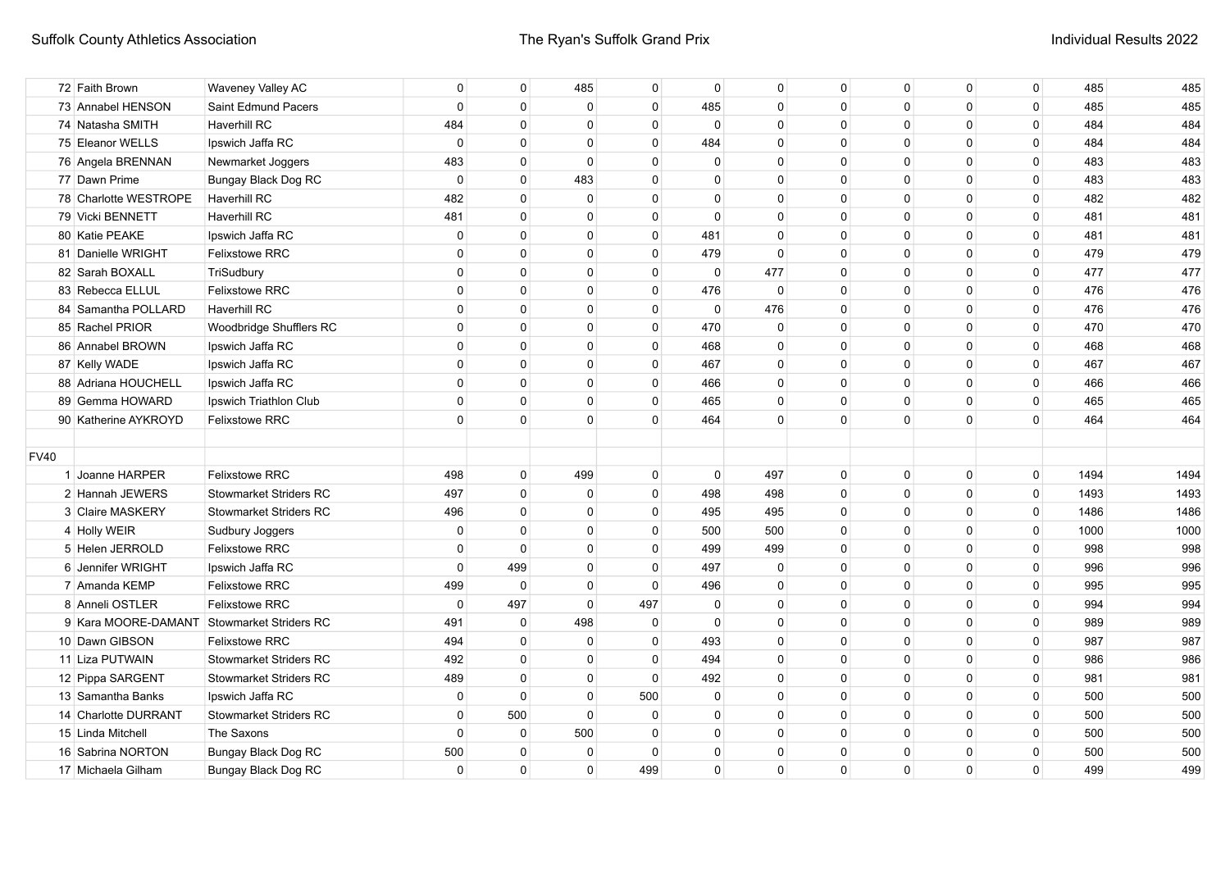| 72 Faith Brown                             | Waveney Valley AC             | $\mathbf 0$  | $\mathbf{0}$   | 485          | 0            | $\mathbf 0$  | $\mathbf 0$  | 0            | 0            | $\mathbf 0$  | $\mathbf 0$    | 485  | 485  |
|--------------------------------------------|-------------------------------|--------------|----------------|--------------|--------------|--------------|--------------|--------------|--------------|--------------|----------------|------|------|
| 73 Annabel HENSON                          | Saint Edmund Pacers           | $\mathbf 0$  | $\mathbf{0}$   | $\mathbf 0$  | $\Omega$     | 485          | $\mathbf 0$  | $\Omega$     | $\Omega$     | $\mathbf 0$  | $\mathbf 0$    | 485  | 485  |
| 74 Natasha SMITH                           | <b>Haverhill RC</b>           | 484          | $\mathbf{0}$   | $\mathbf 0$  | $\Omega$     | $\Omega$     | $\Omega$     | $\Omega$     | $\Omega$     | $\Omega$     | $\mathbf 0$    | 484  | 484  |
| 75 Eleanor WELLS                           | Ipswich Jaffa RC              | $\mathbf 0$  | $\mathbf{0}$   | $\mathbf 0$  | $\Omega$     | 484          | $\Omega$     | $\Omega$     | $\Omega$     | $\mathbf{0}$ | $\mathbf 0$    | 484  | 484  |
| 76 Angela BRENNAN                          | Newmarket Joggers             | 483          | $\mathbf 0$    | $\mathbf 0$  | $\Omega$     | 0            | $\Omega$     | $\Omega$     | $\Omega$     | $\mathbf{0}$ | $\mathbf 0$    | 483  | 483  |
| 77 Dawn Prime                              | <b>Bungay Black Dog RC</b>    | $\mathbf 0$  | $\mathbf 0$    | 483          | $\Omega$     | 0            | 0            | $\Omega$     | $\Omega$     | $\mathbf 0$  | 0              | 483  | 483  |
| 78 Charlotte WESTROPE                      | Haverhill RC                  | 482          | $\mathbf 0$    | $\mathbf 0$  | $\mathbf 0$  | $\mathbf 0$  | $\mathbf 0$  | $\mathbf{0}$ | $\Omega$     | $\mathbf 0$  | 0              | 482  | 482  |
| 79 Vicki BENNETT                           | <b>Haverhill RC</b>           | 481          | $\mathbf{0}$   | $\mathbf 0$  | $\mathbf 0$  | $\mathbf 0$  | $\mathbf 0$  | $\mathbf{0}$ | $\mathbf{0}$ | $\mathbf 0$  | 0              | 481  | 481  |
| 80 Katie PEAKE                             | Ipswich Jaffa RC              | $\mathbf 0$  | $\mathbf{0}$   | $\mathbf 0$  | $\mathbf 0$  | 481          | $\mathbf 0$  | $\mathbf{0}$ | $\mathbf{0}$ | $\mathbf 0$  | $\mathbf 0$    | 481  | 481  |
| 81 Danielle WRIGHT                         | <b>Felixstowe RRC</b>         | $\mathbf{0}$ | $\mathbf{0}$   | $\mathbf 0$  | $\Omega$     | 479          | $\Omega$     | $\mathbf{0}$ | $\Omega$     | $\mathbf 0$  | $\mathbf 0$    | 479  | 479  |
| 82 Sarah BOXALL                            | TriSudbury                    | $\Omega$     | $\Omega$       | $\mathbf 0$  | $\Omega$     | $\mathbf{0}$ | 477          | $\Omega$     | $\Omega$     | $\mathbf{0}$ | $\mathbf 0$    | 477  | 477  |
| 83 Rebecca ELLUL                           | <b>Felixstowe RRC</b>         | $\mathbf{0}$ | $\Omega$       | $\mathbf{0}$ | $\Omega$     | 476          | $\mathbf{0}$ | $\Omega$     | $\Omega$     | $\mathbf{0}$ | $\mathbf 0$    | 476  | 476  |
| 84 Samantha POLLARD                        | <b>Haverhill RC</b>           | $\mathbf{0}$ | $\Omega$       | $\mathbf{0}$ | $\Omega$     | $\mathbf{0}$ | 476          | $\Omega$     | $\Omega$     | $\mathbf{0}$ | $\mathbf 0$    | 476  | 476  |
| 85 Rachel PRIOR                            | Woodbridge Shufflers RC       | $\mathbf{0}$ | $\mathbf{0}$   | $\mathbf 0$  | 0            | 470          | 0            | $\Omega$     | 0            | 0            | $\mathbf 0$    | 470  | 470  |
| 86 Annabel BROWN                           | Ipswich Jaffa RC              | $\mathbf{0}$ | $\mathbf{0}$   | $\mathbf 0$  | 0            | 468          | $\mathbf{0}$ | $\Omega$     | $\Omega$     | $\mathbf{0}$ | $\mathbf 0$    | 468  | 468  |
| 87 Kelly WADE                              | Ipswich Jaffa RC              | $\Omega$     | $\mathbf{0}$   | $\mathbf 0$  | $\mathbf{0}$ | 467          | $\Omega$     | $\Omega$     | $\Omega$     | $\mathbf{0}$ | $\mathbf 0$    | 467  | 467  |
| 88 Adriana HOUCHELL                        | Ipswich Jaffa RC              | $\mathbf{0}$ | $\mathbf{0}$   | $\mathbf 0$  | $\mathbf{0}$ | 466          | $\Omega$     | $\Omega$     | $\Omega$     | $\mathbf{0}$ | $\mathbf 0$    | 466  | 466  |
| 89 Gemma HOWARD                            | Ipswich Triathlon Club        | $\mathbf{0}$ | $\Omega$       | $\mathbf 0$  | $\Omega$     | 465          | $\Omega$     | $\Omega$     | $\Omega$     | $\mathbf{0}$ | $\mathbf 0$    | 465  | 465  |
| 90 Katherine AYKROYD                       | <b>Felixstowe RRC</b>         | $\Omega$     | $\Omega$       | $\Omega$     | $\Omega$     | 464          | $\Omega$     | $\Omega$     | $\Omega$     | $\Omega$     | $\mathbf 0$    | 464  | 464  |
|                                            |                               |              |                |              |              |              |              |              |              |              |                |      |      |
| <b>FV40</b>                                |                               |              |                |              |              |              |              |              |              |              |                |      |      |
| 1 Joanne HARPER                            | Felixstowe RRC                | 498          | $\overline{0}$ | 499          | $\mathbf 0$  | $\mathbf 0$  | 497          | 0            | $\Omega$     | $\mathbf 0$  | $\mathbf{0}$   | 1494 | 1494 |
| 2 Hannah JEWERS                            | <b>Stowmarket Striders RC</b> | 497          | $\mathbf 0$    | $\mathbf 0$  | $\mathbf{0}$ | 498          | 498          | $\mathbf{0}$ | $\Omega$     | $\mathbf 0$  | $\mathsf 0$    | 1493 | 1493 |
| 3 Claire MASKERY                           | <b>Stowmarket Striders RC</b> | 496          | $\mathbf{0}$   | $\mathbf 0$  | $\mathbf 0$  | 495          | 495          | $\mathbf{0}$ | $\Omega$     | $\mathbf 0$  | $\overline{0}$ | 1486 | 1486 |
| 4 Holly WEIR                               | Sudbury Joggers               | $\mathbf 0$  | $\mathbf 0$    | $\mathbf 0$  | $\mathbf 0$  | 500          | 500          | $\mathbf{0}$ | $\mathbf 0$  | $\mathbf{0}$ | $\overline{0}$ | 1000 | 1000 |
| 5 Helen JERROLD                            | <b>Felixstowe RRC</b>         | $\mathbf{0}$ | $\mathbf{0}$   | $\mathbf 0$  | $\Omega$     | 499          | 499          | $\mathbf{0}$ | $\Omega$     | $\mathbf{0}$ | $\overline{0}$ | 998  | 998  |
| 6 Jennifer WRIGHT                          | Ipswich Jaffa RC              | $\mathbf{0}$ | 499            | $\mathbf 0$  | $\Omega$     | 497          | $\mathbf 0$  | $\Omega$     | $\Omega$     | $\mathbf{0}$ | $\mathbf 0$    | 996  | 996  |
| 7 Amanda KEMP                              | <b>Felixstowe RRC</b>         | 499          | $\mathbf 0$    | $\mathbf{0}$ | $\Omega$     | 496          | $\Omega$     | $\Omega$     | $\Omega$     | $\mathbf{0}$ | $\mathbf 0$    | 995  | 995  |
| 8 Anneli OSTLER                            | <b>Felixstowe RRC</b>         | 0            | 497            | $\mathbf{0}$ | 497          | $\mathbf 0$  | 0            | 0            | $\Omega$     | 0            | 0              | 994  | 994  |
| 9 Kara MOORE-DAMANT Stowmarket Striders RC |                               | 491          | $\mathbf 0$    | 498          | 0            | 0            | 0            | 0            | $\Omega$     | 0            | 0              | 989  | 989  |
| 10 Dawn GIBSON                             | Felixstowe RRC                | 494          | $\mathbf{0}$   | $\mathbf{0}$ | $\Omega$     | 493          | $\mathbf 0$  | $\Omega$     | 0            | $\mathbf 0$  | $\mathbf 0$    | 987  | 987  |
| 11 Liza PUTWAIN                            | <b>Stowmarket Striders RC</b> | 492          | $\mathbf{0}$   | $\mathbf 0$  | $\Omega$     | 494          | $\mathbf 0$  | $\Omega$     | 0            | $\mathbf 0$  | $\mathbf 0$    | 986  | 986  |
| 12 Pippa SARGENT                           | <b>Stowmarket Striders RC</b> | 489          | $\mathbf{0}$   | $\mathbf 0$  | $\Omega$     | 492          | $\Omega$     | $\Omega$     | $\Omega$     | $\mathbf{0}$ | $\mathbf 0$    | 981  | 981  |
| 13 Samantha Banks                          | Ipswich Jaffa RC              | $\mathbf 0$  | $\Omega$       | $\mathbf 0$  | 500          | 0            | $\Omega$     | $\Omega$     | $\Omega$     | $\mathbf{0}$ | $\Omega$       | 500  | 500  |
| 14 Charlotte DURRANT                       | <b>Stowmarket Striders RC</b> | $\Omega$     | 500            | $\Omega$     | 0            | $\Omega$     | $\Omega$     | $\Omega$     | $\Omega$     | $\mathbf{0}$ | $\Omega$       | 500  | 500  |
| 15 Linda Mitchell                          | The Saxons                    | $\mathbf 0$  | 0              | 500          | $\Omega$     | $\Omega$     | $\mathbf 0$  | $\Omega$     | $\Omega$     | $\mathbf 0$  | $\mathbf 0$    | 500  | 500  |
|                                            |                               |              |                |              |              |              |              |              |              |              |                |      |      |
| 16 Sabrina NORTON                          | Bungay Black Dog RC           | 500          | 0              | 0            | $\Omega$     | 0            | $\Omega$     | 0            | 0            | 0            | 0              | 500  | 500  |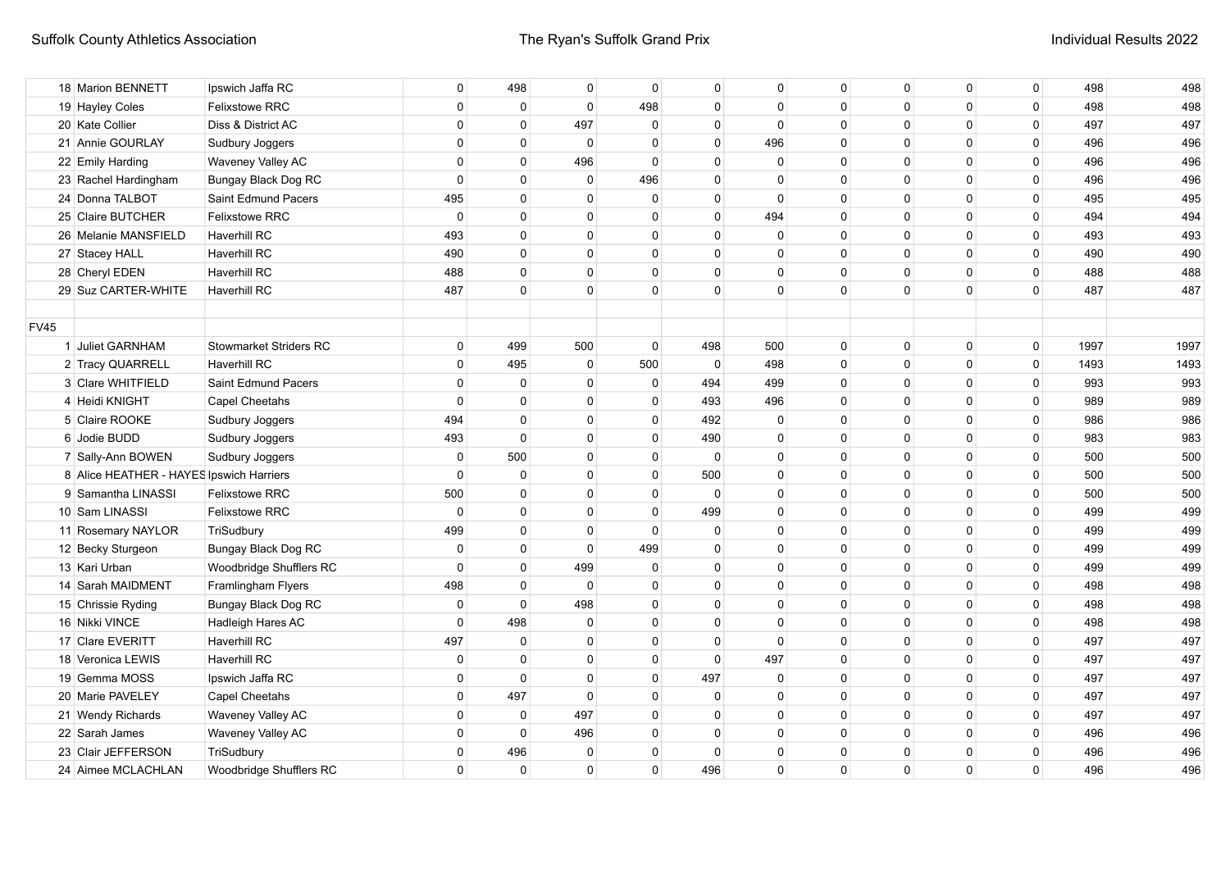| 18 Marion BENNETT                        | Ipswich Jaffa RC              | $\mathbf 0$  | 498            | $\mathbf{0}$ | $\Omega$    | 0            | $\Omega$    | $\mathbf 0$  | 0            | $\mathbf 0$  | $\overline{0}$ | 498  | 498  |
|------------------------------------------|-------------------------------|--------------|----------------|--------------|-------------|--------------|-------------|--------------|--------------|--------------|----------------|------|------|
| 19 Hayley Coles                          | <b>Felixstowe RRC</b>         | $\mathbf 0$  | $\mathbf 0$    | $\mathbf 0$  | 498         | $\mathbf 0$  | $\mathbf 0$ | $\mathbf{0}$ | $\mathbf{0}$ | $\mathbf 0$  | $\mathsf 0$    | 498  | 498  |
| 20 Kate Collier                          | Diss & District AC            | $\mathbf 0$  | $\mathbf{0}$   | 497          | $\mathbf 0$ | $\mathbf 0$  | $\mathbf 0$ | $\mathbf{0}$ | $\mathbf{0}$ | $\mathbf 0$  | $\mathbf 0$    | 497  | 497  |
| 21 Annie GOURLAY                         | Sudbury Joggers               | $\mathbf{0}$ | $\mathbf{0}$   | $\mathbf{0}$ | $\mathbf 0$ | $\mathbf 0$  | 496         | $\mathbf{0}$ | $\mathbf{0}$ | $\mathbf 0$  | $\mathbf 0$    | 496  | 496  |
| 22 Emily Harding                         | Waveney Valley AC             | $\mathbf{0}$ | $\mathbf{0}$   | 496          | $\Omega$    | $\mathbf 0$  | $\mathbf 0$ | $\mathbf{0}$ | $\mathbf{0}$ | $\mathbf 0$  | $\mathbf 0$    | 496  | 496  |
| 23 Rachel Hardingham                     | Bungay Black Dog RC           | $\mathbf 0$  | $\mathbf{0}$   | $\mathbf{0}$ | 496         | $\mathbf 0$  | $\Omega$    | $\mathbf{0}$ | $\mathbf{0}$ | $\mathbf 0$  | $\mathbf 0$    | 496  | 496  |
| 24 Donna TALBOT                          | Saint Edmund Pacers           | 495          | $\mathbf{0}$   | $\mathbf{0}$ | $\mathbf 0$ | $\mathbf 0$  | $\Omega$    | $\mathbf{0}$ | $\mathbf{0}$ | $\mathbf 0$  | $\mathbf 0$    | 495  | 495  |
| 25 Claire BUTCHER                        | <b>Felixstowe RRC</b>         | $\mathbf 0$  | $\mathbf{0}$   | $\mathbf{0}$ | $\mathbf 0$ | $\Omega$     | 494         | $\Omega$     | $\Omega$     | $\mathbf{0}$ | $\overline{0}$ | 494  | 494  |
| 26 Melanie MANSFIELD                     | <b>Haverhill RC</b>           | 493          | $\mathbf{0}$   | $\mathbf{0}$ | $\mathbf 0$ | $\Omega$     | $\Omega$    | $\Omega$     | $\Omega$     | $\mathbf{0}$ | $\mathbf 0$    | 493  | 493  |
| 27 Stacey HALL                           | <b>Haverhill RC</b>           | 490          | $\overline{0}$ | $\mathbf{0}$ | $\Omega$    | $\mathbf{0}$ | $\Omega$    | $\Omega$     | $\Omega$     | $\mathbf{0}$ | $\mathbf 0$    | 490  | 490  |
| 28 Cheryl EDEN                           | Haverhill RC                  | 488          | $\Omega$       | $\mathbf 0$  | $\Omega$    | $\Omega$     | $\Omega$    | $\Omega$     | $\Omega$     | $\mathbf{0}$ | $\mathbf 0$    | 488  | 488  |
| 29 Suz CARTER-WHITE                      | Haverhill RC                  | 487          | $\Omega$       | $\mathbf{0}$ | $\Omega$    | $\Omega$     | $\Omega$    | $\Omega$     | $\Omega$     | $\mathbf{0}$ | $\mathbf 0$    | 487  | 487  |
|                                          |                               |              |                |              |             |              |             |              |              |              |                |      |      |
| <b>FV45</b>                              |                               |              |                |              |             |              |             |              |              |              |                |      |      |
| 1 Juliet GARNHAM                         | <b>Stowmarket Striders RC</b> | $\mathbf{0}$ | 499            | 500          | $\mathbf 0$ | 498          | 500         | $\mathbf{0}$ | $\Omega$     | $\mathbf 0$  | $\overline{0}$ | 1997 | 1997 |
| 2 Tracy QUARRELL                         | <b>Haverhill RC</b>           | $\mathbf 0$  | 495            | $\mathbf 0$  | 500         | $\mathbf 0$  | 498         | $\Omega$     | $\Omega$     | 0            | $\overline{0}$ | 1493 | 1493 |
| 3 Clare WHITFIELD                        | Saint Edmund Pacers           | $\mathbf 0$  | $\mathbf 0$    | $\mathbf 0$  | 0           | 494          | 499         | $\Omega$     | $\Omega$     | 0            | $\mathbf 0$    | 993  | 993  |
| 4 Heidi KNIGHT                           | <b>Capel Cheetahs</b>         | $\mathbf 0$  | $\mathbf 0$    | $\mathbf 0$  | $\Omega$    | 493          | 496         | $\Omega$     | $\Omega$     | 0            | $\mathbf 0$    | 989  | 989  |
| 5 Claire ROOKE                           | Sudbury Joggers               | 494          | $\mathbf{0}$   | $\mathbf 0$  | 0           | 492          | 0           | $\Omega$     | $\Omega$     | 0            | $\mathbf 0$    | 986  | 986  |
| 6 Jodie BUDD                             | Sudbury Joggers               | 493          | $\mathbf{0}$   | $\mathbf 0$  | 0           | 490          | 0           | 0            | $\Omega$     | 0            | $\mathbf 0$    | 983  | 983  |
| 7 Sally-Ann BOWEN                        | Sudbury Joggers               | $\mathbf 0$  | 500            | $\mathbf 0$  | 0           | $\mathbf 0$  | $\Omega$    | 0            | $\Omega$     | 0            | $\mathbf 0$    | 500  | 500  |
| 8 Alice HEATHER - HAYES Ipswich Harriers |                               | $\mathbf 0$  | $\mathbf 0$    | $\mathbf{0}$ | $\mathbf 0$ | 500          | $\mathbf 0$ | $\mathbf{0}$ | $\Omega$     | $\mathbf 0$  | $\mathbf{0}$   | 500  | 500  |
| 9 Samantha LINASSI                       | <b>Felixstowe RRC</b>         | 500          | $\mathbf{0}$   | $\mathbf{0}$ | $\mathbf 0$ | $\mathbf 0$  | $\mathbf 0$ | $\mathbf{0}$ | $\mathbf{0}$ | $\mathbf 0$  | $\overline{0}$ | 500  | 500  |
| 10 Sam LINASSI                           | Felixstowe RRC                | $\mathsf 0$  | $\overline{0}$ | $\mathbf{0}$ | $\mathbf 0$ | 499          | $\mathbf 0$ | $\mathbf{0}$ | $\Omega$     | $\mathbf 0$  | $\overline{0}$ | 499  | 499  |
| 11 Rosemary NAYLOR                       | TriSudbury                    | 499          | $\overline{0}$ | $\mathbf{0}$ | $\Omega$    | $\mathbf 0$  | $\Omega$    | $\mathbf{0}$ | $\mathbf 0$  | $\mathbf{0}$ | $\overline{0}$ | 499  | 499  |
| 12 Becky Sturgeon                        | Bungay Black Dog RC           | $\mathbf{0}$ | $\overline{0}$ | $\mathbf{0}$ | 499         | $\mathbf 0$  | $\Omega$    | $\mathbf{0}$ | $\mathbf 0$  | $\mathbf{0}$ | $\mathbf 0$    | 499  | 499  |
| 13 Kari Urban                            | Woodbridge Shufflers RC       | $\mathbf 0$  | $\overline{0}$ | 499          | $\mathbf 0$ | $\mathbf 0$  | $\Omega$    | $\Omega$     | $\Omega$     | $\mathbf{0}$ | $\mathbf 0$    | 499  | 499  |
| 14 Sarah MAIDMENT                        | Framlingham Flyers            | 498          | $\overline{0}$ | $\mathbf{0}$ | $\mathbf 0$ | $\mathbf 0$  | $\Omega$    | $\mathbf{0}$ | $\Omega$     | $\mathbf 0$  | $\overline{0}$ | 498  | 498  |
| 15 Chrissie Ryding                       | <b>Bungay Black Dog RC</b>    | $\mathbf{0}$ | $\overline{0}$ | 498          | $\mathbf 0$ | $\Omega$     | $\Omega$    | $\Omega$     | $\Omega$     | $\mathbf{0}$ | $\overline{0}$ | 498  | 498  |
| 16 Nikki VINCE                           | Hadleigh Hares AC             | $\mathbf 0$  | 498            | $\mathbf 0$  | $\Omega$    | $\Omega$     | $\Omega$    | $\Omega$     | $\Omega$     | $\mathbf{0}$ | $\mathbf 0$    | 498  | 498  |
| 17 Clare EVERITT                         | Haverhill RC                  | 497          | $\mathbf 0$    | $\mathbf 0$  | $\mathbf 0$ | $\mathbf 0$  | $\Omega$    | $\mathbf{0}$ | $\Omega$     | $\mathbf{0}$ | $\mathbf 0$    | 497  | 497  |
| 18 Veronica LEWIS                        | Haverhill RC                  | $\mathbf 0$  | $\mathbf 0$    | $\mathbf 0$  | 0           | 0            | 497         | 0            | $\Omega$     | 0            | $\mathbf 0$    | 497  | 497  |
| 19 Gemma MOSS                            | Ipswich Jaffa RC              | $\mathbf 0$  | $\mathbf 0$    | $\mathbf 0$  | 0           | 497          | 0           | 0            | $\Omega$     | 0            | 0              | 497  | 497  |
| 20 Marie PAVELEY                         | <b>Capel Cheetahs</b>         | $\mathbf{0}$ | 497            | $\mathbf 0$  | 0           | 0            | $\mathbf 0$ | 0            | $\Omega$     | $\mathbf 0$  | 0              | 497  | 497  |
| 21 Wendy Richards                        | Waveney Valley AC             | $\mathbf 0$  | $\mathbf 0$    | 497          | 0           | $\Omega$     | $\mathbf 0$ | 0            | $\Omega$     | $\mathbf 0$  | $\mathbf 0$    | 497  | 497  |
| 22 Sarah James                           | Waveney Valley AC             | $\mathbf 0$  | $\mathbf 0$    | 496          | 0           | $\Omega$     | $\mathbf 0$ | $\Omega$     | $\Omega$     | $\mathbf 0$  | $\mathbf 0$    | 496  | 496  |
| 23 Clair JEFFERSON                       | TriSudbury                    | $\mathbf 0$  | 496            | 0            | $\Omega$    | $\Omega$     | 0           | $\Omega$     | $\Omega$     | 0            | 0              | 496  | 496  |
| 24 Aimee MCLACHLAN                       | Woodbridge Shufflers RC       | $\mathbf{0}$ | $\mathbf{0}$   | $\mathbf 0$  | $\Omega$    | 496          | $\Omega$    | $\Omega$     | $\Omega$     | $\Omega$     | $\mathbf 0$    | 496  | 496  |
|                                          |                               |              |                |              |             |              |             |              |              |              |                |      |      |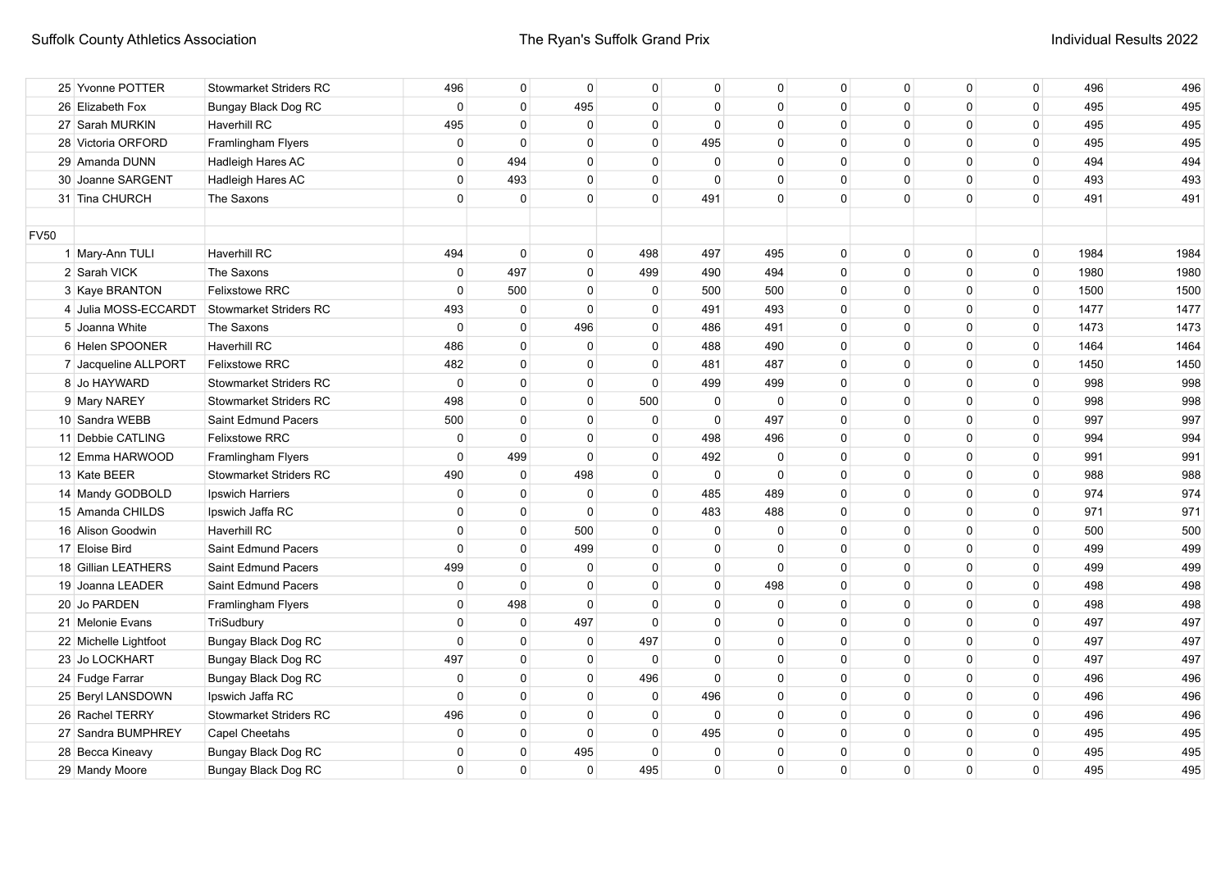|             | 25 Yvonne POTTER      | <b>Stowmarket Striders RC</b> | 496          | 0              | $\mathbf{0}$ | $\mathbf 0$  | 0            | $\Omega$    | $\mathbf{0}$ | $\mathbf 0$ | 0            | 0        | 496  | 496  |
|-------------|-----------------------|-------------------------------|--------------|----------------|--------------|--------------|--------------|-------------|--------------|-------------|--------------|----------|------|------|
|             | 26 Elizabeth Fox      | Bungay Black Dog RC           | $\mathbf 0$  | $\overline{0}$ | 495          | $\Omega$     | $\mathbf 0$  | $\Omega$    | $\Omega$     | $\Omega$    | $\Omega$     | $\Omega$ | 495  | 495  |
|             | 27 Sarah MURKIN       | Haverhill RC                  | 495          | 0              | $\mathbf 0$  | $\Omega$     | 0            | 0           | 0            | $\Omega$    | $\Omega$     | 0        | 495  | 495  |
|             | 28 Victoria ORFORD    | Framlingham Flyers            | 0            | $\mathbf 0$    | 0            | $\Omega$     | 495          | 0           | 0            | $\Omega$    | $\Omega$     | 0        | 495  | 495  |
|             | 29 Amanda DUNN        | Hadleigh Hares AC             | $\mathbf 0$  | 494            | $\mathbf 0$  | $\Omega$     | $\mathbf 0$  | $\Omega$    | 0            | $\Omega$    | $\Omega$     | 0        | 494  | 494  |
|             | 30 Joanne SARGENT     | Hadleigh Hares AC             | $\mathbf 0$  | 493            | $\mathbf 0$  | $\Omega$     | $\mathbf{0}$ | $\Omega$    | $\mathbf 0$  | $\Omega$    | $\mathbf{0}$ | 0        | 493  | 493  |
|             | 31 Tina CHURCH        | The Saxons                    | $\mathbf 0$  | $\mathbf 0$    | $\mathbf 0$  | $\Omega$     | 491          | $\Omega$    | $\Omega$     | $\Omega$    | $\Omega$     | 0        | 491  | 491  |
|             |                       |                               |              |                |              |              |              |             |              |             |              |          |      |      |
| <b>FV50</b> |                       |                               |              |                |              |              |              |             |              |             |              |          |      |      |
|             | 1 Mary-Ann TULI       | <b>Haverhill RC</b>           | 494          | $\mathbf 0$    | $\mathbf 0$  | 498          | 497          | 495         | $\mathbf 0$  | $\mathbf 0$ | 0            | 0        | 1984 | 1984 |
|             | 2 Sarah VICK          | The Saxons                    | $\mathbf 0$  | 497            | $\mathbf 0$  | 499          | 490          | 494         | $\mathbf 0$  | $\mathbf 0$ | $\mathbf 0$  | 0        | 1980 | 1980 |
|             | 3 Kaye BRANTON        | <b>Felixstowe RRC</b>         | $\mathbf{0}$ | 500            | $\mathbf{0}$ | $\mathbf 0$  | 500          | 500         | $\mathbf 0$  | $\mathbf 0$ | $\mathbf 0$  | 0        | 1500 | 1500 |
|             | 4 Julia MOSS-ECCARDT  | Stowmarket Striders RC        | 493          | $\mathbf 0$    | $\mathbf{0}$ | 0            | 491          | 493         | 0            | $\Omega$    | 0            | 0        | 1477 | 1477 |
|             | 5 Joanna White        | The Saxons                    | $\mathbf 0$  | $\overline{0}$ | 496          | 0            | 486          | 491         | 0            | $\Omega$    | 0            | 0        | 1473 | 1473 |
|             | 6 Helen SPOONER       | Haverhill RC                  | 486          | $\overline{0}$ | $\mathbf 0$  | $\mathbf{0}$ | 488          | 490         | 0            | $\Omega$    | 0            | 0        | 1464 | 1464 |
|             | 7 Jacqueline ALLPORT  | Felixstowe RRC                | 482          | $\Omega$       | $\mathbf{0}$ | $\Omega$     | 481          | 487         | $\Omega$     | $\Omega$    | $\Omega$     | 0        | 1450 | 1450 |
|             | 8 Jo HAYWARD          | <b>Stowmarket Striders RC</b> | $\mathbf 0$  | $\Omega$       | $\mathbf{0}$ | $\Omega$     | 499          | 499         | $\Omega$     | $\Omega$    | $\Omega$     | $\Omega$ | 998  | 998  |
|             | 9 Mary NAREY          | <b>Stowmarket Striders RC</b> | 498          | $\mathbf 0$    | $\mathbf 0$  | 500          | $\mathbf 0$  | $\Omega$    | 0            | $\Omega$    | $\Omega$     | 0        | 998  | 998  |
|             | 10 Sandra WEBB        | Saint Edmund Pacers           | 500          | $\mathbf 0$    | $\mathbf 0$  | 0            | 0            | 497         | 0            | $\Omega$    | $\Omega$     | 0        | 997  | 997  |
|             | 11 Debbie CATLING     | <b>Felixstowe RRC</b>         | $\mathbf 0$  | $\mathbf 0$    | $\mathbf 0$  | 0            | 498          | 496         | $\mathbf{0}$ | $\Omega$    | $\Omega$     | 0        | 994  | 994  |
|             | 12 Emma HARWOOD       | Framlingham Flyers            | $\mathbf 0$  | 499            | $\Omega$     | $\mathbf{0}$ | 492          | $\Omega$    | $\mathbf{0}$ | $\Omega$    | $\Omega$     | 0        | 991  | 991  |
|             | 13 Kate BEER          | <b>Stowmarket Striders RC</b> | 490          | $\mathbf 0$    | 498          | $\mathbf{0}$ | $\mathbf 0$  | $\Omega$    | $\Omega$     | $\Omega$    | $\Omega$     | 0        | 988  | 988  |
|             | 14 Mandy GODBOLD      | Ipswich Harriers              | $\mathbf 0$  | 0              | $\mathbf 0$  | 0            | 485          | 489         | 0            | $\Omega$    | $\Omega$     | 0        | 974  | 974  |
|             | 15 Amanda CHILDS      | Ipswich Jaffa RC              | $\mathbf 0$  | $\mathbf 0$    | $\mathbf 0$  | $\mathbf 0$  | 483          | 488         | $\mathbf 0$  | $\Omega$    | 0            | 0        | 971  | 971  |
|             | 16 Alison Goodwin     | <b>Haverhill RC</b>           | $\mathbf 0$  | $\overline{0}$ | 500          | $\mathbf 0$  | $\mathbf 0$  | $\mathbf 0$ | $\mathbf 0$  | $\mathbf 0$ | $\mathbf 0$  | 0        | 500  | 500  |
|             | 17 Eloise Bird        | Saint Edmund Pacers           | $\mathbf 0$  | $\overline{0}$ | 499          | $\mathbf 0$  | $\mathbf 0$  | $\Omega$    | $\mathbf 0$  | $\mathbf 0$ | $\mathbf 0$  | 0        | 499  | 499  |
|             | 18 Gillian LEATHERS   | Saint Edmund Pacers           | 499          | $\overline{0}$ | $\mathbf 0$  | $\Omega$     | $\mathbf{0}$ | $\Omega$    | $\Omega$     | $\Omega$    | $\mathbf{0}$ | 0        | 499  | 499  |
|             | 19 Joanna LEADER      | Saint Edmund Pacers           | 0            | $\overline{0}$ | $\mathbf 0$  | 0            | 0            | 498         | 0            | 0           | 0            | 0        | 498  | 498  |
|             | 20 Jo PARDEN          | Framlingham Flyers            | 0            | 498            | $\mathbf{0}$ | 0            | 0            | 0           | 0            | 0           | 0            | 0        | 498  | 498  |
|             | 21 Melonie Evans      | TriSudbury                    | $\mathbf 0$  | $\mathbf 0$    | 497          | 0            | 0            | 0           | 0            | 0           | 0            | 0        | 497  | 497  |
|             | 22 Michelle Lightfoot | <b>Bungay Black Dog RC</b>    | $\mathbf 0$  | $\mathbf 0$    | $\mathbf{0}$ | 497          | 0            | $\Omega$    | $\mathbf 0$  | $\Omega$    | 0            | 0        | 497  | 497  |
|             | 23 Jo LOCKHART        | Bungay Black Dog RC           | 497          | $\mathbf 0$    | $\mathbf 0$  | $\Omega$     | $\mathbf{0}$ | $\Omega$    | $\Omega$     | $\Omega$    | $\Omega$     | $\Omega$ | 497  | 497  |
|             | 24 Fudge Farrar       | Bungay Black Dog RC           | 0            | 0              | 0            | 496          | 0            | 0           | 0            | $\Omega$    | $\Omega$     | 0        | 496  | 496  |
|             | 25 Beryl LANSDOWN     | Ipswich Jaffa RC              | $\mathbf 0$  | 0              | $\mathbf 0$  | 0            | 496          | $\Omega$    | 0            | $\Omega$    | $\Omega$     | 0        | 496  | 496  |
|             | 26 Rachel TERRY       | <b>Stowmarket Striders RC</b> | 496          | 0              | $\mathbf 0$  | 0            | 0            | $\Omega$    | 0            | $\Omega$    | $\Omega$     | 0        | 496  | 496  |
|             | 27 Sandra BUMPHREY    | Capel Cheetahs                | $\mathbf 0$  | 0              | $\mathbf 0$  | $\Omega$     | 495          | $\Omega$    | $\Omega$     | $\Omega$    | $\mathbf{0}$ | 0        | 495  | 495  |
|             | 28 Becca Kineavy      | Bungay Black Dog RC           | $\mathbf 0$  | 0              | 495          | $\Omega$     | 0            | $\Omega$    | $\mathbf{0}$ | $\Omega$    | $\Omega$     | 0        | 495  | 495  |
|             | 29 Mandy Moore        | Bungay Black Dog RC           | $\mathbf 0$  | 0              | $\mathbf 0$  | 495          | $\mathbf{0}$ | $\mathbf 0$ | $\mathbf 0$  | $\Omega$    | 0            | 0        | 495  | 495  |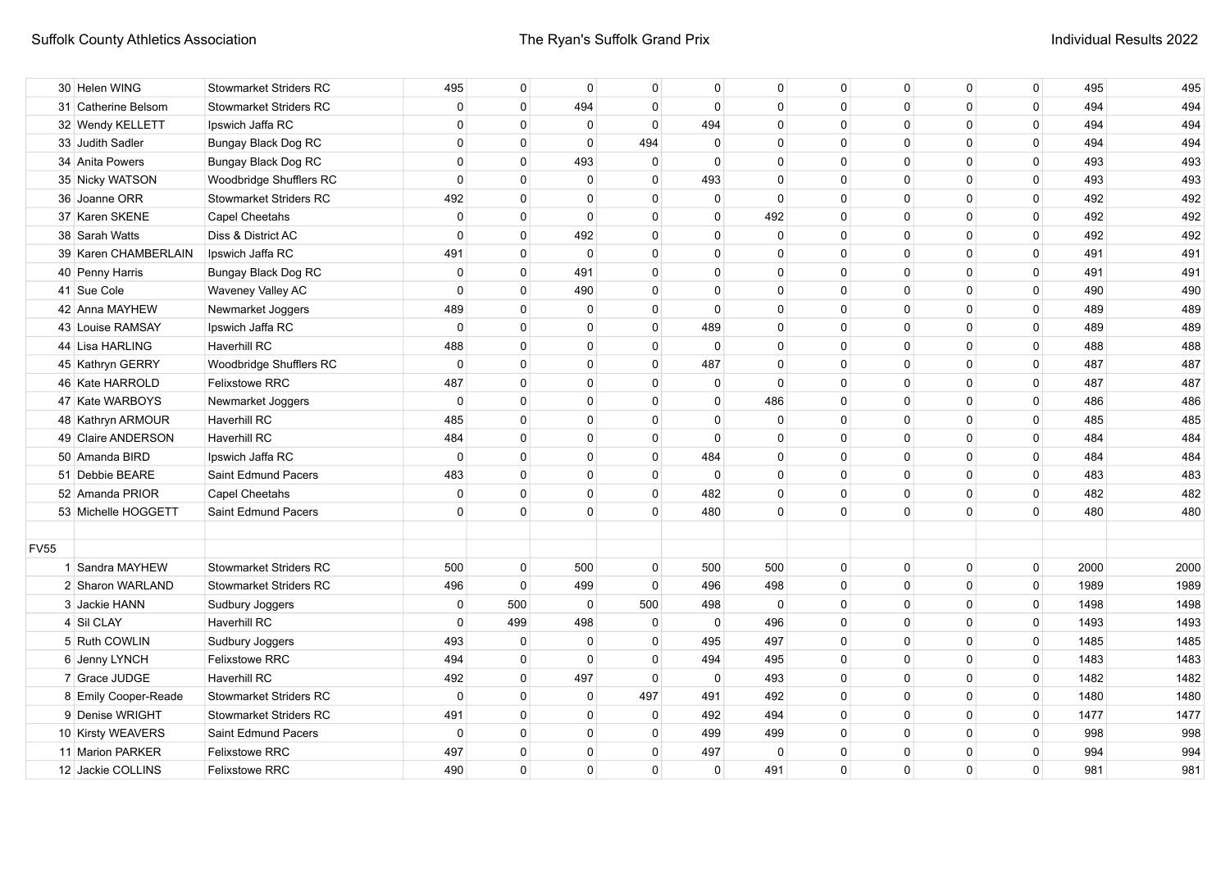| 30 Helen WING        | <b>Stowmarket Striders RC</b> | 495         | 0              | $\mathbf 0$ | 0            |          | 0           | 0                                                                                                                                                                                                                                                               | 0            | 0            | 0            | 495  | 495  |
|----------------------|-------------------------------|-------------|----------------|-------------|--------------|----------|-------------|-----------------------------------------------------------------------------------------------------------------------------------------------------------------------------------------------------------------------------------------------------------------|--------------|--------------|--------------|------|------|
| 31 Catherine Belsom  | <b>Stowmarket Striders RC</b> | $\mathbf 0$ | $\mathbf 0$    | 494         | $\Omega$     |          | 0           | $\Omega$                                                                                                                                                                                                                                                        | 0            | $\Omega$     | 0            | 494  | 494  |
| 32 Wendy KELLETT     | Ipswich Jaffa RC              | $\mathbf 0$ | 0              | $\mathbf 0$ | $\Omega$     | 494      | $\Omega$    | $\Omega$                                                                                                                                                                                                                                                        | $\Omega$     | $\Omega$     | 0            | 494  | 494  |
| 33 Judith Sadler     | Bungay Black Dog RC           | $\mathbf 0$ | $\mathbf 0$    | $\mathbf 0$ | 494          |          | $\Omega$    | $\mathbf{0}$                                                                                                                                                                                                                                                    | $\Omega$     | $\mathbf{0}$ | 0            | 494  | 494  |
| 34 Anita Powers      | Bungay Black Dog RC           | $\mathbf 0$ | $\mathbf 0$    | 493         | $\mathbf{0}$ |          | $\Omega$    | $\Omega$                                                                                                                                                                                                                                                        | $\Omega$     | $\Omega$     | 0            | 493  | 493  |
| 35 Nicky WATSON      | Woodbridge Shufflers RC       | $\mathbf 0$ | 0              | $\mathbf 0$ | $\Omega$     |          | $\Omega$    | $\Omega$                                                                                                                                                                                                                                                        | $\Omega$     | $\Omega$     | 0            | 493  | 493  |
| 36 Joanne ORR        | <b>Stowmarket Striders RC</b> | 492         | $\mathbf 0$    | $\mathbf 0$ | $\Omega$     |          | $\Omega$    | $\Omega$                                                                                                                                                                                                                                                        | 0            | $\Omega$     | 0            | 492  | 492  |
| 37 Karen SKENE       | <b>Capel Cheetahs</b>         | $\mathbf 0$ | $\mathbf 0$    | $\mathbf 0$ | $\Omega$     |          | 492         | $\Omega$                                                                                                                                                                                                                                                        | $\Omega$     | $\Omega$     | 0            | 492  | 492  |
| 38 Sarah Watts       | Diss & District AC            | $\mathbf 0$ | $\mathbf 0$    | 492         | $\Omega$     |          | $\Omega$    | $\Omega$                                                                                                                                                                                                                                                        | $\mathbf{0}$ | $\Omega$     | 0            | 492  | 492  |
| 39 Karen CHAMBERLAIN | Ipswich Jaffa RC              | 491         | $\overline{0}$ | $\mathbf 0$ | $\Omega$     |          | $\Omega$    | $\Omega$                                                                                                                                                                                                                                                        | $\mathbf{0}$ | $\Omega$     | 0            | 491  | 491  |
| 40 Penny Harris      | Bungay Black Dog RC           | $\mathbf 0$ | $\overline{0}$ | 491         | $\Omega$     |          | $\Omega$    | $\Omega$                                                                                                                                                                                                                                                        | $\mathbf{0}$ | $\Omega$     | 0            | 491  | 491  |
| 41 Sue Cole          | Waveney Valley AC             | $\mathbf 0$ | $\overline{0}$ | 490         | $\Omega$     |          | $\Omega$    | $\Omega$                                                                                                                                                                                                                                                        | $\Omega$     | $\Omega$     | 0            | 490  | 490  |
| 42 Anna MAYHEW       | Newmarket Joggers             | 489         | $\Omega$       | $\Omega$    | $\Omega$     |          | $\Omega$    | $\Omega$                                                                                                                                                                                                                                                        | $\Omega$     | $\Omega$     | 0            | 489  | 489  |
| 43 Louise RAMSAY     | Ipswich Jaffa RC              | $\mathbf 0$ | $\Omega$       | $\Omega$    | $\Omega$     |          | $\Omega$    | $\Omega$                                                                                                                                                                                                                                                        | $\Omega$     | $\Omega$     | 0            | 489  | 489  |
| 44 Lisa HARLING      | Haverhill RC                  | 488         | $\Omega$       | $\Omega$    | $\Omega$     |          | $\Omega$    | $\Omega$                                                                                                                                                                                                                                                        | $\Omega$     | $\Omega$     | 0            | 488  | 488  |
| 45 Kathryn GERRY     | Woodbridge Shufflers RC       | $\mathbf 0$ | $\Omega$       | $\Omega$    | $\Omega$     | 487      | $\Omega$    | $\Omega$                                                                                                                                                                                                                                                        | $\Omega$     | $\Omega$     | 0            | 487  | 487  |
| 46 Kate HARROLD      | <b>Felixstowe RRC</b>         | 487         | $\mathbf 0$    | $\Omega$    | $\Omega$     |          | $\Omega$    | $\Omega$                                                                                                                                                                                                                                                        | $\Omega$     | $\Omega$     | 0            | 487  | 487  |
| 47 Kate WARBOYS      | Newmarket Joggers             | $\mathbf 0$ | $\mathbf 0$    | 0           | $\Omega$     |          | 486         | $\Omega$                                                                                                                                                                                                                                                        | $\Omega$     | $\Omega$     | 0            | 486  | 486  |
| 48 Kathryn ARMOUR    | Haverhill RC                  | 485         | 0              | 0           | $\Omega$     |          | $\Omega$    | $\Omega$                                                                                                                                                                                                                                                        | $\Omega$     | 0            | 0            | 485  | 485  |
| 49 Claire ANDERSON   | <b>Haverhill RC</b>           | 484         | 0              | $\mathbf 0$ | $\Omega$     | $\Omega$ | $\Omega$    | $\Omega$                                                                                                                                                                                                                                                        | $\Omega$     | $\Omega$     | 0            | 484  | 484  |
| 50 Amanda BIRD       | Ipswich Jaffa RC              | $\mathbf 0$ | $\mathbf 0$    | $\mathbf 0$ | 0            | 484      | 0           | $\Omega$                                                                                                                                                                                                                                                        | $\Omega$     | $\Omega$     | 0            | 484  | 484  |
| 51 Debbie BEARE      | Saint Edmund Pacers           | 483         | $\mathbf 0$    | $\mathbf 0$ | 0            |          | $\mathbf 0$ | $\Omega$                                                                                                                                                                                                                                                        | $\mathbf{0}$ | $\Omega$     | 0            | 483  | 483  |
| 52 Amanda PRIOR      | <b>Capel Cheetahs</b>         | $\mathbf 0$ | $\mathbf 0$    | $\mathbf 0$ | $\mathbf 0$  |          | $\mathbf 0$ | $\mathbf{0}$                                                                                                                                                                                                                                                    | $\mathbf{0}$ | $\Omega$     | 0            | 482  | 482  |
| 53 Michelle HOGGETT  | Saint Edmund Pacers           | $\mathbf 0$ | $\mathbf 0$    | $\Omega$    | $\Omega$     | 480      | $\Omega$    | $\Omega$                                                                                                                                                                                                                                                        | $\Omega$     | $\Omega$     | 0            | 480  | 480  |
|                      |                               |             |                |             |              |          |             |                                                                                                                                                                                                                                                                 |              |              |              |      |      |
|                      |                               |             |                |             |              |          |             |                                                                                                                                                                                                                                                                 |              |              |              |      |      |
| 1 Sandra MAYHEW      | <b>Stowmarket Striders RC</b> | 500         | $\overline{0}$ | 500         | 0            |          | 500         | 0                                                                                                                                                                                                                                                               | 0            | 0            | $\mathbf{0}$ | 2000 | 2000 |
| 2 Sharon WARLAND     | <b>Stowmarket Striders RC</b> | 496         | $\overline{0}$ | 499         | $\mathbf 0$  |          | 498         | $\Omega$                                                                                                                                                                                                                                                        | 0            | $\Omega$     | 0            | 1989 | 1989 |
| 3 Jackie HANN        | Sudbury Joggers               | 0           | 500            | $\mathbf 0$ | 500          |          | $\Omega$    | $\Omega$                                                                                                                                                                                                                                                        | $\mathbf{0}$ | $\Omega$     | 0            | 1498 | 1498 |
| 4 Sil CLAY           | Haverhill RC                  | $\mathbf 0$ | 499            | 498         | $\Omega$     |          | 496         | $\Omega$                                                                                                                                                                                                                                                        | $\mathbf{0}$ | $\Omega$     | 0            | 1493 | 1493 |
| 5 Ruth COWLIN        | Sudbury Joggers               | 493         | $\mathbf 0$    | $\mathbf 0$ | $\Omega$     |          | 497         | $\Omega$                                                                                                                                                                                                                                                        | $\Omega$     | $\Omega$     | 0            | 1485 | 1485 |
| 6 Jenny LYNCH        | Felixstowe RRC                | 494         | $\mathbf 0$    | $\mathbf 0$ | $\Omega$     | 494      | 495         | $\Omega$                                                                                                                                                                                                                                                        | $\Omega$     | $\Omega$     | 0            | 1483 | 1483 |
| 7 Grace JUDGE        | <b>Haverhill RC</b>           | 492         | $\mathbf 0$    | 497         | $\Omega$     |          | 493         | $\Omega$                                                                                                                                                                                                                                                        | $\Omega$     | $\Omega$     | 0            | 1482 | 1482 |
| 8 Emily Cooper-Reade | <b>Stowmarket Striders RC</b> | $\mathbf 0$ | $\mathbf 0$    | $\mathbf 0$ | 497          | 491      | 492         | $\Omega$                                                                                                                                                                                                                                                        | $\mathbf{0}$ | $\Omega$     | 0            | 1480 | 1480 |
| 9 Denise WRIGHT      | <b>Stowmarket Striders RC</b> | 491         | $\Omega$       | $\mathbf 0$ | $\Omega$     |          | 494         | $\Omega$                                                                                                                                                                                                                                                        | $\Omega$     | $\Omega$     | 0            | 1477 | 1477 |
| 10 Kirsty WEAVERS    | Saint Edmund Pacers           | $\mathbf 0$ | $\Omega$       | 0           | 0            |          | 499         | $\Omega$                                                                                                                                                                                                                                                        | $\Omega$     | $\Omega$     | 0            | 998  | 998  |
| 11 Marion PARKER     | <b>Felixstowe RRC</b>         | 497         | 0              | $\mathbf 0$ | 0            | 497      | $\Omega$    | $\Omega$                                                                                                                                                                                                                                                        | $\Omega$     | $\Omega$     | 0            | 994  | 994  |
| 12 Jackie COLLINS    | <b>Felixstowe RRC</b>         | 490         | $\mathbf 0$    | $\mathbf 0$ | $\Omega$     |          | 491         | $\Omega$                                                                                                                                                                                                                                                        | $\mathbf{0}$ | $\Omega$     | 0            | 981  | 981  |
|                      |                               |             |                |             |              |          |             | 0<br>$\mathbf 0$<br>$\mathbf 0$<br>$\Omega$<br>493<br>0<br>0<br>0<br>0<br>$\mathbf{0}$<br>$\mathbf{0}$<br>$\Omega$<br>489<br>$\Omega$<br>0<br>0<br>0<br>$\Omega$<br>482<br>500<br>496<br>498<br>$\mathbf 0$<br>495<br>$\mathbf{0}$<br>492<br>499<br>$\mathbf 0$ |              |              |              |      |      |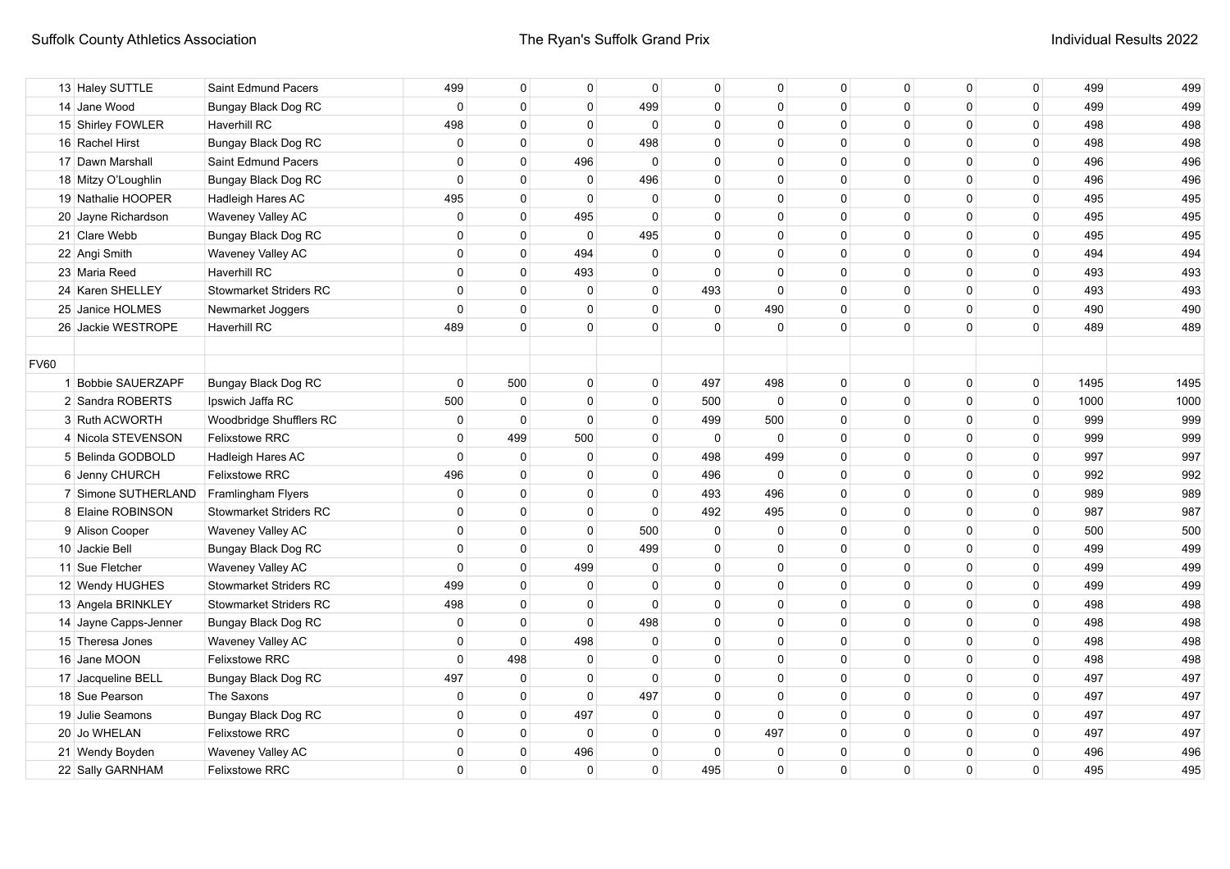|             | 13 Haley SUTTLE       | Saint Edmund Pacers           | 499            | $\mathbf{0}$ | 0              | $\mathbf{0}$ | 0           | 0            | 0            | $\mathbf{0}$ | 0            | $\mathbf 0$ | 499  | 499  |
|-------------|-----------------------|-------------------------------|----------------|--------------|----------------|--------------|-------------|--------------|--------------|--------------|--------------|-------------|------|------|
|             | 14 Jane Wood          | Bungay Black Dog RC           | $\mathbf 0$    | $\Omega$     | $\mathbf 0$    | 499          | $\mathbf 0$ | $\Omega$     | $\Omega$     | $\Omega$     | $\mathbf{0}$ | $\mathbf 0$ | 499  | 499  |
|             | 15 Shirley FOWLER     | <b>Haverhill RC</b>           | 498            | $\Omega$     | $\mathbf 0$    | $\mathbf 0$  | $\mathbf 0$ | $\Omega$     | $\Omega$     | $\Omega$     | $\mathbf{0}$ | $\mathbf 0$ | 498  | 498  |
|             | 16 Rachel Hirst       | Bungay Black Dog RC           | $\mathbf 0$    | $\mathbf 0$  | $\mathbf 0$    | 498          | 0           | $\Omega$     | $\Omega$     | $\Omega$     | $\mathbf{0}$ | 0           | 498  | 498  |
|             | 17 Dawn Marshall      | Saint Edmund Pacers           | 0              | $\mathbf 0$  | 496            | $\mathbf 0$  | 0           | $\mathbf{0}$ | $\Omega$     | $\Omega$     | $\mathbf 0$  | $\mathbf 0$ | 496  | 496  |
|             | 18 Mitzy O'Loughlin   | Bungay Black Dog RC           | $\mathbf 0$    | $\mathbf 0$  | $\overline{0}$ | 496          | 0           | $\mathbf 0$  | $\mathbf{0}$ | $\Omega$     | $\mathbf 0$  | $\mathbf 0$ | 496  | 496  |
|             | 19 Nathalie HOOPER    | Hadleigh Hares AC             | 495            | $\Omega$     | $\Omega$       | $\Omega$     | $\mathbf 0$ | $\mathbf 0$  | $\Omega$     | $\Omega$     | $\mathbf{0}$ | $\mathbf 0$ | 495  | 495  |
|             | 20 Jayne Richardson   | Waveney Valley AC             | $\mathbf 0$    | $\Omega$     | 495            | $\Omega$     | $\Omega$    | $\Omega$     | $\Omega$     | $\Omega$     | $\mathbf 0$  | $\mathbf 0$ | 495  | 495  |
|             | 21 Clare Webb         | Bungay Black Dog RC           | $\mathbf 0$    | $\Omega$     | $\mathbf 0$    | 495          | 0           | $\mathbf 0$  | $\Omega$     | $\Omega$     | $\Omega$     | 0           | 495  | 495  |
|             | 22 Angi Smith         | Waveney Valley AC             | $\overline{0}$ | $\mathbf{0}$ | 494            | $\Omega$     | 0           | 0            | $\Omega$     | $\Omega$     | $\Omega$     | 0           | 494  | 494  |
|             | 23 Maria Reed         | <b>Haverhill RC</b>           | $\overline{0}$ | 0            | 493            | $\Omega$     | $\mathbf 0$ | 0            | $\Omega$     | $\Omega$     | $\Omega$     | 0           | 493  | 493  |
|             | 24 Karen SHELLEY      | <b>Stowmarket Striders RC</b> | 0              | $\mathbf{0}$ | $\mathbf 0$    | $\Omega$     | 493         | $\Omega$     | $\Omega$     | $\Omega$     | $\Omega$     | 0           | 493  | 493  |
|             | 25 Janice HOLMES      | Newmarket Joggers             | $\mathbf 0$    | $\mathbf 0$  | 0              | $\mathbf{0}$ | $\mathbf 0$ | 490          | $\Omega$     | $\Omega$     | $\mathbf 0$  | 0           | 490  | 490  |
|             | 26 Jackie WESTROPE    | Haverhill RC                  | 489            | $\Omega$     | $\Omega$       | $\Omega$     | $\Omega$    | $\Omega$     | $\Omega$     | $\Omega$     | $\Omega$     | $\mathbf 0$ | 489  | 489  |
|             |                       |                               |                |              |                |              |             |              |              |              |              |             |      |      |
| <b>FV60</b> |                       |                               |                |              |                |              |             |              |              |              |              |             |      |      |
|             | 1 Bobbie SAUERZAPF    | Bungay Black Dog RC           | $\mathbf 0$    | 500          | $\mathbf 0$    | $\mathbf{0}$ | 497         | 498          | $\Omega$     | $\Omega$     | $\Omega$     | $\mathbf 0$ | 1495 | 1495 |
|             | 2 Sandra ROBERTS      | Ipswich Jaffa RC              | 500            | $\mathbf 0$  | $\Omega$       | $\mathbf{0}$ | 500         | $\Omega$     | $\Omega$     | $\Omega$     | $\Omega$     | $\mathbf 0$ | 1000 | 1000 |
|             | 3 Ruth ACWORTH        | Woodbridge Shufflers RC       | $\mathbf 0$    | $\mathbf{0}$ | $\Omega$       | $\mathbf{0}$ | 499         | 500          | $\Omega$     | $\Omega$     | $\Omega$     | $\mathbf 0$ | 999  | 999  |
|             | 4 Nicola STEVENSON    | Felixstowe RRC                | $\mathbf 0$    | 499          | 500            | $\mathbf{0}$ | $\Omega$    | $\Omega$     | $\Omega$     | $\Omega$     | $\Omega$     | $\mathbf 0$ | 999  | 999  |
|             | 5 Belinda GODBOLD     | Hadleigh Hares AC             | $\mathbf{0}$   | 0            | $\Omega$       | $\mathbf{0}$ | 498         | 499          | $\Omega$     | $\Omega$     | $\Omega$     | 0           | 997  | 997  |
|             | 6 Jenny CHURCH        | <b>Felixstowe RRC</b>         | 496            | 0            | $\mathbf 0$    | $\Omega$     | 496         | $\Omega$     | $\Omega$     | $\Omega$     | $\Omega$     | $\pmb{0}$   | 992  | 992  |
|             | 7 Simone SUTHERLAND   | Framlingham Flyers            | $\mathbf 0$    | 0            | $\mathbf 0$    | $\Omega$     | 493         | 496          | $\Omega$     | $\Omega$     | $\mathbf{0}$ | 0           | 989  | 989  |
|             | 8 Elaine ROBINSON     | <b>Stowmarket Striders RC</b> | $\mathbf 0$    | 0            | $\mathbf 0$    | $\Omega$     | 492         | 495          | $\Omega$     | $\Omega$     | $\mathbf{0}$ | 0           | 987  | 987  |
|             | 9 Alison Cooper       | Waveney Valley AC             | $\mathbf 0$    | 0            | $\mathbf 0$    | 500          | $\mathbf 0$ | $\Omega$     | $\Omega$     | $\Omega$     | $\mathbf 0$  | 0           | 500  | 500  |
|             | 10 Jackie Bell        | Bungay Black Dog RC           | $\mathbf 0$    | $\mathbf{0}$ | $\mathbf 0$    | 499          | $\mathbf 0$ | $\mathbf 0$  | $\Omega$     | $\Omega$     | $\mathbf 0$  | $\mathbf 0$ | 499  | 499  |
|             | 11 Sue Fletcher       | Waveney Valley AC             | $\mathbf 0$    | $\mathbf{0}$ | 499            | $\Omega$     | $\mathbf 0$ | $\mathbf 0$  | $\Omega$     | $\Omega$     | $\mathbf 0$  | $\mathbf 0$ | 499  | 499  |
|             | 12 Wendy HUGHES       | <b>Stowmarket Striders RC</b> | 499            | $\mathbf{0}$ | $\mathbf 0$    | $\Omega$     | $\mathbf 0$ | $\mathbf 0$  | $\Omega$     | $\mathbf{0}$ | $\mathbf 0$  | $\mathbf 0$ | 499  | 499  |
|             | 13 Angela BRINKLEY    | <b>Stowmarket Striders RC</b> | 498            | $\mathbf{0}$ | $\mathbf 0$    | $\Omega$     | $\mathbf 0$ | $\mathbf 0$  | $\Omega$     | $\mathbf{0}$ | $\mathbf 0$  | $\mathbf 0$ | 498  | 498  |
|             | 14 Jayne Capps-Jenner | Bungay Black Dog RC           | $\mathbf 0$    | $\mathbf{0}$ | $\mathbf 0$    | 498          | $\mathbf 0$ | $\mathbf 0$  | $\Omega$     | $\Omega$     | $\mathbf 0$  | $\mathbf 0$ | 498  | 498  |
|             | 15 Theresa Jones      | Waveney Valley AC             | $\mathbf 0$    | $\mathbf 0$  | 498            | $\Omega$     | $\mathbf 0$ | $\mathbf 0$  | $\Omega$     | $\Omega$     | $\mathbf{0}$ | $\mathbf 0$ | 498  | 498  |
|             | 16 Jane MOON          | <b>Felixstowe RRC</b>         | $\mathbf{0}$   | 498          | $\mathbf 0$    | $\Omega$     | $\Omega$    | $\Omega$     | $\Omega$     | $\Omega$     | $\Omega$     | $\mathbf 0$ | 498  | 498  |
|             | 17 Jacqueline BELL    | <b>Bungay Black Dog RC</b>    | 497            | $\mathbf 0$  | $\mathbf 0$    | $\Omega$     | $\Omega$    | $\Omega$     | $\Omega$     | $\Omega$     | $\Omega$     | 0           | 497  | 497  |
|             | 18 Sue Pearson        | The Saxons                    | $\mathbf 0$    | 0            | $\Omega$       | 497          | $\Omega$    | $\Omega$     | $\Omega$     | $\Omega$     | $\Omega$     | $\pmb{0}$   | 497  | 497  |
|             | 19 Julie Seamons      | Bungay Black Dog RC           | 0              | 0            | 497            | $\Omega$     | $\mathbf 0$ | $\Omega$     | $\Omega$     | $\Omega$     | $\Omega$     | 0           | 497  | 497  |
|             | 20 Jo WHELAN          | <b>Felixstowe RRC</b>         | 0              | 0            | $\mathbf 0$    | $\Omega$     | $\mathbf 0$ | 497          | $\Omega$     | $\Omega$     | $\mathbf{0}$ | 0           | 497  | 497  |
|             | 21 Wendy Boyden       | Waveney Valley AC             | $\mathbf{0}$   | $\mathbf{0}$ | 496            | $\Omega$     | 0           | 0            | $\Omega$     | $\Omega$     | $\Omega$     | $\mathbf 0$ | 496  | 496  |
|             | 22 Sally GARNHAM      | <b>Felixstowe RRC</b>         | $\Omega$       | $\mathbf{0}$ | $\mathbf 0$    | $\Omega$     | 495         | $\Omega$     | $\Omega$     | $\Omega$     | $\Omega$     | $\Omega$    | 495  | 495  |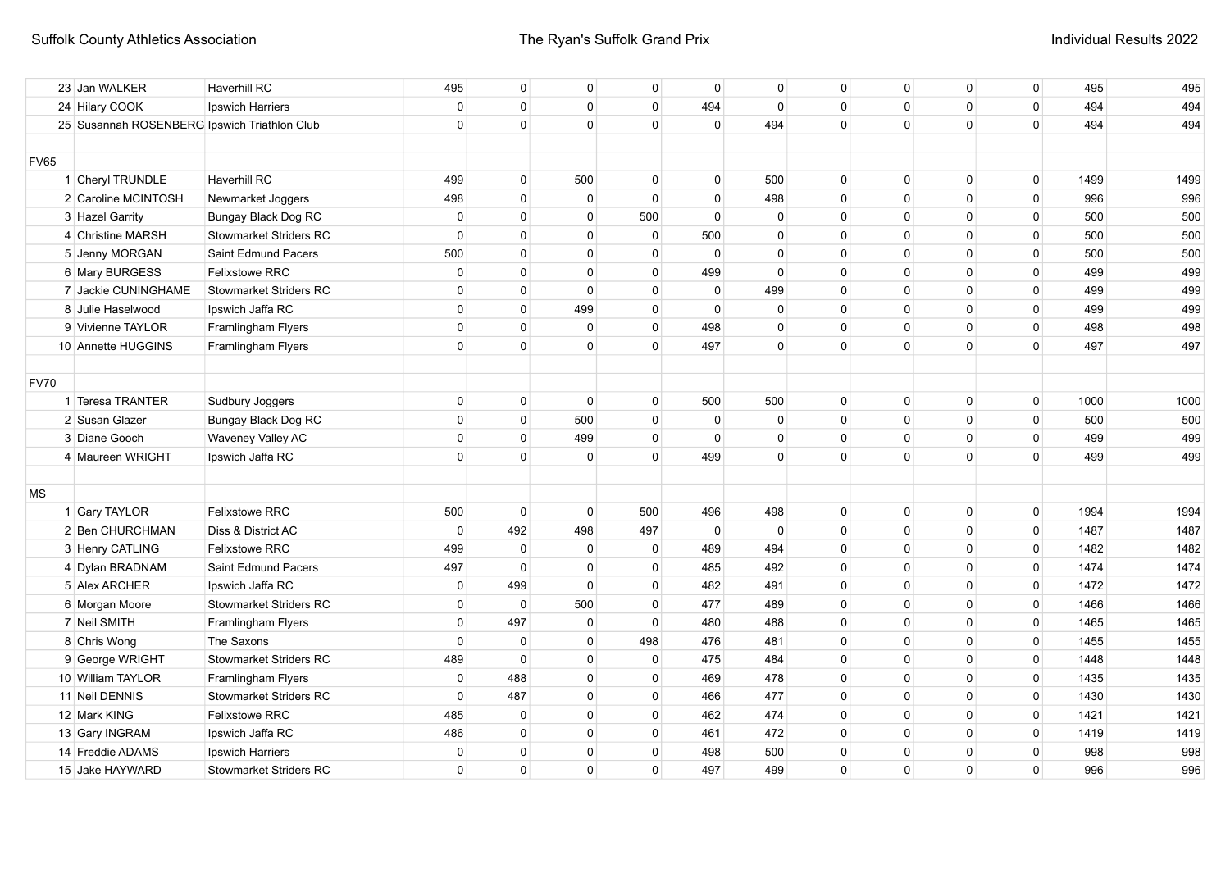|             | 23 Jan WALKER                                | <b>Haverhill RC</b>           | 495          | $\mathbf 0$  | 0           | 0            | $\mathbf 0$  | $\mathbf 0$ | 0            | 0            | $\mathbf 0$  | 0            | 495  | 495  |
|-------------|----------------------------------------------|-------------------------------|--------------|--------------|-------------|--------------|--------------|-------------|--------------|--------------|--------------|--------------|------|------|
|             | 24 Hilary COOK                               | Ipswich Harriers              | $\mathbf 0$  | $\mathbf{0}$ | $\mathbf 0$ | $\mathbf 0$  | 494          | $\mathbf 0$ | $\mathbf{0}$ | $\mathbf 0$  | $\mathbf 0$  | 0            | 494  | 494  |
|             | 25 Susannah ROSENBERG Ipswich Triathlon Club |                               | $\mathbf{0}$ | $\mathbf{0}$ | $\Omega$    | $\Omega$     | $\mathbf 0$  | 494         | $\Omega$     | $\Omega$     | $\mathbf{0}$ | $\mathbf 0$  | 494  | 494  |
|             |                                              |                               |              |              |             |              |              |             |              |              |              |              |      |      |
| <b>FV65</b> |                                              |                               |              |              |             |              |              |             |              |              |              |              |      |      |
|             | 1 Cheryl TRUNDLE                             | Haverhill RC                  | 499          | $\mathbf 0$  | 500         | $\mathbf{0}$ | $\Omega$     | 500         | 0            | 0            | $\Omega$     | $\mathbf 0$  | 1499 | 1499 |
|             | 2 Caroline MCINTOSH                          | Newmarket Joggers             | 498          | $\mathbf{0}$ | $\mathbf 0$ | $\Omega$     | $\mathbf 0$  | 498         | $\mathbf{0}$ | $\Omega$     | $\mathbf 0$  | $\mathbf 0$  | 996  | 996  |
|             | 3 Hazel Garrity                              | Bungay Black Dog RC           | $\mathbf 0$  | $\mathbf{0}$ | $\mathbf 0$ | 500          | $\mathbf 0$  | 0           | $\mathbf{0}$ | $\Omega$     | $\mathbf 0$  | 0            | 500  | 500  |
|             | 4 Christine MARSH                            | <b>Stowmarket Striders RC</b> | $\mathbf 0$  | $\mathbf{0}$ | $\mathbf 0$ | $\mathbf 0$  | 500          | 0           | $\mathbf{0}$ | $\Omega$     | $\mathbf 0$  | 0            | 500  | 500  |
|             | 5 Jenny MORGAN                               | Saint Edmund Pacers           | 500          | $\mathbf{0}$ | $\mathbf 0$ | $\Omega$     | $\mathbf 0$  | 0           | $\mathbf{0}$ | $\Omega$     | $\mathbf 0$  | 0            | 500  | 500  |
|             | 6 Mary BURGESS                               | Felixstowe RRC                | $\mathbf 0$  | $\mathbf{0}$ | $\mathbf 0$ | $\Omega$     | 499          | $\Omega$    | $\Omega$     | $\Omega$     | $\mathbf 0$  | $\mathbf 0$  | 499  | 499  |
|             | 7 Jackie CUNINGHAME                          | <b>Stowmarket Striders RC</b> | $\mathbf{0}$ | $\mathbf{0}$ | $\Omega$    | $\Omega$     | $\mathbf 0$  | 499         | $\Omega$     | $\Omega$     | $\mathbf{0}$ | $\mathbf 0$  | 499  | 499  |
|             | 8 Julie Haselwood                            | Ipswich Jaffa RC              | $\Omega$     | $\Omega$     | 499         | $\mathbf{0}$ | $\mathbf{0}$ | $\mathbf 0$ | $\Omega$     | $\Omega$     | $\Omega$     | $\mathbf 0$  | 499  | 499  |
|             | 9 Vivienne TAYLOR                            | Framlingham Flyers            | $\Omega$     | $\Omega$     | $\Omega$    | $\mathbf{0}$ | 498          | $\Omega$    | $\Omega$     | $\Omega$     | $\Omega$     | $\mathbf 0$  | 498  | 498  |
|             | 10 Annette HUGGINS                           | Framlingham Flyers            | $\Omega$     | $\Omega$     | $\Omega$    | $\Omega$     | 497          | $\Omega$    | $\Omega$     | $\Omega$     | $\Omega$     | $\Omega$     | 497  | 497  |
|             |                                              |                               |              |              |             |              |              |             |              |              |              |              |      |      |
| <b>FV70</b> |                                              |                               |              |              |             |              |              |             |              |              |              |              |      |      |
|             | 1 Teresa TRANTER                             | Sudbury Joggers               | $\mathbf 0$  | $\mathbf 0$  | $\mathbf 0$ | 0            | 500          | 500         | 0            | $\Omega$     | $\mathbf 0$  | $\mathbf 0$  | 1000 | 1000 |
|             | 2 Susan Glazer                               | Bungay Black Dog RC           | $\mathbf 0$  | $\Omega$     | 500         | 0            | 0            | $\Omega$    | 0            | $\Omega$     | 0            | $\mathsf 0$  | 500  | 500  |
|             | 3 Diane Gooch                                | Waveney Valley AC             | $\mathbf 0$  | $\Omega$     | 499         | 0            | 0            | $\Omega$    | 0            | 0            | 0            | 0            | 499  | 499  |
|             | 4 Maureen WRIGHT                             | Ipswich Jaffa RC              | $\mathbf 0$  | $\mathbf{0}$ | $\mathbf 0$ | $\mathbf{0}$ | 499          | 0           | $\Omega$     | $\Omega$     | $\mathbf{0}$ | $\mathbf 0$  | 499  | 499  |
|             |                                              |                               |              |              |             |              |              |             |              |              |              |              |      |      |
| МS          |                                              |                               |              |              |             |              |              |             |              |              |              |              |      |      |
|             | 1 Gary TAYLOR                                | <b>Felixstowe RRC</b>         | 500          | $\mathbf 0$  | $\mathbf 0$ | 500          | 496          | 498         | $\mathbf{0}$ | $\mathbf 0$  | $\mathbf 0$  | $\mathbf{0}$ | 1994 | 1994 |
|             | 2 Ben CHURCHMAN                              | Diss & District AC            | $\mathbf 0$  | 492          | 498         | 497          | $\mathbf 0$  | $\Omega$    | $\Omega$     | $\Omega$     | $\Omega$     | $\mathbf 0$  | 1487 | 1487 |
|             | 3 Henry CATLING                              | <b>Felixstowe RRC</b>         | 499          | $\mathbf{0}$ | $\mathbf 0$ | 0            | 489          | 494         | 0            | 0            | $\mathbf 0$  | $\mathbf 0$  | 1482 | 1482 |
|             | 4 Dylan BRADNAM                              | Saint Edmund Pacers           | 497          | $\mathbf{0}$ | $\mathbf 0$ | 0            | 485          | 492         | 0            | 0            | $\mathbf 0$  | 0            | 1474 | 1474 |
|             | 5 Alex ARCHER                                | Ipswich Jaffa RC              | $\mathbf 0$  | 499          | $\mathbf 0$ | 0            | 482          | 491         | $\mathbf{0}$ | 0            | $\mathbf 0$  | 0            | 1472 | 1472 |
|             | 6 Morgan Moore                               | <b>Stowmarket Striders RC</b> | $\mathbf 0$  | $\mathbf{0}$ | 500         | 0            | 477          | 489         | $\mathbf{0}$ | $\Omega$     | $\mathbf 0$  | 0            | 1466 | 1466 |
|             | 7 Neil SMITH                                 | Framlingham Flyers            | $\mathbf 0$  | 497          | $\mathbf 0$ | $\mathbf 0$  | 480          | 488         | $\mathbf{0}$ | $\mathbf{0}$ | $\mathbf 0$  | $\mathbf 0$  | 1465 | 1465 |
|             | 8 Chris Wong                                 | The Saxons                    | $\mathbf 0$  | $\mathbf 0$  | $\mathbf 0$ | 498          | 476          | 481         | $\mathbf{0}$ | $\Omega$     | $\mathbf 0$  | $\mathbf 0$  | 1455 | 1455 |
|             | 9 George WRIGHT                              | <b>Stowmarket Striders RC</b> | 489          | $\mathbf 0$  | $\mathbf 0$ | $\Omega$     | 475          | 484         | $\mathbf{0}$ | $\Omega$     | $\mathbf{0}$ | $\mathbf 0$  | 1448 | 1448 |
|             | 10 William TAYLOR                            | Framlingham Flyers            | $\mathbf 0$  | 488          | $\mathbf 0$ | $\Omega$     | 469          | 478         | $\mathbf{0}$ | $\Omega$     | $\Omega$     | $\mathbf 0$  | 1435 | 1435 |
|             | 11 Neil DENNIS                               | <b>Stowmarket Striders RC</b> | $\mathbf 0$  | 487          | $\mathbf 0$ | $\mathbf{0}$ | 466          | 477         | $\Omega$     | $\Omega$     | $\mathbf{0}$ | $\mathbf 0$  | 1430 | 1430 |
|             | 12 Mark KING                                 | Felixstowe RRC                | 485          | 0            | $\Omega$    | $\mathbf{0}$ | 462          | 474         | $\Omega$     | $\Omega$     | $\mathbf{0}$ | $\mathsf 0$  | 1421 | 1421 |
|             | 13 Gary INGRAM                               | Ipswich Jaffa RC              | 486          | $\mathbf{0}$ | $^{\circ}$  | $\Omega$     | 461          | 472         | 0            | $\Omega$     | 0            | $\mathbf 0$  | 1419 | 1419 |
|             | 14 Freddie ADAMS                             | Ipswich Harriers              | $\mathbf 0$  | 0            | $^{\circ}$  | $\Omega$     | 498          | 500         | $\Omega$     | $\Omega$     | 0            | 0            | 998  | 998  |
|             | 15 Jake HAYWARD                              | <b>Stowmarket Striders RC</b> | $\mathbf 0$  | $\mathbf 0$  | $\mathbf 0$ | $\Omega$     | 497          | 499         | $\Omega$     | $\Omega$     | $\mathbf 0$  | $\mathbf 0$  | 996  | 996  |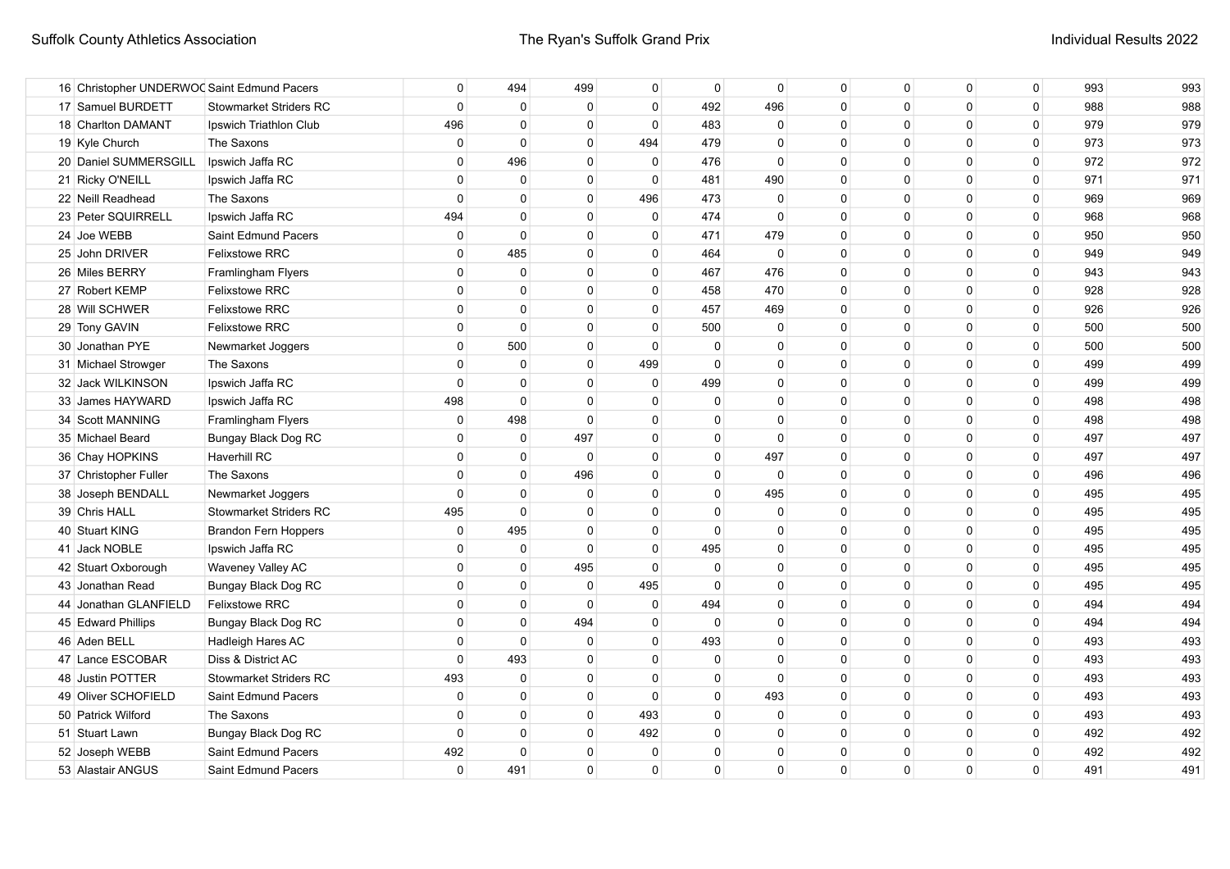| 16 Christopher UNDERWOO Saint Edmund Pacers |                               | 0            | 494          | 499          | $\Omega$     | $\mathbf{0}$ | $\mathbf{0}$ | $\Omega$     | $\mathbf{0}$ | $\mathbf{0}$ | $\mathbf 0$  | 993 | 993 |
|---------------------------------------------|-------------------------------|--------------|--------------|--------------|--------------|--------------|--------------|--------------|--------------|--------------|--------------|-----|-----|
| 17 Samuel BURDETT                           | <b>Stowmarket Striders RC</b> | $\mathbf 0$  | $\mathbf 0$  | $\mathbf 0$  | $\Omega$     | 492          | 496          | $\Omega$     | $\Omega$     | $\Omega$     | $\mathbf{0}$ | 988 | 988 |
| 18 Charlton DAMANT                          | Ipswich Triathlon Club        | 496          | $\Omega$     | $\mathbf 0$  | $\Omega$     | 483          | $\mathbf{0}$ | $\Omega$     | $\Omega$     | $\Omega$     | $\mathbf{0}$ | 979 | 979 |
| 19 Kyle Church                              | The Saxons                    | $\mathbf 0$  | $\mathbf 0$  | $\mathbf 0$  | 494          | 479          | $\Omega$     | $\Omega$     | $\Omega$     | $\Omega$     | 0            | 973 | 973 |
| 20 Daniel SUMMERSGILL                       | Ipswich Jaffa RC              | $\mathbf 0$  | 496          | $\mathbf 0$  | $\mathbf 0$  | 476          | $\Omega$     | $\Omega$     | $\Omega$     | $\Omega$     | 0            | 972 | 972 |
| 21 Ricky O'NEILL                            | Ipswich Jaffa RC              | $\mathbf 0$  | $\mathbf 0$  | $\mathbf 0$  | $\Omega$     | 481          | 490          | $\Omega$     | $\Omega$     | $\Omega$     | 0            | 971 | 971 |
| 22 Neill Readhead                           | The Saxons                    | $\Omega$     | $\mathbf{0}$ | $\mathbf 0$  | 496          | 473          | $\mathbf 0$  | $\mathbf{0}$ | $\Omega$     | $\Omega$     | 0            | 969 | 969 |
| 23 Peter SQUIRRELL                          | Ipswich Jaffa RC              | 494          | $\mathbf 0$  | $\mathbf 0$  | 0            | 474          | $\Omega$     | $\Omega$     | $\Omega$     | $\Omega$     | 0            | 968 | 968 |
| 24 Joe WEBB                                 | Saint Edmund Pacers           | $\mathbf 0$  | $\mathbf 0$  | $\mathbf 0$  | 0            | 471          | 479          | $\Omega$     | $\Omega$     | $\Omega$     | 0            | 950 | 950 |
| 25 John DRIVER                              | <b>Felixstowe RRC</b>         | $\mathbf 0$  | 485          | $\mathbf 0$  | 0            | 464          | $\mathbf 0$  | $\Omega$     | $\Omega$     | $\Omega$     | 0            | 949 | 949 |
| 26 Miles BERRY                              | Framlingham Flyers            | $\mathbf 0$  | $\mathbf 0$  | $\mathbf 0$  | 0            | 467          | 476          | $\Omega$     | $\Omega$     | $\Omega$     | 0            | 943 | 943 |
| 27 Robert KEMP                              | <b>Felixstowe RRC</b>         | $\mathbf 0$  | $\mathbf{0}$ | $\mathbf 0$  | 0            | 458          | 470          | $\Omega$     | $\Omega$     | $\Omega$     | 0            | 928 | 928 |
| 28 Will SCHWER                              | <b>Felixstowe RRC</b>         | $\mathbf{0}$ | $\mathbf{0}$ | $\mathbf 0$  | 0            | 457          | 469          | $\Omega$     | $\Omega$     | $\Omega$     | 0            | 926 | 926 |
| 29 Tony GAVIN                               | <b>Felixstowe RRC</b>         | $\mathbf 0$  | $\mathbf 0$  | $\mathbf 0$  | $\mathbf{0}$ | 500          | $\mathbf 0$  | $\Omega$     | $\Omega$     | $\Omega$     | 0            | 500 | 500 |
| 30 Jonathan PYE                             | Newmarket Joggers             | $\mathbf{0}$ | 500          | $\mathbf 0$  | $\Omega$     | 0            | $\Omega$     | $\Omega$     | $\Omega$     | $\Omega$     | 0            | 500 | 500 |
| 31 Michael Strowger                         | The Saxons                    | $\mathbf{0}$ | $\mathbf 0$  | $\mathbf 0$  | 499          | $\mathbf{0}$ | $\Omega$     | $\Omega$     | $\Omega$     | $\Omega$     | 0            | 499 | 499 |
| 32 Jack WILKINSON                           | Ipswich Jaffa RC              | $\mathbf{0}$ | $\mathbf{0}$ | $\mathbf{0}$ | $\Omega$     | 499          | $\Omega$     | $\Omega$     | $\Omega$     | $\Omega$     | 0            | 499 | 499 |
| 33 James HAYWARD                            | Ipswich Jaffa RC              | 498          | $\Omega$     | $\mathbf{0}$ | $\Omega$     | $\mathbf{0}$ | $\Omega$     | $\Omega$     | $\Omega$     | $\Omega$     | 0            | 498 | 498 |
| 34 Scott MANNING                            | Framlingham Flyers            | $\mathbf{0}$ | 498          | $\Omega$     | $\Omega$     | $\Omega$     | $\Omega$     | $\Omega$     | $\Omega$     | $\Omega$     | 0            | 498 | 498 |
| 35 Michael Beard                            | Bungay Black Dog RC           | $\mathbf{0}$ | $\mathbf 0$  | 497          | $\Omega$     | $\Omega$     | $\Omega$     | $\Omega$     | $\Omega$     | $\Omega$     | 0            | 497 | 497 |
| 36 Chay HOPKINS                             | <b>Haverhill RC</b>           | $\mathbf 0$  | 0            | $\mathbf 0$  | $\Omega$     | 0            | 497          | $\Omega$     | $\Omega$     | $\Omega$     | 0            | 497 | 497 |
| 37 Christopher Fuller                       | The Saxons                    | $\mathbf 0$  | $\mathbf{0}$ | 496          | 0            | 0            | $\Omega$     | 0            | $\Omega$     | 0            | 0            | 496 | 496 |
| 38 Joseph BENDALL                           | Newmarket Joggers             | $\mathbf 0$  | $\mathbf 0$  | 0            | 0            | 0            | 495          | 0            | $\Omega$     | 0            | 0            | 495 | 495 |
| 39 Chris HALL                               | <b>Stowmarket Striders RC</b> | 495          | $\mathbf 0$  | $\mathbf 0$  | $\Omega$     | $\Omega$     | $\Omega$     | 0            | $\Omega$     | 0            | 0            | 495 | 495 |
| 40 Stuart KING                              | <b>Brandon Fern Hoppers</b>   | 0            | 495          | $\mathbf 0$  | $\Omega$     | $\Omega$     | $\Omega$     | 0            | $\Omega$     | $\Omega$     | 0            | 495 | 495 |
| 41 Jack NOBLE                               | Ipswich Jaffa RC              | $\mathbf 0$  | $\mathbf 0$  | $\mathbf 0$  | 0            | 495          | $\Omega$     | $\Omega$     | $\Omega$     | $\Omega$     | 0            | 495 | 495 |
| 42 Stuart Oxborough                         | Waveney Valley AC             | $\mathbf{0}$ | $\mathbf 0$  | 495          | $\mathbf 0$  | $\mathbf 0$  | $\mathbf{0}$ | $\Omega$     | $\Omega$     | $\Omega$     | 0            | 495 | 495 |
| 43 Jonathan Read                            | Bungay Black Dog RC           | $\mathbf{0}$ | $\mathbf 0$  | $\mathbf 0$  | 495          | $\mathbf{0}$ | $\mathbf{0}$ | 0            | $\Omega$     | $\Omega$     | 0            | 495 | 495 |
| 44 Jonathan GLANFIELD                       | <b>Felixstowe RRC</b>         | $\mathbf{0}$ | $\mathbf 0$  | $\mathbf 0$  | $\mathbf 0$  | 494          | $\mathbf{0}$ | 0            | $\Omega$     | $\mathbf{0}$ | 0            | 494 | 494 |
| 45 Edward Phillips                          | Bungay Black Dog RC           | $\mathbf{0}$ | $\mathbf 0$  | 494          | $\mathbf 0$  | $\mathbf{0}$ | $\mathbf{0}$ | 0            | $\Omega$     | $\mathbf 0$  | 0            | 494 | 494 |
| 46 Aden BELL                                | Hadleigh Hares AC             | $\mathbf 0$  | $\mathbf{0}$ | $\mathbf{0}$ | $\Omega$     | 493          | $\mathbf{0}$ | $\Omega$     | $\Omega$     | $\Omega$     | 0            | 493 | 493 |
| 47 Lance ESCOBAR                            | Diss & District AC            | $\mathbf 0$  | 493          | $\mathbf 0$  | $\Omega$     | $\mathbf{0}$ | $\Omega$     | $\Omega$     | $\Omega$     | $\Omega$     | 0            | 493 | 493 |
| 48 Justin POTTER                            | <b>Stowmarket Striders RC</b> | 493          | $\mathbf 0$  | 0            | 0            | $\Omega$     | $\Omega$     | $\Omega$     | $\Omega$     | $\Omega$     | 0            | 493 | 493 |
| 49 Oliver SCHOFIELD                         | Saint Edmund Pacers           | 0            | $\mathbf 0$  | 0            | $\Omega$     | 0            | 493          | $\Omega$     | $\Omega$     | $\Omega$     | 0            | 493 | 493 |
| 50 Patrick Wilford                          | The Saxons                    | 0            | $\mathbf 0$  | 0            | 493          | 0            | $\Omega$     | $\Omega$     | $\Omega$     | $\Omega$     | 0            | 493 | 493 |
| 51 Stuart Lawn                              | Bungay Black Dog RC           | $\mathbf 0$  | $\mathbf 0$  | 0            | 492          | 0            | $\Omega$     | 0            | $\Omega$     | $\Omega$     | 0            | 492 | 492 |
| 52 Joseph WEBB                              | Saint Edmund Pacers           | 492          | 0            | 0            | 0            | $\Omega$     | $\Omega$     | $\Omega$     | $\Omega$     | $\Omega$     | $\mathbf 0$  | 492 | 492 |
| 53 Alastair ANGUS                           | Saint Edmund Pacers           | $\mathbf 0$  | 491          | $\mathbf 0$  | $\Omega$     | $\mathbf{0}$ | $\Omega$     | $\Omega$     | $\Omega$     | $\Omega$     | $\Omega$     | 491 | 491 |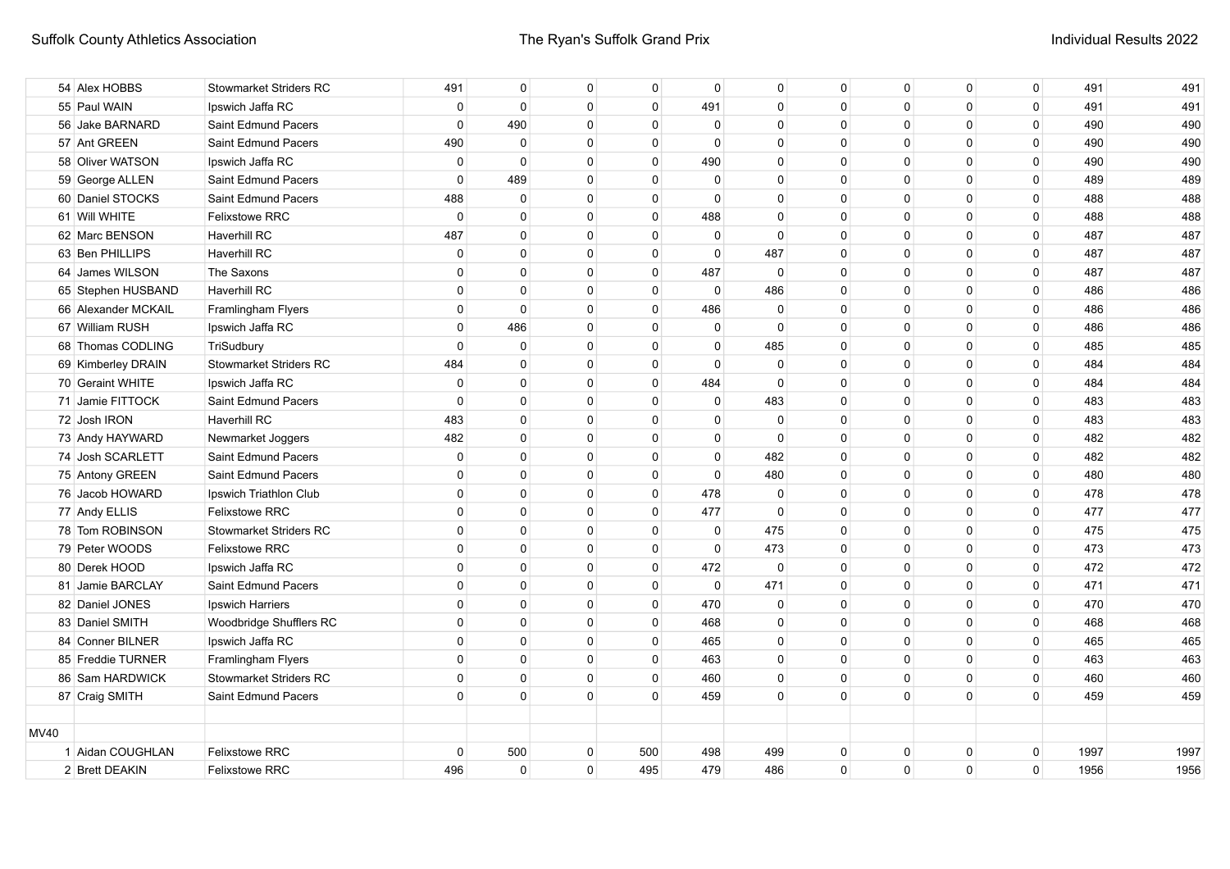|             | 54 Alex HOBBS       | <b>Stowmarket Striders RC</b> | 491          | $\mathbf{0}$   | $\mathbf 0$  | $\mathbf 0$  | $\mathbf 0$  | $\mathbf 0$  | $\mathbf{0}$ | $\mathbf 0$  | $\mathbf{0}$ | $\mathbf 0$    | 491  | 491  |
|-------------|---------------------|-------------------------------|--------------|----------------|--------------|--------------|--------------|--------------|--------------|--------------|--------------|----------------|------|------|
|             | 55 Paul WAIN        | Ipswich Jaffa RC              | $\mathbf 0$  | $\mathbf 0$    | $\mathbf 0$  | $\Omega$     | 491          | $\Omega$     | $\Omega$     | $\Omega$     | $\mathbf{0}$ | $\mathbf 0$    | 491  | 491  |
|             | 56 Jake BARNARD     | Saint Edmund Pacers           | $\Omega$     | 490            | 0            | $\Omega$     | $\Omega$     | $\Omega$     | $\Omega$     | $\Omega$     | $\mathbf{0}$ | $\Omega$       | 490  | 490  |
|             | 57 Ant GREEN        | Saint Edmund Pacers           | 490          | $\mathbf 0$    | $\mathbf 0$  | $\Omega$     | 0            | $\Omega$     | $\Omega$     | $\Omega$     | 0            | $\mathbf 0$    | 490  | 490  |
|             | 58 Oliver WATSON    | Ipswich Jaffa RC              | 0            | $\mathbf 0$    | $\mathbf 0$  | $\Omega$     | 490          | 0            | $\Omega$     | $\Omega$     | 0            | $\mathbf 0$    | 490  | 490  |
|             | 59 George ALLEN     | Saint Edmund Pacers           | $\mathbf 0$  | 489            | $\mathbf 0$  | $\mathbf{0}$ | $\mathbf 0$  | $\mathbf 0$  | $\Omega$     | $\Omega$     | $\mathbf 0$  | $\mathbf 0$    | 489  | 489  |
|             | 60 Daniel STOCKS    | Saint Edmund Pacers           | 488          | $\mathbf 0$    | $\mathbf 0$  | $\mathbf 0$  | $\Omega$     | $\Omega$     | $\mathbf{0}$ | $\mathbf{0}$ | $\mathbf 0$  | $\mathbf 0$    | 488  | 488  |
|             | 61 Will WHITE       | <b>Felixstowe RRC</b>         | $\mathbf 0$  | $\mathbf{0}$   | $\mathbf 0$  | $\Omega$     | 488          | $\Omega$     | $\Omega$     | $\mathbf{0}$ | $\Omega$     | $\mathbf 0$    | 488  | 488  |
|             | 62 Marc BENSON      | Haverhill RC                  | 487          | $\mathbf 0$    | $\mathbf 0$  | $\mathbf 0$  | $\mathbf 0$  | $\mathbf 0$  | $\mathbf{0}$ | $\Omega$     | $\mathbf 0$  | $\mathbf 0$    | 487  | 487  |
|             | 63 Ben PHILLIPS     | <b>Haverhill RC</b>           | $\mathbf{0}$ | $\mathbf{0}$   | $\mathbf{0}$ | 0            | $\mathbf 0$  | 487          | 0            | 0            | 0            | 0              | 487  | 487  |
|             | 64 James WILSON     | The Saxons                    | $\mathbf{0}$ | $\mathbf{0}$   | $\mathbf{0}$ | $\mathbf 0$  | 487          | $\mathbf 0$  | 0            | $\Omega$     | $\mathbf 0$  | $\overline{0}$ | 487  | 487  |
|             | 65 Stephen HUSBAND  | <b>Haverhill RC</b>           | $\Omega$     | $\mathbf{0}$   | $\mathbf 0$  | $\mathbf 0$  | $\mathbf{0}$ | 486          | 0            | $\Omega$     | $\mathbf{0}$ | $\mathbf 0$    | 486  | 486  |
|             | 66 Alexander MCKAIL | Framlingham Flyers            | $\Omega$     | $\mathbf{0}$   | $\mathbf{0}$ | $\Omega$     | 486          | $\mathbf{0}$ | $\Omega$     | $\Omega$     | $\mathbf{0}$ | $\mathbf 0$    | 486  | 486  |
|             | 67 William RUSH     | Ipswich Jaffa RC              | $\mathbf{0}$ | 486            | $\Omega$     | $\Omega$     | $\mathbf{0}$ | $\Omega$     | $\Omega$     | $\Omega$     | $\mathbf{0}$ | $\mathbf 0$    | 486  | 486  |
|             | 68 Thomas CODLING   | TriSudbury                    | $\mathbf 0$  | $\mathbf 0$    | $\mathbf 0$  | $\mathbf{0}$ | 0            | 485          | 0            | $\Omega$     | $\mathbf{0}$ | $\mathbf 0$    | 485  | 485  |
|             | 69 Kimberley DRAIN  | <b>Stowmarket Striders RC</b> | 484          | $\mathbf{0}$   | $\mathbf 0$  | $\mathbf{0}$ | $\mathbf{0}$ | $\mathbf 0$  | $\Omega$     | $\Omega$     | $\mathbf{0}$ | $\mathbf 0$    | 484  | 484  |
|             | 70 Geraint WHITE    | Ipswich Jaffa RC              | $\mathbf{0}$ | $\mathbf{0}$   | $\mathbf 0$  | $\Omega$     | 484          | $\Omega$     | $\Omega$     | $\Omega$     | $\mathbf{0}$ | $\mathbf 0$    | 484  | 484  |
|             | 71 Jamie FITTOCK    | Saint Edmund Pacers           | $\Omega$     | $\Omega$       | $\Omega$     | $\Omega$     | $\mathbf{0}$ | 483          | $\Omega$     | $\Omega$     | $\mathbf{0}$ | $\Omega$       | 483  | 483  |
|             | 72 Josh IRON        | Haverhill RC                  | 483          | $\mathbf{0}$   | $\mathbf{0}$ | $\mathbf{0}$ | $\mathbf{0}$ | $\Omega$     | $\Omega$     | $\Omega$     | $\mathbf{0}$ | $\overline{0}$ | 483  | 483  |
|             | 73 Andy HAYWARD     | Newmarket Joggers             | 482          | $\Omega$       | $\mathbf{0}$ | $\Omega$     | $\mathbf{0}$ | $\Omega$     | $\Omega$     | $\Omega$     | $\mathbf{0}$ | $\Omega$       | 482  | 482  |
|             | 74 Josh SCARLETT    | Saint Edmund Pacers           | $\mathbf 0$  | $\mathbf{0}$   | $\mathbf 0$  | $\Omega$     | 0            | 482          | 0            | 0            | 0            | $\mathbf 0$    | 482  | 482  |
|             | 75 Antony GREEN     | Saint Edmund Pacers           | $\mathbf 0$  | $\mathbf{0}$   | $\mathbf 0$  | 0            | $\mathbf{0}$ | 480          | $\Omega$     | $\Omega$     | $\mathbf 0$  | $\mathbf{0}$   | 480  | 480  |
|             | 76 Jacob HOWARD     | Ipswich Triathlon Club        | $\mathbf{0}$ | $\mathbf{0}$   | $\mathbf 0$  | $\mathbf 0$  | 478          | $\mathbf 0$  | 0            | $\Omega$     | $\mathbf 0$  | $\overline{0}$ | 478  | 478  |
|             | 77 Andy ELLIS       | <b>Felixstowe RRC</b>         | $\mathbf{0}$ | $\mathbf{0}$   | $\mathbf{0}$ | $\mathbf 0$  | 477          | $\mathbf{0}$ | $\mathbf{0}$ | $\Omega$     | $\mathbf{0}$ | $\overline{0}$ | 477  | 477  |
|             | 78 Tom ROBINSON     | <b>Stowmarket Striders RC</b> | $\mathbf{0}$ | $\overline{0}$ | $\mathbf{0}$ | $\mathbf 0$  | $\mathbf 0$  | 475          | $\mathbf{0}$ | $\Omega$     | $\mathbf{0}$ | $\overline{0}$ | 475  | 475  |
|             | 79 Peter WOODS      | <b>Felixstowe RRC</b>         | $\mathbf 0$  | $\overline{0}$ | $\mathbf{0}$ | $\mathbf 0$  | $\mathbf 0$  | 473          | $\mathbf{0}$ | $\mathbf 0$  | $\mathbf 0$  | 0              | 473  | 473  |
|             | 80 Derek HOOD       | Ipswich Jaffa RC              | $\mathbf{0}$ | $\overline{0}$ | $\mathbf{0}$ | 0            | 472          | $\mathbf 0$  | 0            | 0            | 0            | $\overline{0}$ | 472  | 472  |
|             | 81 Jamie BARCLAY    | Saint Edmund Pacers           | $\mathbf{0}$ | $\mathbf{0}$   | $\mathbf{0}$ | $\mathbf 0$  | $\mathbf 0$  | 471          | 0            | $\Omega$     | 0            | $\mathbf 0$    | 471  | 471  |
|             | 82 Daniel JONES     | Ipswich Harriers              | $\mathbf{0}$ | $\mathbf{0}$   | $\mathbf 0$  | $\mathbf 0$  | 470          | 0            | 0            | $\Omega$     | $\mathbf 0$  | $\mathbf 0$    | 470  | 470  |
|             | 83 Daniel SMITH     | Woodbridge Shufflers RC       | $\mathbf{0}$ | $\mathbf{0}$   | $\mathbf 0$  | $\mathbf 0$  | 468          | $\mathbf 0$  | $\Omega$     | $\Omega$     | $\mathbf{0}$ | $\mathbf 0$    | 468  | 468  |
|             | 84 Conner BILNER    | Ipswich Jaffa RC              | $\mathbf{0}$ | $\mathbf{0}$   | $\mathbf 0$  | $\Omega$     | 465          | $\Omega$     | $\Omega$     | $\Omega$     | $\mathbf{0}$ | $\Omega$       | 465  | 465  |
|             | 85 Freddie TURNER   | Framlingham Flyers            | $\mathbf{0}$ | $\mathbf{0}$   | $\mathbf 0$  | 0            | 463          | 0            | 0            | 0            | 0            | $\mathbf 0$    | 463  | 463  |
|             | 86 Sam HARDWICK     | <b>Stowmarket Striders RC</b> | $\mathbf 0$  | $\mathbf 0$    | $\mathbf 0$  | 0            | 460          | 0            | $\Omega$     | $\Omega$     | $\mathbf 0$  | $\mathbf 0$    | 460  | 460  |
|             | 87 Craig SMITH      | Saint Edmund Pacers           | $\mathbf 0$  | $\mathbf{0}$   | $\mathbf 0$  | $\Omega$     | 459          | $\mathbf{0}$ | $\Omega$     | $\Omega$     | $\mathbf 0$  | $\mathbf 0$    | 459  | 459  |
|             |                     |                               |              |                |              |              |              |              |              |              |              |                |      |      |
| <b>MV40</b> |                     |                               |              |                |              |              |              |              |              |              |              |                |      |      |
|             | 1 Aidan COUGHLAN    | <b>Felixstowe RRC</b>         | $\mathsf 0$  | 500            | $\mathbf 0$  | 500          | 498          | 499          | $\Omega$     | $\Omega$     | 0            | 0              | 1997 | 1997 |
|             | 2 Brett DEAKIN      | <b>Felixstowe RRC</b>         | 496          | $\mathbf 0$    | $\mathbf 0$  | 495          | 479          | 486          | $\mathbf{0}$ | $\Omega$     | $\mathbf 0$  | $\mathbf 0$    | 1956 | 1956 |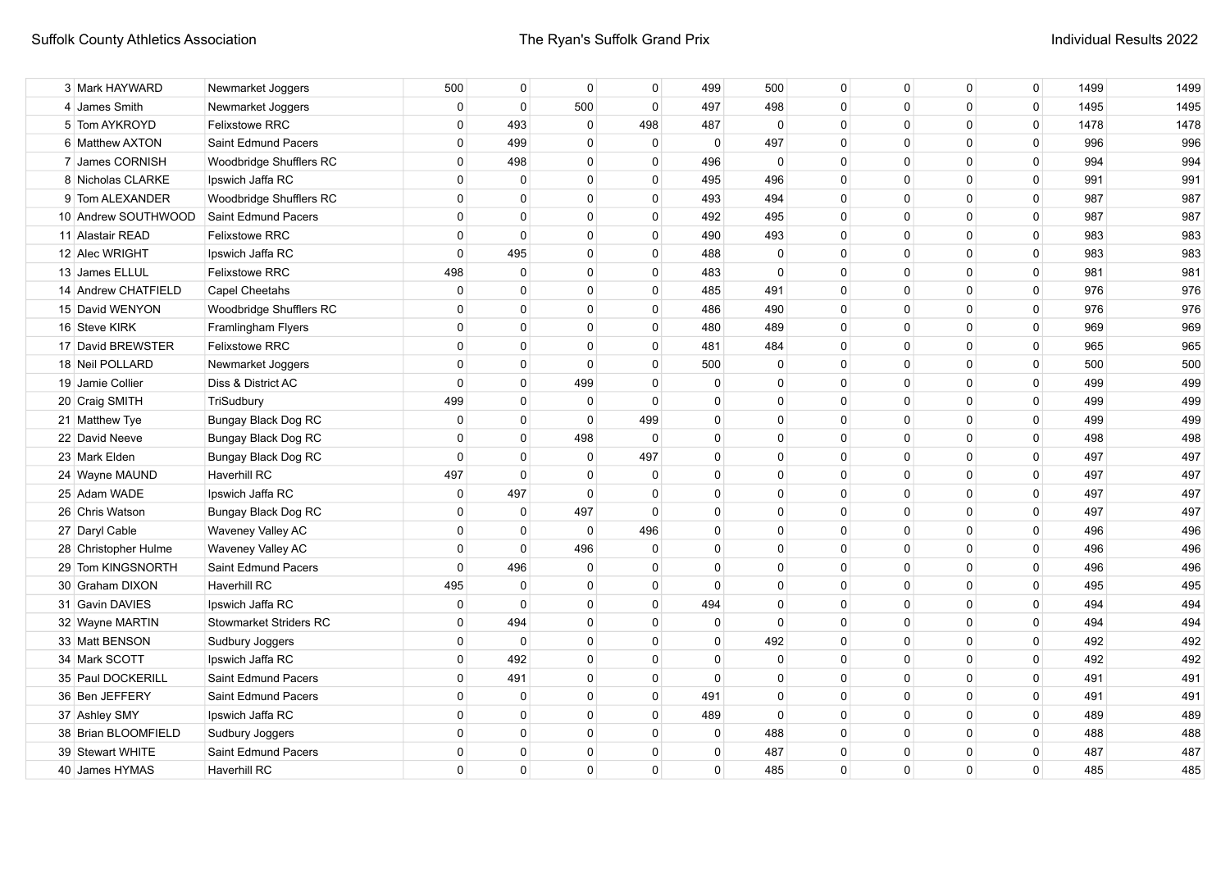| 3 Mark HAYWARD       | Newmarket Joggers             | 500            | 0            | $\Omega$       | $\mathbf{0}$ | 499          | 500         | $\mathbf{0}$ | $\Omega$     | $\Omega$     | 0        | 1499 | 1499 |
|----------------------|-------------------------------|----------------|--------------|----------------|--------------|--------------|-------------|--------------|--------------|--------------|----------|------|------|
| 4 James Smith        | Newmarket Joggers             | $\mathbf{0}$   | $\mathbf{0}$ | 500            | $\Omega$     | 497          | 498         | $\Omega$     | $\mathbf{0}$ | $\Omega$     | 0        | 1495 | 1495 |
| 5 Tom AYKROYD        | <b>Felixstowe RRC</b>         | $\Omega$       | 493          | $\mathbf 0$    | 498          | 487          | $\Omega$    | $\Omega$     | $\Omega$     | $\Omega$     | $\Omega$ | 1478 | 1478 |
| 6 Matthew AXTON      | Saint Edmund Pacers           | 0              | 499          | $\Omega$       | $\Omega$     | 0            | 497         | $\Omega$     | $\Omega$     | $\Omega$     | 0        | 996  | 996  |
| 7 James CORNISH      | Woodbridge Shufflers RC       | $\mathbf 0$    | 498          | $\Omega$       | $\Omega$     | 496          | 0           | $\Omega$     | $\Omega$     | $\Omega$     | 0        | 994  | 994  |
| 8 Nicholas CLARKE    | Ipswich Jaffa RC              | $\mathbf{0}$   | $\Omega$     | $\Omega$       | $\Omega$     | 495          | 496         | $\Omega$     | $\Omega$     | $\Omega$     | 0        | 991  | 991  |
| 9 Tom ALEXANDER      | Woodbridge Shufflers RC       | $\mathbf 0$    | $\Omega$     | $\Omega$       | $\Omega$     | 493          | 494         | $\Omega$     | $\Omega$     | $\Omega$     | 0        | 987  | 987  |
| 10 Andrew SOUTHWOOD  | Saint Edmund Pacers           | $\mathbf 0$    | $\mathbf{0}$ | $\Omega$       | $\Omega$     | 492          | 495         | $\Omega$     | $\mathbf{0}$ | $\Omega$     | 0        | 987  | 987  |
| 11 Alastair READ     | <b>Felixstowe RRC</b>         | $\mathbf 0$    | $\mathbf{0}$ | $\Omega$       | $\Omega$     | 490          | 493         | $\Omega$     | $\mathbf{0}$ | $\Omega$     | 0        | 983  | 983  |
| 12 Alec WRIGHT       | Ipswich Jaffa RC              | 0              | 495          | $\Omega$       | $\Omega$     | 488          | $\mathbf 0$ | $\Omega$     | $\Omega$     | $\Omega$     | 0        | 983  | 983  |
| 13 James ELLUL       | <b>Felixstowe RRC</b>         | 498            | 0            | $\mathbf 0$    | $\Omega$     | 483          | $\Omega$    | $\mathbf{0}$ | $\Omega$     | $\mathbf{0}$ | 0        | 981  | 981  |
| 14 Andrew CHATFIELD  | <b>Capel Cheetahs</b>         | $\mathbf 0$    | $\mathbf 0$  | $\mathbf 0$    | $\mathbf{0}$ | 485          | 491         | $\mathbf{0}$ | $\mathbf{0}$ | $\mathbf{0}$ | 0        | 976  | 976  |
| 15 David WENYON      | Woodbridge Shufflers RC       | $\mathbf 0$    | 0            | $\mathbf 0$    | $\mathbf{0}$ | 486          | 490         | $\Omega$     | $\mathbf{0}$ | $\Omega$     | 0        | 976  | 976  |
| 16 Steve KIRK        | Framlingham Flyers            | $\Omega$       | $\Omega$     | $\Omega$       | $\mathbf{0}$ | 480          | 489         | $\Omega$     | $\mathbf{0}$ | $\Omega$     | 0        | 969  | 969  |
| 17 David BREWSTER    | <b>Felixstowe RRC</b>         | $\Omega$       | $\Omega$     | $\Omega$       | $\mathbf{0}$ | 481          | 484         | $\Omega$     | $\mathbf{0}$ | $\Omega$     | 0        | 965  | 965  |
| 18 Neil POLLARD      | Newmarket Joggers             | $\mathbf{0}$   | $\Omega$     | $\Omega$       | $\Omega$     | 500          | $\Omega$    | $\Omega$     | $\Omega$     | $\Omega$     | 0        | 500  | 500  |
| 19 Jamie Collier     | Diss & District AC            | $\mathbf 0$    | 0            | 499            | $\Omega$     | 0            | $\Omega$    | $\Omega$     | $\mathbf{0}$ | $\Omega$     | 0        | 499  | 499  |
| 20 Craig SMITH       | TriSudbury                    | 499            | $\mathbf 0$  | $\mathbf 0$    | $\Omega$     | $\mathbf{0}$ | $\Omega$    | $\Omega$     | $\Omega$     | $\Omega$     | 0        | 499  | 499  |
| 21 Matthew Tye       | Bungay Black Dog RC           | $\mathbf 0$    | $\mathbf 0$  | $\mathbf 0$    | 499          | $\Omega$     | $\Omega$    | $\Omega$     | $\Omega$     | $\Omega$     | 0        | 499  | 499  |
| 22 David Neeve       | Bungay Black Dog RC           | $\mathbf 0$    | $\mathbf 0$  | 498            | $\Omega$     | $\Omega$     | $\Omega$    | $\Omega$     | $\Omega$     | $\Omega$     | 0        | 498  | 498  |
| 23 Mark Elden        | Bungay Black Dog RC           | $\Omega$       | $\Omega$     | $\mathbf 0$    | 497          | $\Omega$     | $\Omega$    | $\Omega$     | $\Omega$     | $\Omega$     | 0        | 497  | 497  |
| 24 Wayne MAUND       | <b>Haverhill RC</b>           | 497            | $\Omega$     | $\Omega$       | $\Omega$     | $\Omega$     | $\Omega$    | $\Omega$     | $\Omega$     | $\Omega$     | 0        | 497  | 497  |
| 25 Adam WADE         | Ipswich Jaffa RC              | $\mathbf 0$    | 497          | $\Omega$       | $\Omega$     | $\Omega$     | $\Omega$    | $\Omega$     | $\Omega$     | $\Omega$     | 0        | 497  | 497  |
| 26 Chris Watson      | Bungay Black Dog RC           | 0              | 0            | 497            | $\Omega$     | $\Omega$     | $\Omega$    | $\Omega$     | $\Omega$     | $\Omega$     | 0        | 497  | 497  |
| 27 Daryl Cable       | Waveney Valley AC             | $\mathbf 0$    | $\mathbf{0}$ | $\mathbf 0$    | 496          | $\Omega$     | 0           | $\Omega$     | $\Omega$     | $\Omega$     | 0        | 496  | 496  |
| 28 Christopher Hulme | Waveney Valley AC             | $\mathbf 0$    | $\mathbf 0$  | 496            | $\Omega$     | $\Omega$     | $\Omega$    | $\Omega$     | $\Omega$     | $\Omega$     | 0        | 496  | 496  |
| 29 Tom KINGSNORTH    | Saint Edmund Pacers           | $\mathbf 0$    | 496          | $\mathbf 0$    | $\Omega$     | $\Omega$     | $\Omega$    | $\Omega$     | $\Omega$     | $\Omega$     | 0        | 496  | 496  |
| 30 Graham DIXON      | <b>Haverhill RC</b>           | 495            | $\mathbf 0$  | $\overline{0}$ | $\mathbf{0}$ | $\Omega$     | $\Omega$    | $\Omega$     | $\mathbf{0}$ | $\Omega$     | 0        | 495  | 495  |
| 31 Gavin DAVIES      | Ipswich Jaffa RC              | $\overline{0}$ | $\mathbf{0}$ | $\Omega$       | $\mathbf{0}$ | 494          | $\Omega$    | $\Omega$     | $\mathbf{0}$ | $\Omega$     | 0        | 494  | 494  |
| 32 Wayne MARTIN      | <b>Stowmarket Striders RC</b> | $\mathbf 0$    | 494          | $\mathbf 0$    | 0            | 0            | $\Omega$    | $\Omega$     | 0            | $\Omega$     | 0        | 494  | 494  |
| 33 Matt BENSON       | Sudbury Joggers               | $\overline{0}$ | 0            | 0              | $\Omega$     | $\Omega$     | 492         | $\Omega$     | $\mathbf{0}$ | $\Omega$     | 0        | 492  | 492  |
| 34 Mark SCOTT        | Ipswich Jaffa RC              | $\mathbf{0}$   | 492          | 0              | $\Omega$     | $\Omega$     | $\Omega$    | $\Omega$     | $\mathbf{0}$ | $\Omega$     | 0        | 492  | 492  |
| 35 Paul DOCKERILL    | Saint Edmund Pacers           | $\mathbf{0}$   | 491          | 0              | $\Omega$     | $\mathbf{0}$ | $\Omega$    | $\Omega$     | $\mathbf{0}$ | $\Omega$     | 0        | 491  | 491  |
| 36 Ben JEFFERY       | Saint Edmund Pacers           | $\mathbf 0$    | $\mathbf 0$  | $\Omega$       | $\Omega$     | 491          | $\Omega$    | $\Omega$     | $\mathbf{0}$ | $\Omega$     | 0        | 491  | 491  |
| 37 Ashley SMY        | Ipswich Jaffa RC              | $\mathbf 0$    | $\mathbf{0}$ | $\Omega$       | $\Omega$     | 489          | $\Omega$    | $\Omega$     | $\Omega$     | $\Omega$     | 0        | 489  | 489  |
| 38 Brian BLOOMFIELD  | Sudbury Joggers               | 0              | $\Omega$     | $\overline{0}$ | $\Omega$     | $\Omega$     | 488         | $\Omega$     | $\Omega$     | $\Omega$     | 0        | 488  | 488  |
| 39 Stewart WHITE     | Saint Edmund Pacers           | $\Omega$       | $\Omega$     | $\Omega$       | $\Omega$     | 0            | 487         | $\Omega$     | $\Omega$     | 0            | $\Omega$ | 487  | 487  |
| 40 James HYMAS       | Haverhill RC                  | $\Omega$       | $\Omega$     | $\Omega$       | $\Omega$     | $\Omega$     | 485         | $\Omega$     | $\mathbf{0}$ | $\Omega$     | 0        | 485  | 485  |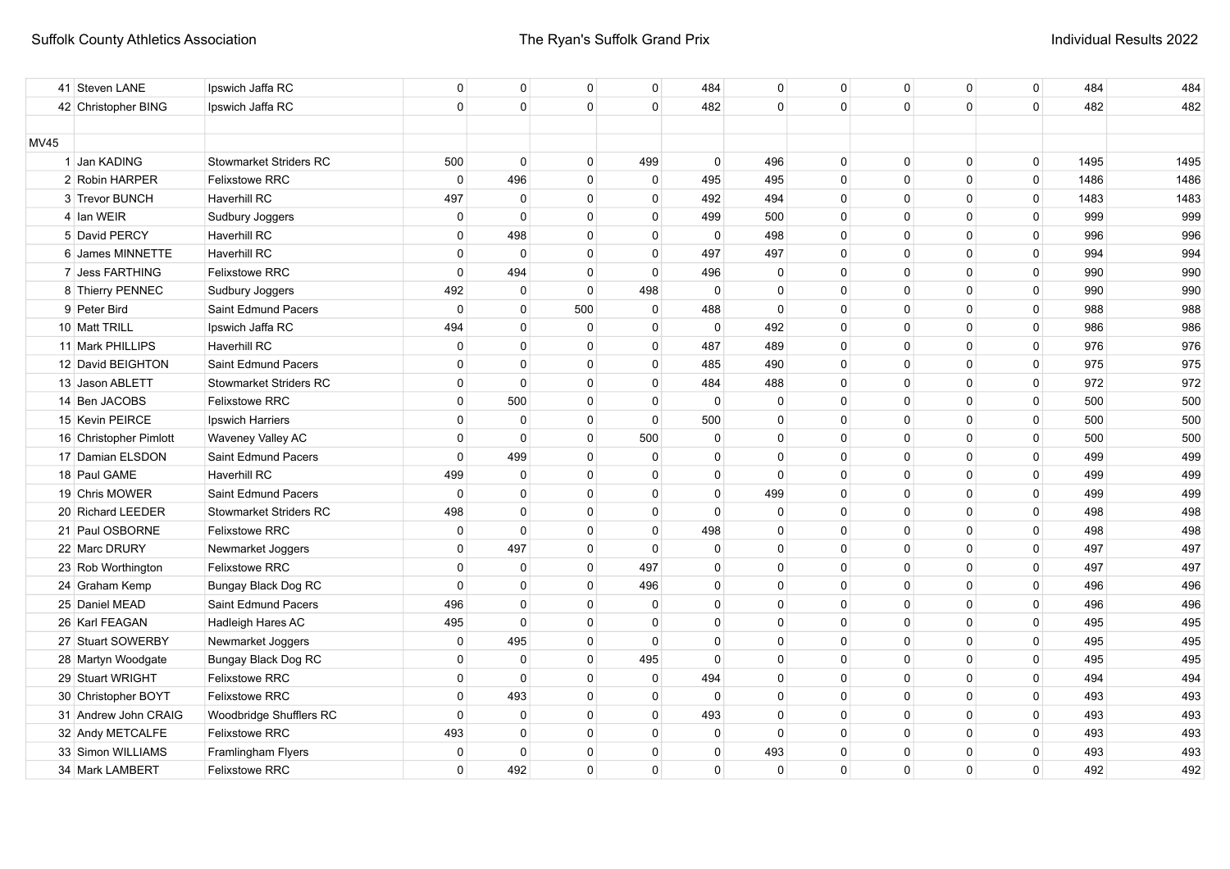|             | 41 Steven LANE         | Ipswich Jaffa RC              | $\overline{0}$ | $\overline{0}$ | $\mathbf{0}$ | $\mathbf{0}$ | 484          | $\Omega$    | $\mathbf{0}$ | $\mathbf{0}$ | $\Omega$ | 0        | 484  | 484  |
|-------------|------------------------|-------------------------------|----------------|----------------|--------------|--------------|--------------|-------------|--------------|--------------|----------|----------|------|------|
|             | 42 Christopher BING    | Ipswich Jaffa RC              | $\mathbf 0$    | $\overline{0}$ | $\mathbf{0}$ | $\Omega$     | 482          | $\Omega$    | $\Omega$     | $\Omega$     | $\Omega$ | 0        | 482  | 482  |
|             |                        |                               |                |                |              |              |              |             |              |              |          |          |      |      |
| <b>MV45</b> |                        |                               |                |                |              |              |              |             |              |              |          |          |      |      |
|             | 1 Jan KADING           | Stowmarket Striders RC        | 500            | $\overline{0}$ | $\mathbf{0}$ | 499          | $\mathbf{0}$ | 496         | $\mathbf{0}$ | $\mathbf 0$  | $\Omega$ | 0        | 1495 | 1495 |
|             | 2 Robin HARPER         | <b>Felixstowe RRC</b>         | $\mathbf 0$    | 496            | $\mathbf{0}$ | $\mathbf 0$  | 495          | 495         | $\mathbf 0$  | $\Omega$     | $\Omega$ | 0        | 1486 | 1486 |
|             | 3 Trevor BUNCH         | <b>Haverhill RC</b>           | 497            | $\mathbf 0$    | $\mathbf{0}$ | $\Omega$     | 492          | 494         | $\Omega$     | $\Omega$     | $\Omega$ | 0        | 1483 | 1483 |
|             | 4 Ian WEIR             | Sudbury Joggers               | $\mathbf 0$    | $\mathbf 0$    | $\mathbf{0}$ | $\mathbf{0}$ | 499          | 500         | $\Omega$     | $\Omega$     | $\Omega$ | 0        | 999  | 999  |
|             | 5 David PERCY          | <b>Haverhill RC</b>           | $\mathbf{0}$   | 498            | $\Omega$     | $\Omega$     | $\mathbf 0$  | 498         | $\Omega$     | $\Omega$     | $\Omega$ | 0        | 996  | 996  |
|             | 6 James MINNETTE       | Haverhill RC                  | $\mathbf{0}$   | $\Omega$       | $\mathbf{0}$ | $\Omega$     | 497          | 497         | $\Omega$     | $\Omega$     | $\Omega$ | 0        | 994  | 994  |
|             | 7 Jess FARTHING        | <b>Felixstowe RRC</b>         | $\mathbf{0}$   | 494            | $\mathbf{0}$ | $\Omega$     | 496          | $\Omega$    | $\Omega$     | $\Omega$     | $\Omega$ | $\Omega$ | 990  | 990  |
|             | 8 Thierry PENNEC       | Sudbury Joggers               | 492            | $\Omega$       | $\Omega$     | 498          | $\mathbf{0}$ | $\Omega$    | $\Omega$     | $\Omega$     | $\Omega$ | $\Omega$ | 990  | 990  |
|             | 9 Peter Bird           | Saint Edmund Pacers           | $\Omega$       | $\Omega$       | 500          | $\Omega$     | 488          | $\Omega$    | $\Omega$     | $\Omega$     | $\Omega$ | $\Omega$ | 988  | 988  |
|             | 10 Matt TRILL          | Ipswich Jaffa RC              | 494            | $\Omega$       | $\mathbf 0$  | $\Omega$     | $\mathbf{0}$ | 492         | $\Omega$     | $\Omega$     | $\Omega$ | $\Omega$ | 986  | 986  |
|             | 11 Mark PHILLIPS       | Haverhill RC                  | $\mathbf 0$    | 0              | 0            | 0            | 487          | 489         | 0            | $\Omega$     | $\Omega$ | 0        | 976  | 976  |
|             | 12 David BEIGHTON      | Saint Edmund Pacers           | 0              | 0              | $\mathbf 0$  | 0            | 485          | 490         | $\Omega$     | $\Omega$     | $\Omega$ | 0        | 975  | 975  |
|             | 13 Jason ABLETT        | <b>Stowmarket Striders RC</b> | 0              | $\mathbf 0$    | $\mathbf 0$  | 0            | 484          | 488         | 0            | $\Omega$     | $\Omega$ | 0        | 972  | 972  |
|             | 14 Ben JACOBS          | <b>Felixstowe RRC</b>         | $\mathbf 0$    | 500            | $\mathbf 0$  | 0            | $\mathbf 0$  | 0           | 0            | $\Omega$     | $\Omega$ | 0        | 500  | 500  |
|             | 15 Kevin PEIRCE        | Ipswich Harriers              | $\mathbf 0$    | 0              | $\mathbf{0}$ | $\Omega$     | 500          | 0           | 0            | $\Omega$     | 0        | 0        | 500  | 500  |
|             | 16 Christopher Pimlott | Waveney Valley AC             | $\mathbf 0$    | $\mathbf 0$    | $\mathbf{0}$ | 500          | $\mathbf 0$  | $\Omega$    | 0            | $\Omega$     | 0        | 0        | 500  | 500  |
|             | 17 Damian ELSDON       | Saint Edmund Pacers           | $\mathbf 0$    | 499            | $\mathbf{0}$ | $\mathbf 0$  | $\mathbf 0$  | $\mathbf 0$ | $\mathbf 0$  | $\Omega$     | $\Omega$ | 0        | 499  | 499  |
|             | 18 Paul GAME           | <b>Haverhill RC</b>           | 499            | $\overline{0}$ | $\mathbf{0}$ | $\mathbf 0$  | $\mathbf 0$  | $\Omega$    | $\mathbf 0$  | $\mathbf 0$  | 0        | 0        | 499  | 499  |
|             | 19 Chris MOWER         | Saint Edmund Pacers           | $\mathbf 0$    | $\overline{0}$ | $\mathbf{0}$ | $\mathbf 0$  | $\mathbf{0}$ | 499         | $\mathbf 0$  | $\mathbf 0$  | $\Omega$ | 0        | 499  | 499  |
|             | 20 Richard LEEDER      | <b>Stowmarket Striders RC</b> | 498            | $\overline{0}$ | $\mathbf{0}$ | $\mathbf 0$  | $\mathbf{0}$ | $\mathbf 0$ | $\mathbf 0$  | $\Omega$     | 0        | 0        | 498  | 498  |
|             | 21 Paul OSBORNE        | Felixstowe RRC                | $\mathbf 0$    | $\mathbf 0$    | $\mathbf{0}$ | $\mathbf 0$  | 498          | $\mathbf 0$ | $\mathbf 0$  | $\mathbf 0$  | 0        | 0        | 498  | 498  |
|             | 22 Marc DRURY          | Newmarket Joggers             | $\mathbf 0$    | 497            | $\mathbf{0}$ | $\Omega$     | $\mathbf 0$  | $\Omega$    | $\Omega$     | $\Omega$     | $\Omega$ | 0        | 497  | 497  |
|             | 23 Rob Worthington     | <b>Felixstowe RRC</b>         | $\mathbf 0$    | $\overline{0}$ | $\mathbf{0}$ | 497          | 0            | $\Omega$    | $\Omega$     | $\Omega$     | $\Omega$ | 0        | 497  | 497  |
|             | 24 Graham Kemp         | <b>Bungay Black Dog RC</b>    | $\mathbf 0$    | $\mathbf 0$    | $\mathbf{0}$ | 496          | 0            | $\Omega$    | $\Omega$     | $\Omega$     | 0        | 0        | 496  | 496  |
|             | 25 Daniel MEAD         | Saint Edmund Pacers           | 496            | $\mathbf 0$    | $\mathbf{0}$ | $\mathbf 0$  | 0            | $\Omega$    | $\Omega$     | $\Omega$     | 0        | 0        | 496  | 496  |
|             | 26 Karl FEAGAN         | Hadleigh Hares AC             | 495            | $\mathbf 0$    | $\mathbf{0}$ | $\Omega$     | $\mathbf{0}$ | $\Omega$    | $\Omega$     | $\Omega$     | 0        | 0        | 495  | 495  |
|             | 27 Stuart SOWERBY      | Newmarket Joggers             | $\mathbf 0$    | 495            | $\mathbf 0$  | $\Omega$     | $\mathbf{0}$ | $\Omega$    | $\Omega$     | $\Omega$     | $\Omega$ | $\Omega$ | 495  | 495  |
|             | 28 Martyn Woodgate     | Bungay Black Dog RC           | $\mathbf 0$    | $\mathbf 0$    | $\mathbf 0$  | 495          | $\Omega$     | $\Omega$    | $\Omega$     | $\Omega$     | $\Omega$ | $\Omega$ | 495  | 495  |
|             | 29 Stuart WRIGHT       | <b>Felixstowe RRC</b>         | $\mathbf 0$    | $\pmb{0}$      | $\mathbf 0$  | $\Omega$     | 494          | 0           | 0            | $\Omega$     | $\Omega$ | 0        | 494  | 494  |
|             | 30 Christopher BOYT    | Felixstowe RRC                | $\mathbf 0$    | 493            | 0            | 0            | $\mathbf 0$  | 0           | 0            | $\Omega$     | $\Omega$ | 0        | 493  | 493  |
|             | 31 Andrew John CRAIG   | Woodbridge Shufflers RC       | $\mathbf 0$    | 0              | $\mathbf 0$  | $\Omega$     | 493          | 0           | 0            | $\Omega$     | $\Omega$ | 0        | 493  | 493  |
|             | 32 Andy METCALFE       | <b>Felixstowe RRC</b>         | 493            | 0              | 0            | $\Omega$     | 0            | 0           | 0            | $\Omega$     | $\Omega$ | 0        | 493  | 493  |
|             | 33 Simon WILLIAMS      | Framlingham Flyers            | 0              | 0              | 0            | $\Omega$     | $\Omega$     | 493         | 0            | $\Omega$     | $\Omega$ | 0        | 493  | 493  |
|             | 34 Mark LAMBERT        | <b>Felixstowe RRC</b>         | $\mathbf 0$    | 492            | $\mathbf 0$  | $\Omega$     | $\Omega$     | $\mathbf 0$ | 0            | $\Omega$     | 0        | 0        | 492  | 492  |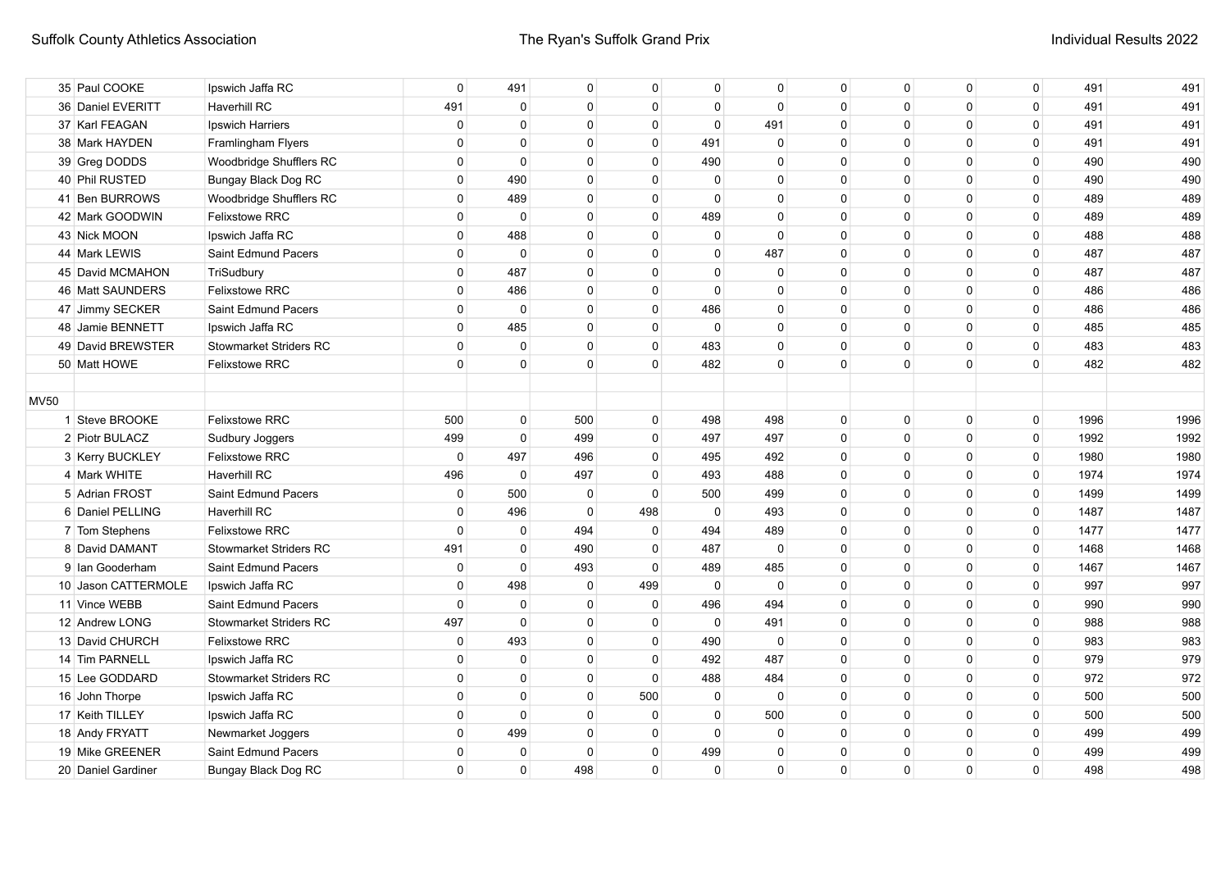| 35 Paul COOKE       | Ipswich Jaffa RC              | $\mathbf 0$  | 491            | $\mathbf 0$  | 0            | 0              | $\mathbf{0}$ | $\mathbf{0}$ | 0           | 0            | 0        | 491  | 491  |
|---------------------|-------------------------------|--------------|----------------|--------------|--------------|----------------|--------------|--------------|-------------|--------------|----------|------|------|
| 36 Daniel EVERITT   | <b>Haverhill RC</b>           | 491          | $\overline{0}$ | $\mathbf{0}$ | $\mathbf 0$  | $\mathbf 0$    | $\mathbf 0$  | $\mathbf 0$  | $\mathbf 0$ | $\mathbf 0$  | 0        | 491  | 491  |
| 37 Karl FEAGAN      | Ipswich Harriers              | $\mathbf 0$  | $\mathbf 0$    | $\mathbf 0$  | $\mathbf 0$  | $\Omega$       | 491          | $\mathbf 0$  | $\Omega$    | $\mathbf{0}$ | 0        | 491  | 491  |
| 38 Mark HAYDEN      | Framlingham Flyers            | $\mathbf 0$  | $\mathbf 0$    | $\mathbf 0$  | 0            | 491            | $\mathbf 0$  | $\mathbf 0$  | $\Omega$    | 0            | 0        | 491  | 491  |
| 39 Greg DODDS       | Woodbridge Shufflers RC       | $\mathbf 0$  | $\mathbf 0$    | $\mathbf{0}$ | 0            | 490            | $\mathbf{0}$ | 0            | 0           | 0            | 0        | 490  | 490  |
| 40 Phil RUSTED      | Bungay Black Dog RC           | $\mathbf 0$  | 490            | $\mathbf 0$  | 0            | $\mathbf 0$    | 0            | 0            | $\Omega$    | $\Omega$     | 0        | 490  | 490  |
| 41 Ben BURROWS      | Woodbridge Shufflers RC       | $\mathbf 0$  | 489            | $\mathbf{0}$ | 0            | $\mathbf{0}$   | 0            | 0            | $\Omega$    | 0            | 0        | 489  | 489  |
| 42 Mark GOODWIN     | <b>Felixstowe RRC</b>         | $\mathbf 0$  | $\mathbf 0$    | $\mathbf{0}$ | 0            | 489            | $\Omega$     | 0            | $\Omega$    | 0            | 0        | 489  | 489  |
| 43 Nick MOON        | Ipswich Jaffa RC              | $\mathbf 0$  | 488            | $\mathbf 0$  | 0            | 0              | $\mathbf{0}$ | 0            | $\Omega$    | 0            | 0        | 488  | 488  |
| 44 Mark LEWIS       | Saint Edmund Pacers           | $\mathbf 0$  | $\mathbf 0$    | $\mathbf 0$  | $\Omega$     | 0              | 487          | $\mathbf 0$  | $\Omega$    | 0            | 0        | 487  | 487  |
| 45 David MCMAHON    | TriSudbury                    | $\mathbf 0$  | 487            | $\mathbf 0$  | $\Omega$     | 0              | $\mathbf 0$  | $\Omega$     | $\Omega$    | $\Omega$     | 0        | 487  | 487  |
| 46 Matt SAUNDERS    | Felixstowe RRC                | $\mathbf 0$  | 486            | $\mathbf 0$  | $\Omega$     | $\mathbf{0}$   | $\Omega$     | $\Omega$     | $\Omega$    | $\Omega$     | 0        | 486  | 486  |
| 47 Jimmy SECKER     | Saint Edmund Pacers           | $\mathbf 0$  | $\mathbf 0$    | $\mathbf 0$  | $\Omega$     | 486            | $\Omega$     | $\Omega$     | $\Omega$    | $\Omega$     | 0        | 486  | 486  |
| 48 Jamie BENNETT    | Ipswich Jaffa RC              | $\mathbf 0$  | 485            | $\mathbf 0$  | $\Omega$     | $\mathbf 0$    | $\Omega$     | $\Omega$     | $\Omega$    | $\Omega$     | 0        | 485  | 485  |
| 49 David BREWSTER   | Stowmarket Striders RC        | $\mathbf{0}$ | $\mathbf 0$    | $\mathbf 0$  | $\Omega$     | 483            | $\Omega$     | $\Omega$     | $\Omega$    | $\Omega$     | 0        | 483  | 483  |
| 50 Matt HOWE        | <b>Felixstowe RRC</b>         | $\mathbf{0}$ | $\mathbf{0}$   | $\mathbf 0$  | $\mathbf{0}$ | 482            | $\Omega$     | $\mathbf{0}$ | $\Omega$    | $\Omega$     | 0        | 482  | 482  |
|                     |                               |              |                |              |              |                |              |              |             |              |          |      |      |
| <b>MV50</b>         |                               |              |                |              |              |                |              |              |             |              |          |      |      |
| 1 Steve BROOKE      | <b>Felixstowe RRC</b>         | 500          | 0              | 500          | 0            | 498            | 498          | 0            | $\Omega$    | 0            | 0        | 1996 | 1996 |
| 2 Piotr BULACZ      | Sudbury Joggers               | 499          | $\mathbf 0$    | 499          | 0            | 497            | 497          | 0            | $\Omega$    | $\Omega$     | 0        | 1992 | 1992 |
| 3 Kerry BUCKLEY     | <b>Felixstowe RRC</b>         | $\mathbf 0$  | 497            | 496          | 0            | 495            | 492          | 0            | $\Omega$    | $\Omega$     | 0        | 1980 | 1980 |
| 4 Mark WHITE        | <b>Haverhill RC</b>           | 496          | $\mathbf 0$    | 497          | 0            | 493            | 488          | $\mathbf 0$  | $\Omega$    | 0            | 0        | 1974 | 1974 |
| 5 Adrian FROST      | Saint Edmund Pacers           | $\mathbf 0$  | 500            | $\mathbf 0$  | $\mathbf 0$  | 500            | 499          | $\mathbf 0$  | $\Omega$    | 0            | 0        | 1499 | 1499 |
| 6 Daniel PELLING    | <b>Haverhill RC</b>           | $\mathbf 0$  | 496            | $\mathbf{0}$ | 498          | $\overline{0}$ | 493          | $\mathbf 0$  | $\Omega$    | 0            | 0        | 1487 | 1487 |
| 7 Tom Stephens      | Felixstowe RRC                | $\mathbf 0$  | $\overline{0}$ | 494          | 0            | 494            | 489          | $\mathbf 0$  | $\mathbf 0$ | 0            | 0        | 1477 | 1477 |
| 8 David DAMANT      | <b>Stowmarket Striders RC</b> | 491          | 0              | 490          | $\mathbf 0$  | 487            | $\mathbf 0$  | $\mathbf 0$  | $\mathbf 0$ | 0            | 0        | 1468 | 1468 |
| 9 Ian Gooderham     | Saint Edmund Pacers           | $\mathbf 0$  | $\mathbf 0$    | 493          | $\mathbf 0$  | 489            | 485          | $\mathbf 0$  | $\mathbf 0$ | 0            | 0        | 1467 | 1467 |
| 10 Jason CATTERMOLE | Ipswich Jaffa RC              | $\mathbf 0$  | 498            | $\mathbf 0$  | 499          | $\overline{0}$ | $\mathbf{0}$ | $\mathbf 0$  | $\mathbf 0$ | $\mathbf 0$  | 0        | 997  | 997  |
| 11 Vince WEBB       | Saint Edmund Pacers           | $\mathbf 0$  | $\overline{0}$ | $\mathbf{0}$ | $\mathbf 0$  | 496            | 494          | $\mathbf 0$  | $\mathbf 0$ | $\mathbf 0$  | 0        | 990  | 990  |
| 12 Andrew LONG      | <b>Stowmarket Striders RC</b> | 497          | $\mathbf 0$    | $\mathbf{0}$ | $\mathbf 0$  | $\mathbf 0$    | 491          | $\mathbf 0$  | $\mathbf 0$ | 0            | 0        | 988  | 988  |
| 13 David CHURCH     | <b>Felixstowe RRC</b>         | 0            | 493            | $\mathbf{0}$ | 0            | 490            | $\mathbf 0$  | 0            | 0           | 0            | 0        | 983  | 983  |
| 14 Tim PARNELL      | Ipswich Jaffa RC              | $\mathbf 0$  | $\mathbf 0$    | $\mathbf{0}$ | 0            | 492            | 487          | 0            | 0           | 0            | 0        | 979  | 979  |
| 15 Lee GODDARD      | <b>Stowmarket Striders RC</b> | $\mathbf 0$  | $\mathbf 0$    | $\mathbf 0$  | $\mathbf 0$  | 488            | 484          | 0            | 0           | $\Omega$     | 0        | 972  | 972  |
| 16 John Thorpe      | Ipswich Jaffa RC              | $\mathbf 0$  | $\mathbf 0$    | $\mathbf{0}$ | 500          | $\mathbf 0$    | $\mathbf 0$  | $\mathbf 0$  | 0           | 0            | 0        | 500  | 500  |
| 17 Keith TILLEY     | Ipswich Jaffa RC              | $\mathbf 0$  | $\mathbf 0$    | $\mathbf{0}$ | 0            | 0              | 500          | $\mathbf 0$  | 0           | 0            | 0        | 500  | 500  |
| 18 Andy FRYATT      | Newmarket Joggers             | $\mathbf 0$  | 499            | $\mathbf 0$  | $\Omega$     | 0              | 0            | $\mathbf 0$  | $\Omega$    | 0            | 0        | 499  | 499  |
| 19 Mike GREENER     | Saint Edmund Pacers           | $\mathbf 0$  | 0              | $\mathbf 0$  | $\Omega$     | 499            | $\Omega$     | $\Omega$     | $\Omega$    | $\mathbf{0}$ | 0        | 499  | 499  |
| 20 Daniel Gardiner  | <b>Bungay Black Dog RC</b>    | $\mathbf{0}$ | $\mathbf 0$    | 498          | $\Omega$     | $\mathbf 0$    | $\Omega$     | $\Omega$     | $\Omega$    | $\Omega$     | $\Omega$ | 498  | 498  |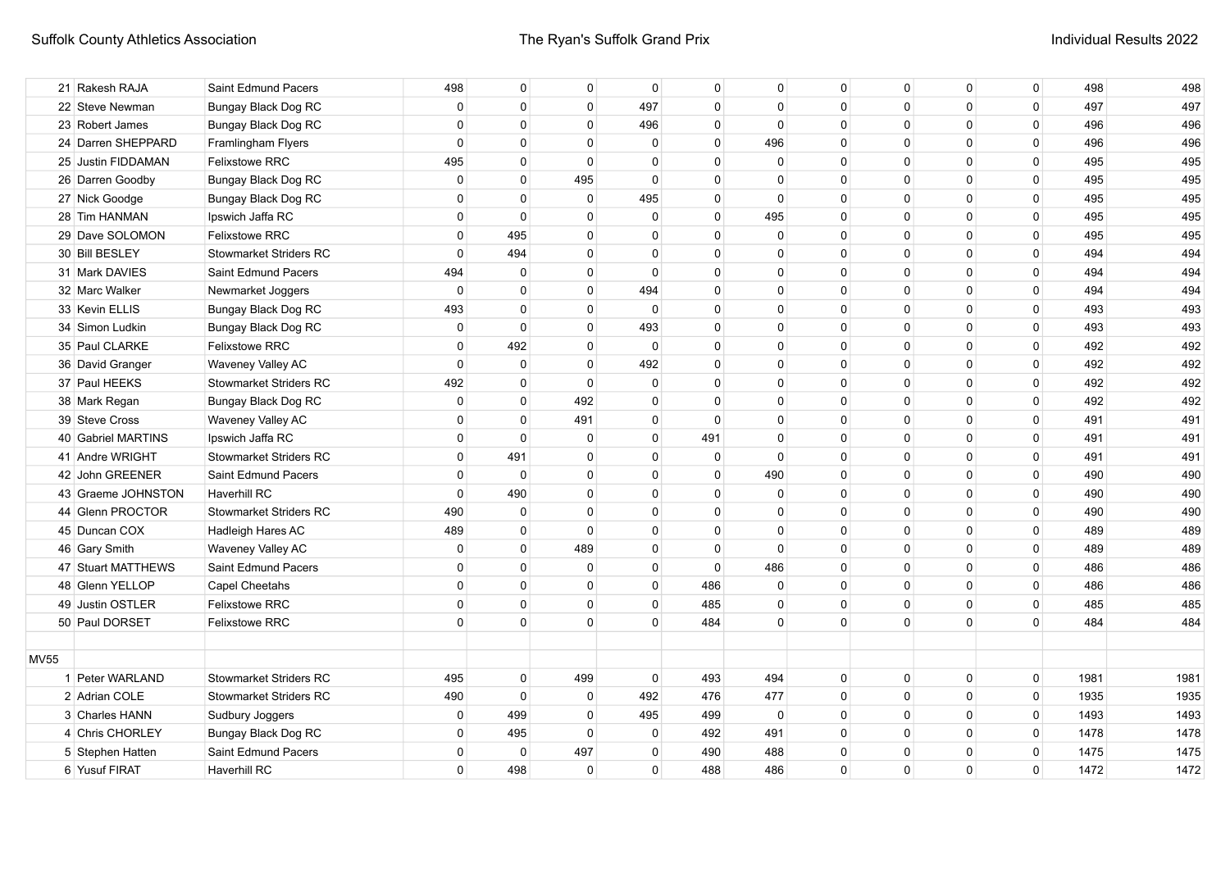|             | 21 Rakesh RAJA     | Saint Edmund Pacers           | 498            | 0              | $\Omega$     | $\Omega$     | $\mathbf{0}$ | $\Omega$     | 0            | $\Omega$     | $\Omega$    | $\mathbf 0$ | 498  | 498  |
|-------------|--------------------|-------------------------------|----------------|----------------|--------------|--------------|--------------|--------------|--------------|--------------|-------------|-------------|------|------|
|             | 22 Steve Newman    | <b>Bungay Black Dog RC</b>    | $\mathbf 0$    | $\mathbf 0$    | $\mathbf 0$  | 497          | $\mathbf 0$  | $\mathbf{0}$ | $\Omega$     | $\Omega$     | 0           | $\mathbf 0$ | 497  | 497  |
|             | 23 Robert James    | Bungay Black Dog RC           | $\mathbf 0$    | $\Omega$       | $\mathbf 0$  | 496          | $\Omega$     | $\Omega$     | $\Omega$     | $\Omega$     | $\Omega$    | $\mathbf 0$ | 496  | 496  |
|             | 24 Darren SHEPPARD | Framlingham Flyers            | $\mathbf 0$    | $\mathbf 0$    | $\mathbf 0$  | $\mathbf{0}$ | $\Omega$     | 496          | $\Omega$     | $\Omega$     | $\Omega$    | $\mathbf 0$ | 496  | 496  |
|             | 25 Justin FIDDAMAN | Felixstowe RRC                | 495            | $\mathbf 0$    | $\Omega$     | $\Omega$     | $\Omega$     | $\mathbf 0$  | $\Omega$     | $\Omega$     | $\Omega$    | $\mathbf 0$ | 495  | 495  |
|             | 26 Darren Goodby   | Bungay Black Dog RC           | $\mathbf 0$    | $\mathbf 0$    | 495          | $\Omega$     | $\mathbf 0$  | $\Omega$     | $\Omega$     | $\Omega$     | $\mathbf 0$ | $\mathsf 0$ | 495  | 495  |
|             | 27 Nick Goodge     | Bungay Black Dog RC           | $\mathbf 0$    | 0              | $\mathbf 0$  | 495          | $\mathbf 0$  | $\mathbf 0$  | $\mathbf{0}$ | $\mathbf{0}$ | $\mathbf 0$ | 0           | 495  | 495  |
|             | 28 Tim HANMAN      | Ipswich Jaffa RC              | $\mathbf 0$    | $\mathbf 0$    | $\mathbf 0$  | $\mathbf 0$  | $\mathbf 0$  | 495          | 0            | $\mathbf{0}$ | $\mathbf 0$ | 0           | 495  | 495  |
|             | 29 Dave SOLOMON    | Felixstowe RRC                | $\mathbf 0$    | 495            | $\mathbf 0$  | $\mathbf{0}$ | $\mathbf 0$  | $\mathbf 0$  | 0            | $\mathbf{0}$ | $\mathbf 0$ | 0           | 495  | 495  |
|             | 30 Bill BESLEY     | <b>Stowmarket Striders RC</b> | $\mathbf 0$    | 494            | $\mathbf 0$  | $\Omega$     | $\mathbf 0$  | $\mathbf{0}$ | $\Omega$     | $\Omega$     | 0           | 0           | 494  | 494  |
|             | 31 Mark DAVIES     | Saint Edmund Pacers           | 494            | $\mathbf 0$    | $\mathbf 0$  | $\Omega$     | $\Omega$     | $\mathbf{0}$ | $\Omega$     | $\Omega$     | 0           | $\mathbf 0$ | 494  | 494  |
|             | 32 Marc Walker     | Newmarket Joggers             | $\mathbf 0$    | $\mathbf 0$    | $\mathbf{0}$ | 494          | $\Omega$     | $\Omega$     | $\Omega$     | $\Omega$     | $\Omega$    | $\mathbf 0$ | 494  | 494  |
|             | 33 Kevin ELLIS     | Bungay Black Dog RC           | 493            | $\Omega$       | $\Omega$     | $\Omega$     | $\Omega$     | $\Omega$     | $\Omega$     | $\Omega$     | $\Omega$    | $\mathbf 0$ | 493  | 493  |
|             | 34 Simon Ludkin    | Bungay Black Dog RC           | $\overline{0}$ | $\mathbf{0}$   | $\mathbf{0}$ | 493          | $\Omega$     | $\Omega$     | $\Omega$     | $\Omega$     | $\Omega$    | $\mathbf 0$ | 493  | 493  |
|             | 35 Paul CLARKE     | Felixstowe RRC                | $\overline{0}$ | 492            | $\Omega$     | $\Omega$     | $\Omega$     | $\Omega$     | $\Omega$     | $\Omega$     | $\Omega$    | $\mathsf 0$ | 492  | 492  |
|             | 36 David Granger   | Waveney Valley AC             | $\mathbf 0$    | $\mathbf 0$    | $\mathbf 0$  | 492          | $\Omega$     | $\Omega$     | $\Omega$     | $\Omega$     | $\Omega$    | $\mathbf 0$ | 492  | 492  |
|             | 37 Paul HEEKS      | <b>Stowmarket Striders RC</b> | 492            | $\mathbf 0$    | $\mathbf 0$  | $\Omega$     | $\mathbf{0}$ | $\Omega$     | $\Omega$     | $\Omega$     | $\Omega$    | $\mathbf 0$ | 492  | 492  |
|             | 38 Mark Regan      | Bungay Black Dog RC           | $\mathbf 0$    | $\mathbf 0$    | 492          | $\Omega$     | $\mathbf{0}$ | $\Omega$     | $\Omega$     | $\Omega$     | $\Omega$    | $\mathbf 0$ | 492  | 492  |
|             | 39 Steve Cross     | Waveney Valley AC             | $\mathbf 0$    | $\mathbf 0$    | 491          | 0            | $\Omega$     | $\Omega$     | $\Omega$     | $\Omega$     | $\Omega$    | $\mathbf 0$ | 491  | 491  |
|             | 40 Gabriel MARTINS | Ipswich Jaffa RC              | $\mathbf 0$    | $\mathbf 0$    | $\mathbf 0$  | $\Omega$     | 491          | $\Omega$     | $\Omega$     | $\Omega$     | $\Omega$    | $\mathbf 0$ | 491  | 491  |
|             | 41 Andre WRIGHT    | <b>Stowmarket Striders RC</b> | $\mathbf 0$    | 491            | 0            | $\Omega$     | 0            | $\Omega$     | 0            | $\Omega$     | $\Omega$    | $\mathbf 0$ | 491  | 491  |
|             | 42 John GREENER    | Saint Edmund Pacers           | $\mathbf 0$    | $\mathbf 0$    | $\mathbf 0$  | $\Omega$     | $\mathbf 0$  | 490          | 0            | $\Omega$     | $\Omega$    | $\mathbf 0$ | 490  | 490  |
|             | 43 Graeme JOHNSTON | Haverhill RC                  | $\mathbf 0$    | 490            | $\mathbf 0$  | $\Omega$     | $\Omega$     | $\mathbf{0}$ | $\Omega$     | $\Omega$     | $\Omega$    | $\mathbf 0$ | 490  | 490  |
|             | 44 Glenn PROCTOR   | Stowmarket Striders RC        | 490            | $\mathbf 0$    | $\mathbf 0$  | $\mathbf{0}$ | $\Omega$     | $\Omega$     | 0            | $\Omega$     | $\Omega$    | $\mathbf 0$ | 490  | 490  |
|             | 45 Duncan COX      | Hadleigh Hares AC             | 489            | $\overline{0}$ | $\mathbf{0}$ | $\Omega$     | $\Omega$     | $\Omega$     | $\Omega$     | $\Omega$     | $\Omega$    | 0           | 489  | 489  |
|             | 46 Gary Smith      | Waveney Valley AC             | $\mathbf 0$    | $\overline{0}$ | 489          | $\mathbf 0$  | $\mathbf 0$  | $\mathbf 0$  | 0            | $\Omega$     | $\mathbf 0$ | 0           | 489  | 489  |
|             | 47 Stuart MATTHEWS | Saint Edmund Pacers           | $\overline{0}$ | $\mathbf 0$    | $\mathbf 0$  | $\mathbf 0$  | $\mathbf{0}$ | 486          | 0            | $\mathbf{0}$ | $\mathbf 0$ | 0           | 486  | 486  |
|             | 48 Glenn YELLOP    | <b>Capel Cheetahs</b>         | $\overline{0}$ | $\overline{0}$ | $\mathbf 0$  | 0            | 486          | $\mathbf 0$  | 0            | 0            | 0           | $\mathbf 0$ | 486  | 486  |
|             | 49 Justin OSTLER   | <b>Felixstowe RRC</b>         | $\overline{0}$ | $\mathbf 0$    | $\mathbf 0$  | 0            | 485          | $\Omega$     | 0            | $\Omega$     | $\mathbf 0$ | $\mathbf 0$ | 485  | 485  |
|             | 50 Paul DORSET     | <b>Felixstowe RRC</b>         | $\overline{0}$ | $\overline{0}$ | $\mathbf{0}$ | $\Omega$     | 484          | $\Omega$     | $\Omega$     | $\Omega$     | $\Omega$    | $\mathbf 0$ | 484  | 484  |
|             |                    |                               |                |                |              |              |              |              |              |              |             |             |      |      |
| <b>MV55</b> |                    |                               |                |                |              |              |              |              |              |              |             |             |      |      |
|             | 1 Peter WARLAND    | <b>Stowmarket Striders RC</b> | 495            | $\overline{0}$ | 499          | $\mathbf{0}$ | 493          | 494          | 0            | $\Omega$     | $\mathbf 0$ | $\mathbf 0$ | 1981 | 1981 |
|             | 2 Adrian COLE      | <b>Stowmarket Striders RC</b> | 490            | $\mathbf{0}$   | $\mathbf 0$  | 492          | 476          | 477          | $\mathbf{0}$ | $\Omega$     | $\Omega$    | $\mathbf 0$ | 1935 | 1935 |
|             | 3 Charles HANN     | Sudbury Joggers               | 0              | 499            | 0            | 495          | 499          | 0            | 0            | $\Omega$     | $\mathbf 0$ | $\mathsf 0$ | 1493 | 1493 |
|             | 4 Chris CHORLEY    | Bungay Black Dog RC           | $\mathbf 0$    | 495            | $\mathbf 0$  | 0            | 492          | 491          | $\Omega$     | $\Omega$     | $\mathbf 0$ | $\mathbf 0$ | 1478 | 1478 |
|             | 5 Stephen Hatten   | Saint Edmund Pacers           | $\mathbf{0}$   | 0              | 497          | 0            | 490          | 488          | 0            | 0            | 0           | 0           | 1475 | 1475 |
|             | 6 Yusuf FIRAT      | <b>Haverhill RC</b>           | $\Omega$       | 498            | $\mathbf 0$  | $\Omega$     | 488          | 486          | $\Omega$     | $\Omega$     | $\Omega$    | $\mathbf 0$ | 1472 | 1472 |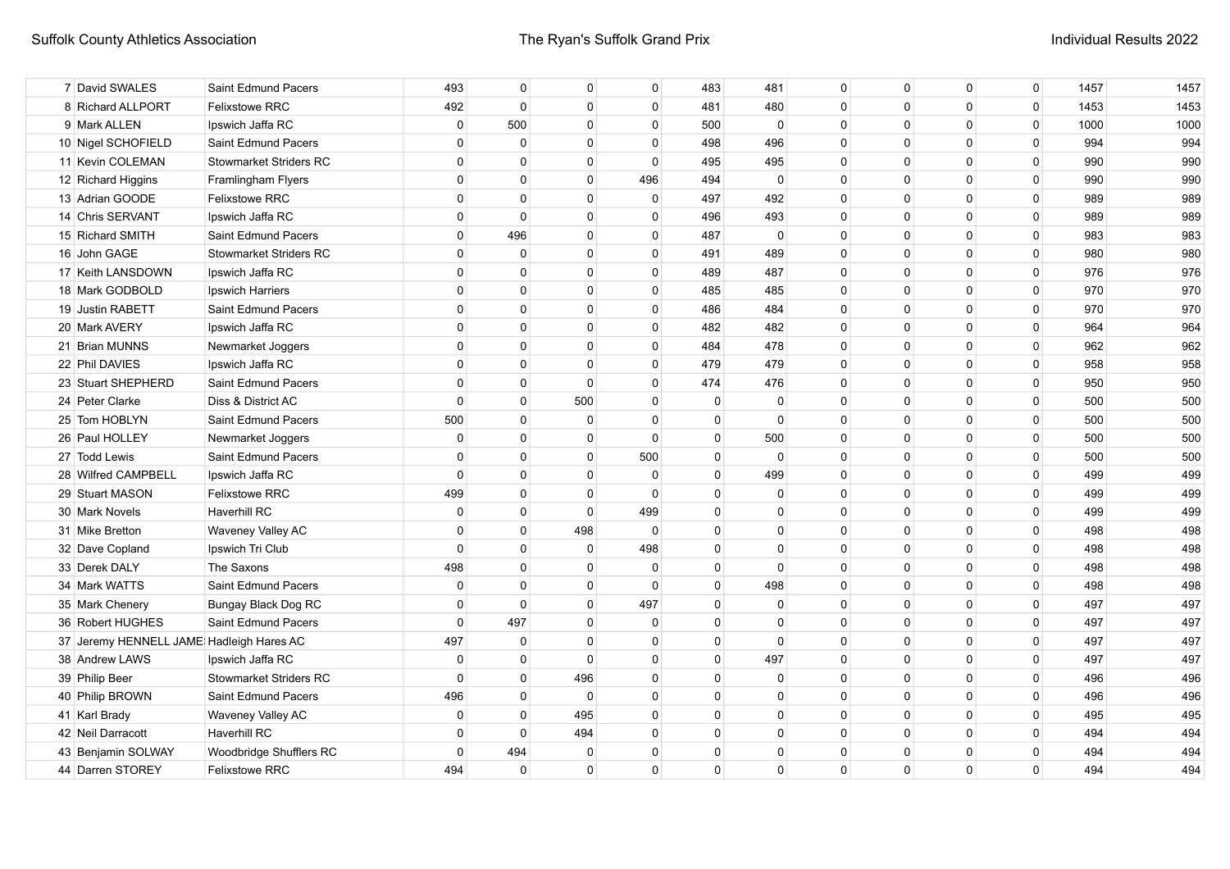| 7 David SWALES                            | Saint Edmund Pacers           | 493         | 0           | 0           | 0            | 483          | 481            | $\mathbf 0$ | $\mathbf 0$ | $\mathbf 0$  | $\mathbf 0$ | 1457 | 1457 |
|-------------------------------------------|-------------------------------|-------------|-------------|-------------|--------------|--------------|----------------|-------------|-------------|--------------|-------------|------|------|
| 8 Richard ALLPORT                         | <b>Felixstowe RRC</b>         | 492         | $\mathbf 0$ | $\mathbf 0$ | $\mathbf{0}$ | 481          | 480            | $\mathbf 0$ | $\Omega$    | $\mathbf{0}$ | $\mathbf 0$ | 1453 | 1453 |
| 9 Mark ALLEN                              | Ipswich Jaffa RC              | 0           | 500         | $\mathbf 0$ | 0            | 500          | $\mathbf 0$    | 0           | $\Omega$    | 0            | $\mathbf 0$ | 1000 | 1000 |
| 10 Nigel SCHOFIELD                        | Saint Edmund Pacers           | $\Omega$    | $\mathbf 0$ | $\mathbf 0$ | 0            | 498          | 496            | $\mathbf 0$ | $\Omega$    | $\mathbf 0$  | $\mathbf 0$ | 994  | 994  |
| 11 Kevin COLEMAN                          | <b>Stowmarket Striders RC</b> | $\Omega$    | $\Omega$    | $\mathbf 0$ | $\mathbf{0}$ | 495          | 495            | $\Omega$    | $\Omega$    | $\Omega$     | $\mathbf 0$ | 990  | 990  |
| 12 Richard Higgins                        | Framlingham Flyers            | $\Omega$    | $\Omega$    | $\Omega$    | 496          | 494          | $\overline{0}$ | $\Omega$    | $\Omega$    | $\Omega$     | $\mathbf 0$ | 990  | 990  |
| 13 Adrian GOODE                           | <b>Felixstowe RRC</b>         | $\Omega$    | $\Omega$    | $\Omega$    | $\mathbf{0}$ | 497          | 492            | $\Omega$    | $\Omega$    | $\Omega$     | $\mathbf 0$ | 989  | 989  |
| 14 Chris SERVANT                          | Ipswich Jaffa RC              | 0           | 0           | 0           | $\Omega$     | 496          | 493            | $\Omega$    | $\Omega$    | $\Omega$     | 0           | 989  | 989  |
| 15 Richard SMITH                          | Saint Edmund Pacers           | 0           | 496         | $\mathbf 0$ | 0            | 487          | $\mathbf 0$    | $\Omega$    | $\Omega$    | $\Omega$     | $\mathbf 0$ | 983  | 983  |
| 16 John GAGE                              | <b>Stowmarket Striders RC</b> | $\Omega$    | $\mathbf 0$ | $\mathbf 0$ | $\mathbf 0$  | 491          | 489            | $\mathbf 0$ | $\Omega$    | $\mathbf 0$  | 0           | 980  | 980  |
| 17 Keith LANSDOWN                         | Ipswich Jaffa RC              | $\Omega$    | $\Omega$    | $\Omega$    | $\mathbf{0}$ | 489          | 487            | $\Omega$    | $\Omega$    | $\mathbf 0$  | $\mathbf 0$ | 976  | 976  |
| 18 Mark GODBOLD                           | Ipswich Harriers              | $\Omega$    | $\Omega$    | $\Omega$    | $\mathbf{0}$ | 485          | 485            | $\Omega$    | $\Omega$    | $\Omega$     | $\mathbf 0$ | 970  | 970  |
| 19 Justin RABETT                          | Saint Edmund Pacers           | $\Omega$    | $\mathbf 0$ | $\mathbf 0$ | 0            | 486          | 484            | 0           | $\Omega$    | 0            | 0           | 970  | 970  |
| 20 Mark AVERY                             | Ipswich Jaffa RC              | $\Omega$    | $\mathbf 0$ | $\mathbf 0$ | 0            | 482          | 482            | $\mathbf 0$ | $\Omega$    | 0            | 0           | 964  | 964  |
| 21 Brian MUNNS                            | Newmarket Joggers             | $\Omega$    | $\Omega$    | $\mathbf 0$ | $\mathbf{0}$ | 484          | 478            | $\Omega$    | $\Omega$    | $\Omega$     | $\mathbf 0$ | 962  | 962  |
| 22 Phil DAVIES                            | Ipswich Jaffa RC              | $\Omega$    | $\Omega$    | $\Omega$    | $\mathbf{0}$ | 479          | 479            | $\Omega$    | $\Omega$    | $\mathbf{0}$ | $\mathbf 0$ | 958  | 958  |
| 23 Stuart SHEPHERD                        | Saint Edmund Pacers           | $\Omega$    | $\Omega$    | $\Omega$    | $\mathbf{0}$ | 474          | 476            | $\Omega$    | $\Omega$    | $\mathbf{0}$ | 0           | 950  | 950  |
| 24 Peter Clarke                           | Diss & District AC            | $\Omega$    | $\mathbf 0$ | 500         | 0            | 0            | 0              | 0           | $\Omega$    | $\mathbf{0}$ | $\mathbf 0$ | 500  | 500  |
| 25 Tom HOBLYN                             | Saint Edmund Pacers           | 500         | $\Omega$    | $\mathbf 0$ | $\mathbf{0}$ | $\mathbf{0}$ | $\Omega$       | $\Omega$    | $\Omega$    | $\mathbf{0}$ | $\mathbf 0$ | 500  | 500  |
| 26 Paul HOLLEY                            | Newmarket Joggers             | $\Omega$    | $\Omega$    | $\Omega$    | $\mathbf{0}$ | $\mathbf{0}$ | 500            | $\Omega$    | $\Omega$    | $\Omega$     | $\mathbf 0$ | 500  | 500  |
| 27 Todd Lewis                             | Saint Edmund Pacers           | $\Omega$    | $\Omega$    | $\Omega$    | 500          | $\mathbf{0}$ | $\Omega$       | $\Omega$    | $\Omega$    | $\Omega$     | $\Omega$    | 500  | 500  |
| 28 Wilfred CAMPBELL                       | Ipswich Jaffa RC              | $\Omega$    | $\Omega$    | $\Omega$    | $\Omega$     | $\Omega$     | 499            | $\Omega$    | $\Omega$    | $\Omega$     | $\Omega$    | 499  | 499  |
| 29 Stuart MASON                           | <b>Felixstowe RRC</b>         | 499         | 0           | $\mathbf 0$ | 0            | $\Omega$     | 0              | $\Omega$    | $\Omega$    | $\Omega$     | $\mathbf 0$ | 499  | 499  |
| 30 Mark Novels                            | <b>Haverhill RC</b>           | 0           | $\mathbf 0$ | $\mathbf 0$ | 499          | $\Omega$     | $\Omega$       | $\Omega$    | $\Omega$    | $\Omega$     | $\mathbf 0$ | 499  | 499  |
| 31 Mike Bretton                           | Waveney Valley AC             | $\Omega$    | $\mathbf 0$ | 498         | $\mathbf{0}$ | $\Omega$     | $\Omega$       | $\Omega$    | $\Omega$    | $\mathbf{0}$ | $\mathbf 0$ | 498  | 498  |
| 32 Dave Copland                           | Ipswich Tri Club              | $\Omega$    | $\mathbf 0$ | $\mathbf 0$ | 498          | $\Omega$     | $\mathbf{0}$   | $\Omega$    | $\Omega$    | $\mathbf{0}$ | $\mathbf 0$ | 498  | 498  |
| 33 Derek DALY                             | The Saxons                    | 498         | $\mathbf 0$ | $\mathbf 0$ | $\mathbf 0$  | $\mathbf 0$  | $\mathbf 0$    | $\mathbf 0$ | $\Omega$    | $\mathbf 0$  | $\mathbf 0$ | 498  | 498  |
| 34 Mark WATTS                             | Saint Edmund Pacers           | 0           | $\mathbf 0$ | $\mathbf 0$ | $\mathbf 0$  | 0            | 498            | 0           | 0           | 0            | 0           | 498  | 498  |
| 35 Mark Chenery                           | <b>Bungay Black Dog RC</b>    | 0           | $\mathbf 0$ | $\mathbf 0$ | 497          | 0            | $\mathbf 0$    | 0           | 0           | 0            | 0           | 497  | 497  |
| 36 Robert HUGHES                          | Saint Edmund Pacers           | $\mathbf 0$ | 497         | $\mathbf 0$ | 0            | 0            | 0              | 0           | 0           | $\mathbf{0}$ | $\mathbf 0$ | 497  | 497  |
| 37 Jeremy HENNELL JAME: Hadleigh Hares AC |                               | 497         | $\mathbf 0$ | $\mathbf 0$ | $\Omega$     | 0            | $\Omega$       | $\mathbf 0$ | $\Omega$    | $\mathbf 0$  | $\mathbf 0$ | 497  | 497  |
| 38 Andrew LAWS                            | Ipswich Jaffa RC              | $\mathbf 0$ | $\mathbf 0$ | $\mathbf 0$ | $\mathbf 0$  | 0            | 497            | $\mathbf 0$ | $\Omega$    | $\mathbf 0$  | 0           | 497  | 497  |
| 39 Philip Beer                            | <b>Stowmarket Striders RC</b> | $\mathbf 0$ | $\mathbf 0$ | 496         | 0            | 0            | 0              | 0           | $\Omega$    | 0            | $\mathbf 0$ | 496  | 496  |
| 40 Philip BROWN                           | Saint Edmund Pacers           | 496         | $\mathbf 0$ | $\mathbf 0$ | 0            | 0            | $\Omega$       | $\Omega$    | $\Omega$    | $\mathbf{0}$ | $\mathbf 0$ | 496  | 496  |
| 41 Karl Brady                             | Waveney Valley AC             | $\Omega$    | $\mathbf 0$ | 495         | $\Omega$     | 0            | $\Omega$       | $\Omega$    | $\Omega$    | $\Omega$     | $\mathbf 0$ | 495  | 495  |
| 42 Neil Darracott                         | <b>Haverhill RC</b>           | $\Omega$    | $\Omega$    | 494         | $\Omega$     | $\mathbf 0$  | $\Omega$       | $\Omega$    | $\Omega$    | $\Omega$     | $\mathbf 0$ | 494  | 494  |
| 43 Benjamin SOLWAY                        | Woodbridge Shufflers RC       | $\Omega$    | 494         | 0           | $\Omega$     | $\Omega$     | $\Omega$       | $\Omega$    | $\Omega$    | $\Omega$     | 0           | 494  | 494  |
| 44 Darren STOREY                          | <b>Felixstowe RRC</b>         | 494         | 0           | $\mathbf 0$ | $\Omega$     | $\Omega$     | $\Omega$       | 0           | $\Omega$    | 0            | $\mathbf 0$ | 494  | 494  |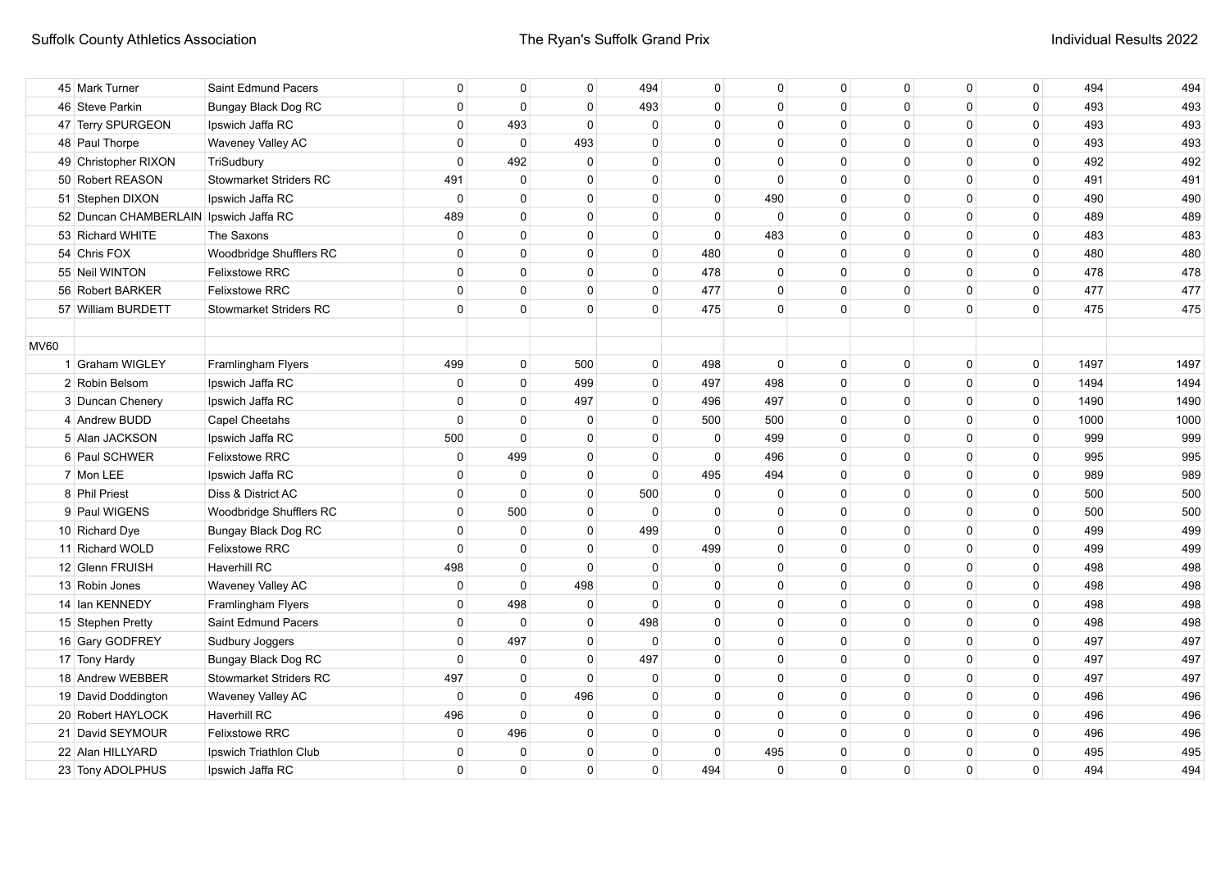|             | 45 Mark Turner                         | Saint Edmund Pacers           | 0            | 0            | 0              | 494          | $\mathbf 0$ | $\Omega$    | $\mathbf{0}$ | $\mathbf{0}$ | $\mathbf 0$  | $\mathbf 0$ | 494  | 494  |
|-------------|----------------------------------------|-------------------------------|--------------|--------------|----------------|--------------|-------------|-------------|--------------|--------------|--------------|-------------|------|------|
|             | 46 Steve Parkin                        | <b>Bungay Black Dog RC</b>    | $\mathbf{0}$ | $\mathbf{0}$ | $\Omega$       | 493          | $\mathbf 0$ | $\Omega$    | $\Omega$     | $\Omega$     | $\mathbf{0}$ | $\mathbf 0$ | 493  | 493  |
|             | 47 Terry SPURGEON                      | Ipswich Jaffa RC              | $\Omega$     | 493          | $\Omega$       | $\Omega$     | $\Omega$    | $\Omega$    | $\Omega$     | $\Omega$     | $\Omega$     | 0           | 493  | 493  |
|             | 48 Paul Thorpe                         | Waveney Valley AC             | $\mathbf 0$  | $\mathbf 0$  | 493            | $\Omega$     | $\Omega$    | $\Omega$    | $\Omega$     | $\Omega$     | $\Omega$     | 0           | 493  | 493  |
|             | 49 Christopher RIXON                   | TriSudbury                    | $\Omega$     | 492          | $\mathbf 0$    | $\Omega$     | $\Omega$    | $\Omega$    | $\Omega$     | $\Omega$     | $\Omega$     | $\pmb{0}$   | 492  | 492  |
|             | 50 Robert REASON                       | <b>Stowmarket Striders RC</b> | 491          | 0            | $\Omega$       | $\Omega$     | $\mathbf 0$ | $\Omega$    | $\Omega$     | $\Omega$     | $\mathbf{0}$ | 0           | 491  | 491  |
|             | 51 Stephen DIXON                       | Ipswich Jaffa RC              | $\mathbf 0$  | $\mathbf 0$  | $\mathbf 0$    | $\Omega$     | $\mathbf 0$ | 490         | $\Omega$     | $\Omega$     | $\mathbf{0}$ | 0           | 490  | 490  |
|             | 52 Duncan CHAMBERLAIN Ipswich Jaffa RC |                               | 489          | $\mathbf 0$  | $\mathbf 0$    | $\mathbf 0$  | $\mathbf 0$ | $\mathbf 0$ | $\Omega$     | $\Omega$     | $\mathbf{0}$ | 0           | 489  | 489  |
|             | 53 Richard WHITE                       | The Saxons                    | $\mathbf 0$  | $\mathbf 0$  | $\mathbf 0$    | $\mathbf 0$  | $\Omega$    | 483         | $\Omega$     | $\Omega$     | $\mathbf{0}$ | 0           | 483  | 483  |
|             | 54 Chris FOX                           | Woodbridge Shufflers RC       | 0            | $\Omega$     | $\mathbf 0$    | $\mathbf{0}$ | 480         | $\Omega$    | $\Omega$     | $\Omega$     | $\mathbf{0}$ | $\mathbf 0$ | 480  | 480  |
|             | 55 Neil WINTON                         | <b>Felixstowe RRC</b>         | $\Omega$     | $\Omega$     | $\Omega$       | $\mathbf{0}$ | 478         | $\Omega$    | $\Omega$     | $\Omega$     | $\Omega$     | $\mathbf 0$ | 478  | 478  |
|             | 56 Robert BARKER                       | <b>Felixstowe RRC</b>         | $\Omega$     | $\Omega$     | $\Omega$       | $\mathbf{0}$ | 477         | $\Omega$    | $\Omega$     | $\Omega$     | $\Omega$     | $\mathbf 0$ | 477  | 477  |
|             | 57 William BURDETT                     | <b>Stowmarket Striders RC</b> | $\Omega$     | $\Omega$     | $\Omega$       | $\Omega$     | 475         | $\Omega$    | $\Omega$     | $\Omega$     | $\Omega$     | 0           | 475  | 475  |
|             |                                        |                               |              |              |                |              |             |             |              |              |              |             |      |      |
| <b>MV60</b> |                                        |                               |              |              |                |              |             |             |              |              |              |             |      |      |
|             | 1 Graham WIGLEY                        | Framlingham Flyers            | 499          | $\mathbf 0$  | 500            | $\mathbf{0}$ | 498         | $\Omega$    | $\Omega$     | $\Omega$     | $\mathbf{0}$ | $\mathbf 0$ | 1497 | 1497 |
|             | 2 Robin Belsom                         | Ipswich Jaffa RC              | $\mathbf 0$  | $\mathbf 0$  | 499            | $\mathbf{0}$ | 497         | 498         | $\Omega$     | $\Omega$     | $\Omega$     | $\mathbf 0$ | 1494 | 1494 |
|             | 3 Duncan Chenery                       | Ipswich Jaffa RC              | $\mathbf 0$  | $\Omega$     | 497            | $\mathbf{0}$ | 496         | 497         | $\Omega$     | $\Omega$     | $\Omega$     | $\mathbf 0$ | 1490 | 1490 |
|             | 4 Andrew BUDD                          | <b>Capel Cheetahs</b>         | $\Omega$     | $\Omega$     | $\overline{0}$ | $\mathbf{0}$ | 500         | 500         | $\Omega$     | $\Omega$     | $\Omega$     | $\mathbf 0$ | 1000 | 1000 |
|             | 5 Alan JACKSON                         | Ipswich Jaffa RC              | 500          | $\Omega$     | $\Omega$       | $\Omega$     | $\Omega$    | 499         | $\Omega$     | $\Omega$     | $\Omega$     | $\mathbf 0$ | 999  | 999  |
|             | 6 Paul SCHWER                          | <b>Felixstowe RRC</b>         | 0            | 499          | 0              | $\Omega$     | 0           | 496         | 0            | $\Omega$     | $\Omega$     | 0           | 995  | 995  |
|             | 7 Mon LEE                              | Ipswich Jaffa RC              | $\mathbf 0$  | 0            | $\mathbf 0$    | $\Omega$     | 495         | 494         | 0            | $\Omega$     | $\Omega$     | 0           | 989  | 989  |
|             | 8 Phil Priest                          | Diss & District AC            | $\mathbf 0$  | $\mathbf 0$  | $\mathbf 0$    | 500          | $\mathbf 0$ | $\Omega$    | $\Omega$     | $\Omega$     | $\Omega$     | 0           | 500  | 500  |
|             | 9 Paul WIGENS                          | Woodbridge Shufflers RC       | $\mathbf 0$  | 500          | $\overline{0}$ | 0            | $\mathbf 0$ | 0           | $\Omega$     | $\Omega$     | $\mathbf{0}$ | $\mathbf 0$ | 500  | 500  |
|             | 10 Richard Dye                         | Bungay Black Dog RC           | $\mathbf 0$  | $\mathbf 0$  | $\overline{0}$ | 499          | $\Omega$    | $\mathbf 0$ | $\Omega$     | $\Omega$     | $\mathbf 0$  | 0           | 499  | 499  |
|             | 11 Richard WOLD                        | <b>Felixstowe RRC</b>         | $\mathbf 0$  | $\mathbf{0}$ | $\overline{0}$ | $\mathbf 0$  | 499         | $\mathbf 0$ | $\Omega$     | $\mathbf{0}$ | $\mathbf 0$  | $\mathbf 0$ | 499  | 499  |
|             | 12 Glenn FRUISH                        | <b>Haverhill RC</b>           | 498          | $\mathbf{0}$ | $\Omega$       | $\mathbf{0}$ | $\mathbf 0$ | $\mathbf 0$ | $\Omega$     | $\mathbf{0}$ | $\mathbf 0$  | $\mathbf 0$ | 498  | 498  |
|             | 13 Robin Jones                         | Waveney Valley AC             | $\mathbf 0$  | $\Omega$     | 498            | $\mathbf{0}$ | $\Omega$    | $\Omega$    | $\Omega$     | $\Omega$     | $\Omega$     | $\mathbf 0$ | 498  | 498  |
|             | 14 Ian KENNEDY                         | Framlingham Flyers            | $\mathbf 0$  | 498          | 0              | $\Omega$     | 0           | 0           | $\Omega$     | $\Omega$     | $\Omega$     | 0           | 498  | 498  |
|             | 15 Stephen Pretty                      | Saint Edmund Pacers           | 0            | $\mathbf 0$  | $\mathbf 0$    | 498          | 0           | 0           | $\Omega$     | $\Omega$     | $\Omega$     | $\mathbf 0$ | 498  | 498  |
|             | 16 Gary GODFREY                        | Sudbury Joggers               | $\mathbf 0$  | 497          | $\overline{0}$ | 0            | $\mathbf 0$ | $\Omega$    | $\Omega$     | $\Omega$     | $\mathbf{0}$ | $\mathbf 0$ | 497  | 497  |
|             | 17 Tony Hardy                          | Bungay Black Dog RC           | $\mathbf 0$  | $\mathbf 0$  | $\overline{0}$ | 497          | $\mathbf 0$ | $\Omega$    | $\Omega$     | $\Omega$     | $\mathbf{0}$ | $\mathbf 0$ | 497  | 497  |
|             | 18 Andrew WEBBER                       | <b>Stowmarket Striders RC</b> | 497          | $\mathbf 0$  | $\mathbf 0$    | $\Omega$     | $\Omega$    | $\Omega$    | $\Omega$     | $\Omega$     | $\mathbf{0}$ | 0           | 497  | 497  |
|             | 19 David Doddington                    | Waveney Valley AC             | $\mathbf 0$  | $\mathbf 0$  | 496            | $\Omega$     | $\Omega$    | $\Omega$    | $\Omega$     | $\Omega$     | $\Omega$     | $\mathbf 0$ | 496  | 496  |
|             | 20 Robert HAYLOCK                      | <b>Haverhill RC</b>           | 496          | $\Omega$     | $\mathbf 0$    | $\Omega$     | $\Omega$    | $\Omega$    | $\Omega$     | $\Omega$     | $\Omega$     | $\mathbf 0$ | 496  | 496  |
|             | 21 David SEYMOUR                       | <b>Felixstowe RRC</b>         | 0            | 496          | $\mathbf 0$    | $\Omega$     | $\mathbf 0$ | $\Omega$    | $\Omega$     | $\Omega$     | $\Omega$     | 0           | 496  | 496  |
|             | 22 Alan HILLYARD                       | Ipswich Triathlon Club        | $\Omega$     | 0            | $^{\circ}$     | $\Omega$     | 0           | 495         | 0            | $\Omega$     | $\Omega$     | 0           | 495  | 495  |
|             | 23 Tony ADOLPHUS                       | Ipswich Jaffa RC              | 0            | $\mathbf 0$  | $\mathbf 0$    | $\Omega$     | 494         | $\Omega$    | $\Omega$     | $\Omega$     | $\Omega$     | $\Omega$    | 494  | 494  |
|             |                                        |                               |              |              |                |              |             |             |              |              |              |             |      |      |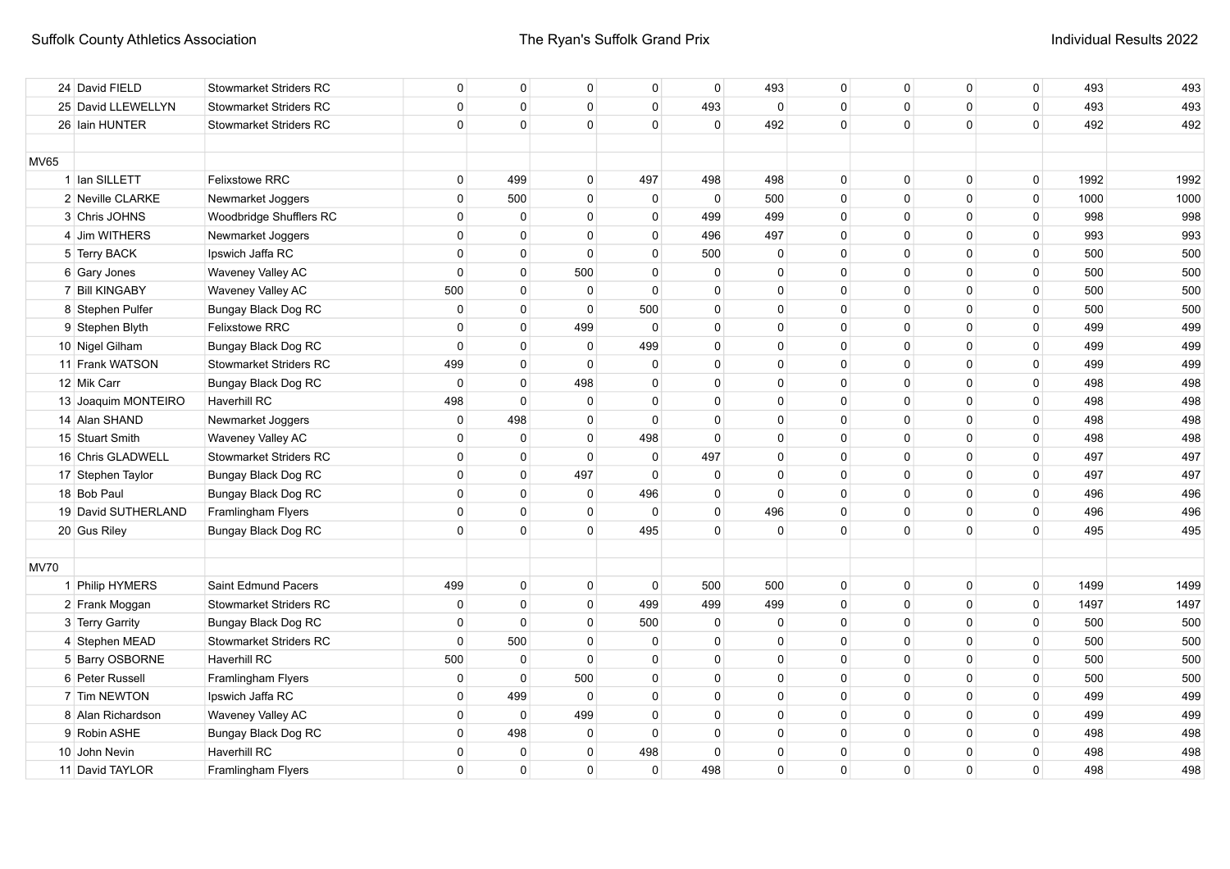|             | 24 David FIELD      | <b>Stowmarket Striders RC</b> | 0           | $\Omega$     | 0              | $\mathbf{0}$ | $\Omega$    | 493          | $\Omega$     | $\Omega$     | $\mathbf{0}$ | $\mathbf 0$ | 493  | 493  |
|-------------|---------------------|-------------------------------|-------------|--------------|----------------|--------------|-------------|--------------|--------------|--------------|--------------|-------------|------|------|
|             | 25 David LLEWELLYN  | <b>Stowmarket Striders RC</b> | $\mathbf 0$ | $\mathbf{0}$ | $\Omega$       | $\Omega$     | 493         | $\mathbf 0$  | $\mathbf{0}$ | $\mathbf{0}$ | $\mathbf 0$  | $\mathbf 0$ | 493  | 493  |
|             | 26 Iain HUNTER      | <b>Stowmarket Striders RC</b> | $\Omega$    | $\Omega$     | $\Omega$       | $\Omega$     | $\Omega$    | 492          | $\Omega$     | $\Omega$     | $\Omega$     | $\mathbf 0$ | 492  | 492  |
|             |                     |                               |             |              |                |              |             |              |              |              |              |             |      |      |
| <b>MV65</b> |                     |                               |             |              |                |              |             |              |              |              |              |             |      |      |
|             | 1 Ian SILLETT       | <b>Felixstowe RRC</b>         | 0           | 499          | $\mathbf 0$    | 497          | 498         | 498          | $\mathbf{0}$ | $\mathbf{0}$ | $\mathbf 0$  | $\mathsf 0$ | 1992 | 1992 |
|             | 2 Neville CLARKE    | Newmarket Joggers             | $\mathbf 0$ | 500          | $\mathbf 0$    | $\mathbf 0$  | $\mathbf 0$ | 500          | $\mathbf{0}$ | $\mathbf{0}$ | $\mathbf 0$  | $\mathsf 0$ | 1000 | 1000 |
|             | 3 Chris JOHNS       | Woodbridge Shufflers RC       | $\mathbf 0$ | $\mathbf{0}$ | $\mathbf 0$    | $\Omega$     | 499         | 499          | $\mathbf{0}$ | $\mathbf{0}$ | $\mathbf 0$  | $\mathbf 0$ | 998  | 998  |
|             | 4 Jim WITHERS       | Newmarket Joggers             | $\mathbf 0$ | $\Omega$     | $\mathbf 0$    | $\mathbf{0}$ | 496         | 497          | $\Omega$     | $\Omega$     | $\mathbf{0}$ | $\mathbf 0$ | 993  | 993  |
|             | 5 Terry BACK        | Ipswich Jaffa RC              | $\Omega$    | $\mathbf{0}$ | $\Omega$       | $\Omega$     | 500         | $\mathbf 0$  | $\Omega$     | $\Omega$     | $\mathbf{0}$ | $\mathbf 0$ | 500  | 500  |
|             | 6 Gary Jones        | Waveney Valley AC             | $\mathbf 0$ | $\mathbf{0}$ | 500            | 0            | 0           | $\Omega$     | 0            | $\Omega$     | 0            | $\mathsf 0$ | 500  | 500  |
|             | 7 Bill KINGABY      | Waveney Valley AC             | 500         | $\mathbf{0}$ | $\mathbf 0$    | $\Omega$     | 0           | $\Omega$     | $\Omega$     | $\Omega$     | 0            | 0           | 500  | 500  |
|             | 8 Stephen Pulfer    | Bungay Black Dog RC           | $\mathbf 0$ | $\mathbf{0}$ | $\overline{0}$ | 500          | $\mathbf 0$ | $\Omega$     | $\Omega$     | $\Omega$     | $\mathbf{0}$ | $\mathsf 0$ | 500  | 500  |
|             | 9 Stephen Blyth     | <b>Felixstowe RRC</b>         | $\mathbf 0$ | $\mathbf{0}$ | 499            | $\Omega$     | $\Omega$    | $\Omega$     | $\Omega$     | $\Omega$     | $\mathbf{0}$ | $\mathbf 0$ | 499  | 499  |
|             | 10 Nigel Gilham     | Bungay Black Dog RC           | $\mathbf 0$ | $\Omega$     | $\overline{0}$ | 499          | $\Omega$    | $\Omega$     | $\Omega$     | $\Omega$     | $\mathbf{0}$ | $\mathbf 0$ | 499  | 499  |
|             | 11 Frank WATSON     | Stowmarket Striders RC        | 499         | $\Omega$     | $\Omega$       | $\Omega$     | $\Omega$    | $\Omega$     | $\Omega$     | $\Omega$     | $\mathbf{0}$ | $\mathbf 0$ | 499  | 499  |
|             | 12 Mik Carr         | Bungay Black Dog RC           | $\mathbf 0$ | $\Omega$     | 498            | $\Omega$     | $\Omega$    | $\Omega$     | $\Omega$     | $\Omega$     | $\mathbf{0}$ | $\mathbf 0$ | 498  | 498  |
|             | 13 Joaquim MONTEIRO | <b>Haverhill RC</b>           | 498         | $\mathbf 0$  | $\overline{0}$ | $\Omega$     | 0           | $\Omega$     | $\Omega$     | $\Omega$     | $\mathbf{0}$ | $\mathbf 0$ | 498  | 498  |
|             | 14 Alan SHAND       | Newmarket Joggers             | 0           | 498          | 0              | $\Omega$     | 0           | $\Omega$     | $\Omega$     | $\Omega$     | $\Omega$     | $\mathbf 0$ | 498  | 498  |
|             | 15 Stuart Smith     | Waveney Valley AC             | $\mathbf 0$ | $\mathbf 0$  | $\mathbf 0$    | 498          | $\Omega$    | $\Omega$     | 0            | $\Omega$     | $\mathbf{0}$ | $\mathbf 0$ | 498  | 498  |
|             | 16 Chris GLADWELL   | <b>Stowmarket Striders RC</b> | $\mathbf 0$ | $\mathbf 0$  | $\Omega$       | $\mathbf 0$  | 497         | 0            | 0            | $\Omega$     | $\mathbf{0}$ | $\mathbf 0$ | 497  | 497  |
|             | 17 Stephen Taylor   | <b>Bungay Black Dog RC</b>    | $\mathbf 0$ | $\mathbf{0}$ | 497            | $\Omega$     | $\mathbf 0$ | 0            | $\mathbf{0}$ | $\Omega$     | $\Omega$     | $\mathbf 0$ | 497  | 497  |
|             | 18 Bob Paul         | Bungay Black Dog RC           | $\mathbf 0$ | $\Omega$     | $\overline{0}$ | 496          | $\mathbf 0$ | $\Omega$     | $\Omega$     | $\Omega$     | $\Omega$     | $\mathbf 0$ | 496  | 496  |
|             | 19 David SUTHERLAND | Framlingham Flyers            | $\mathsf 0$ | $\mathbf 0$  | $\mathbf 0$    | $\mathbf 0$  | $\mathbf 0$ | 496          | 0            | $\Omega$     | $\mathbf 0$  | $\mathbf 0$ | 496  | 496  |
|             | 20 Gus Riley        | Bungay Black Dog RC           | $\mathbf 0$ | $\mathbf{0}$ | $\mathbf 0$    | 495          | $\mathbf 0$ | $\mathbf 0$  | $\mathbf{0}$ | $\mathbf 0$  | $\mathbf 0$  | $\mathbf 0$ | 495  | 495  |
|             |                     |                               |             |              |                |              |             |              |              |              |              |             |      |      |
| <b>MV70</b> |                     |                               |             |              |                |              |             |              |              |              |              |             |      |      |
|             | 1 Philip HYMERS     | Saint Edmund Pacers           | 499         | $\mathbf 0$  | $\mathbf 0$    | $\mathbf 0$  | 500         | 500          | $\mathbf{0}$ | 0            | $\mathbf 0$  | $\mathbf 0$ | 1499 | 1499 |
|             | 2 Frank Moggan      | <b>Stowmarket Striders RC</b> | $\mathbf 0$ | $\mathbf{0}$ | $\overline{0}$ | 499          | 499         | 499          | $\mathbf{0}$ | $\Omega$     | $\mathbf{0}$ | $\mathbf 0$ | 1497 | 1497 |
|             | 3 Terry Garrity     | Bungay Black Dog RC           | $\mathbf 0$ | $\mathbf 0$  | $\mathbf 0$    | 500          | 0           | $\Omega$     | $\Omega$     | $\Omega$     | $\mathbf{0}$ | 0           | 500  | 500  |
|             | 4 Stephen MEAD      | <b>Stowmarket Striders RC</b> | $\mathsf 0$ | 500          | $\mathbf 0$    | $\Omega$     | $\mathbf 0$ | $\Omega$     | $\Omega$     | $\Omega$     | $\mathbf 0$  | $\mathbf 0$ | 500  | 500  |
|             | 5 Barry OSBORNE     | <b>Haverhill RC</b>           | 500         | 0            | $\overline{0}$ | $\Omega$     | $\Omega$    | $\Omega$     | $\Omega$     | $\Omega$     | $\mathbf 0$  | $\mathbf 0$ | 500  | 500  |
|             | 6 Peter Russell     | Framlingham Flyers            | $\mathbf 0$ | $\mathbf 0$  | 500            | $\Omega$     | $\Omega$    | $\Omega$     | $\Omega$     | $\Omega$     | $\mathbf{0}$ | $\mathbf 0$ | 500  | 500  |
|             | 7 Tim NEWTON        | Ipswich Jaffa RC              | $\Omega$    | 499          | $\overline{0}$ | $\Omega$     | $\mathbf 0$ | $\Omega$     | $\Omega$     | $\Omega$     | $\mathbf 0$  | $\mathbf 0$ | 499  | 499  |
|             | 8 Alan Richardson   | Waveney Valley AC             | $\mathbf 0$ | $\mathbf 0$  | 499            | $\Omega$     | $\Omega$    | $\mathbf{0}$ | $\mathbf{0}$ | $\Omega$     | $\mathbf 0$  | $\mathbf 0$ | 499  | 499  |
|             | 9 Robin ASHE        | Bungay Black Dog RC           | $\mathbf 0$ | 498          | $\Omega$       | $\Omega$     | $\Omega$    | $\Omega$     | $\Omega$     | $\Omega$     | $\mathbf{0}$ | $\mathbf 0$ | 498  | 498  |
|             | 10 John Nevin       | Haverhill RC                  | 0           | 0            | $\Omega$       | 498          | $\Omega$    | $\Omega$     | $\Omega$     | $\Omega$     | $\mathbf{0}$ | 0           | 498  | 498  |
|             | 11 David TAYLOR     | Framlingham Flyers            | $\mathbf 0$ | $\mathbf 0$  | $\Omega$       | $\Omega$     | 498         | $\Omega$     | $\mathbf{0}$ | $\Omega$     | $\mathbf 0$  | $\mathbf 0$ | 498  | 498  |